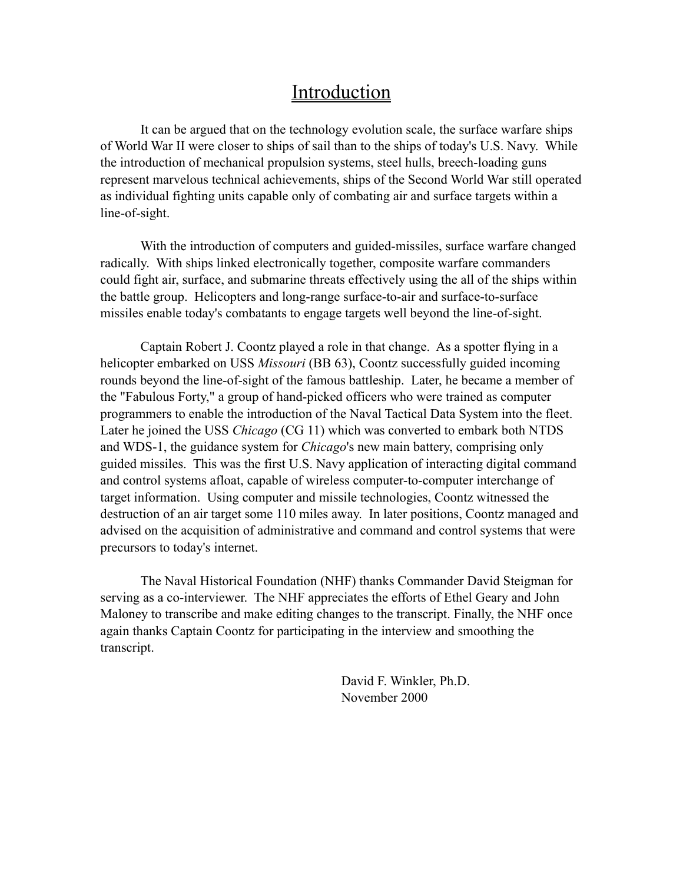# Introduction

It can be argued that on the technology evolution scale, the surface warfare ships of World War II were closer to ships of sail than to the ships of today's U.S. Navy. While the introduction of mechanical propulsion systems, steel hulls, breech-loading guns represent marvelous technical achievements, ships of the Second World War still operated as individual fighting units capable only of combating air and surface targets within a line-of-sight.

With the introduction of computers and guided-missiles, surface warfare changed radically. With ships linked electronically together, composite warfare commanders could fight air, surface, and submarine threats effectively using the all of the ships within the battle group. Helicopters and long-range surface-to-air and surface-to-surface missiles enable today's combatants to engage targets well beyond the line-of-sight.

Captain Robert J. Coontz played a role in that change. As a spotter flying in a helicopter embarked on USS *Missouri* (BB 63), Coontz successfully guided incoming rounds beyond the line-of-sight of the famous battleship. Later, he became a member of the "Fabulous Forty," a group of hand-picked officers who were trained as computer programmers to enable the introduction of the Naval Tactical Data System into the fleet. Later he joined the USS *Chicago* (CG 11) which was converted to embark both NTDS and WDS-1, the guidance system for *Chicago*'s new main battery, comprising only guided missiles. This was the first U.S. Navy application of interacting digital command and control systems afloat, capable of wireless computer-to-computer interchange of target information. Using computer and missile technologies, Coontz witnessed the destruction of an air target some 110 miles away. In later positions, Coontz managed and advised on the acquisition of administrative and command and control systems that were precursors to today's internet.

The Naval Historical Foundation (NHF) thanks Commander David Steigman for serving as a co-interviewer. The NHF appreciates the efforts of Ethel Geary and John Maloney to transcribe and make editing changes to the transcript. Finally, the NHF once again thanks Captain Coontz for participating in the interview and smoothing the transcript.

> David F. Winkler, Ph.D. November 2000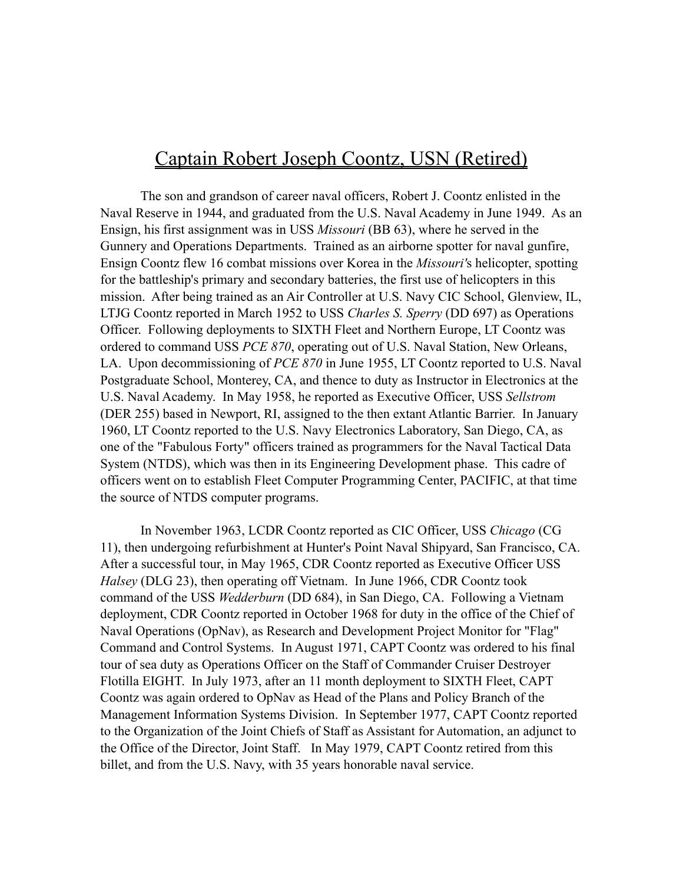# Captain Robert Joseph Coontz, USN (Retired)

The son and grandson of career naval officers, Robert J. Coontz enlisted in the Naval Reserve in 1944, and graduated from the U.S. Naval Academy in June 1949. As an Ensign, his first assignment was in USS *Missouri* (BB 63), where he served in the Gunnery and Operations Departments. Trained as an airborne spotter for naval gunfire, Ensign Coontz flew 16 combat missions over Korea in the *Missouri'*s helicopter, spotting for the battleship's primary and secondary batteries, the first use of helicopters in this mission. After being trained as an Air Controller at U.S. Navy CIC School, Glenview, IL, LTJG Coontz reported in March 1952 to USS *Charles S. Sperry* (DD 697) as Operations Officer. Following deployments to SIXTH Fleet and Northern Europe, LT Coontz was ordered to command USS *PCE 870*, operating out of U.S. Naval Station, New Orleans, LA. Upon decommissioning of *PCE 870* in June 1955, LT Coontz reported to U.S. Naval Postgraduate School, Monterey, CA, and thence to duty as Instructor in Electronics at the U.S. Naval Academy. In May 1958, he reported as Executive Officer, USS *Sellstrom*  (DER 255) based in Newport, RI, assigned to the then extant Atlantic Barrier. In January 1960, LT Coontz reported to the U.S. Navy Electronics Laboratory, San Diego, CA, as one of the "Fabulous Forty" officers trained as programmers for the Naval Tactical Data System (NTDS), which was then in its Engineering Development phase. This cadre of officers went on to establish Fleet Computer Programming Center, PACIFIC, at that time the source of NTDS computer programs.

In November 1963, LCDR Coontz reported as CIC Officer, USS *Chicago* (CG 11), then undergoing refurbishment at Hunter's Point Naval Shipyard, San Francisco, CA. After a successful tour, in May 1965, CDR Coontz reported as Executive Officer USS *Halsey* (DLG 23), then operating off Vietnam. In June 1966, CDR Coontz took command of the USS *Wedderburn* (DD 684), in San Diego, CA. Following a Vietnam deployment, CDR Coontz reported in October 1968 for duty in the office of the Chief of Naval Operations (OpNav), as Research and Development Project Monitor for "Flag" Command and Control Systems. In August 1971, CAPT Coontz was ordered to his final tour of sea duty as Operations Officer on the Staff of Commander Cruiser Destroyer Flotilla EIGHT. In July 1973, after an 11 month deployment to SIXTH Fleet, CAPT Coontz was again ordered to OpNav as Head of the Plans and Policy Branch of the Management Information Systems Division. In September 1977, CAPT Coontz reported to the Organization of the Joint Chiefs of Staff as Assistant for Automation, an adjunct to the Office of the Director, Joint Staff. In May 1979, CAPT Coontz retired from this billet, and from the U.S. Navy, with 35 years honorable naval service.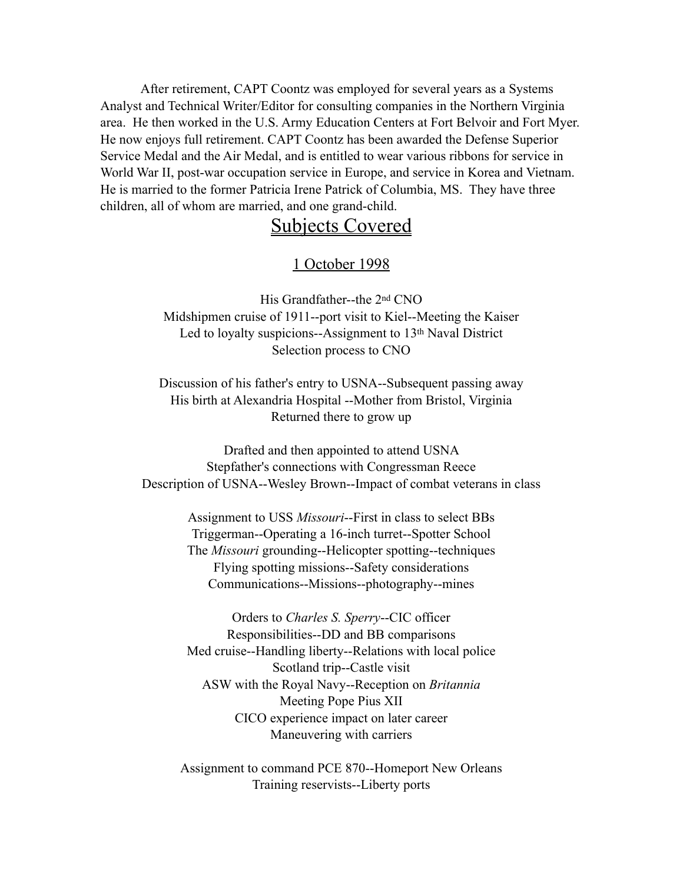After retirement, CAPT Coontz was employed for several years as a Systems Analyst and Technical Writer/Editor for consulting companies in the Northern Virginia area. He then worked in the U.S. Army Education Centers at Fort Belvoir and Fort Myer. He now enjoys full retirement. CAPT Coontz has been awarded the Defense Superior Service Medal and the Air Medal, and is entitled to wear various ribbons for service in World War II, post-war occupation service in Europe, and service in Korea and Vietnam. He is married to the former Patricia Irene Patrick of Columbia, MS. They have three children, all of whom are married, and one grand-child.

# Subjects Covered

#### 1 October 1998

His Grandfather--the 2nd CNO Midshipmen cruise of 1911--port visit to Kiel--Meeting the Kaiser Led to loyalty suspicions--Assignment to 13<sup>th</sup> Naval District Selection process to CNO

Discussion of his father's entry to USNA--Subsequent passing away His birth at Alexandria Hospital --Mother from Bristol, Virginia Returned there to grow up

Drafted and then appointed to attend USNA Stepfather's connections with Congressman Reece Description of USNA--Wesley Brown--Impact of combat veterans in class

> Assignment to USS *Missouri*--First in class to select BBs Triggerman--Operating a 16-inch turret--Spotter School The *Missouri* grounding--Helicopter spotting--techniques Flying spotting missions--Safety considerations Communications--Missions--photography--mines

> Orders to *Charles S. Sperry*--CIC officer Responsibilities--DD and BB comparisons Med cruise--Handling liberty--Relations with local police Scotland trip--Castle visit ASW with the Royal Navy--Reception on *Britannia* Meeting Pope Pius XII CICO experience impact on later career Maneuvering with carriers

Assignment to command PCE 870--Homeport New Orleans Training reservists--Liberty ports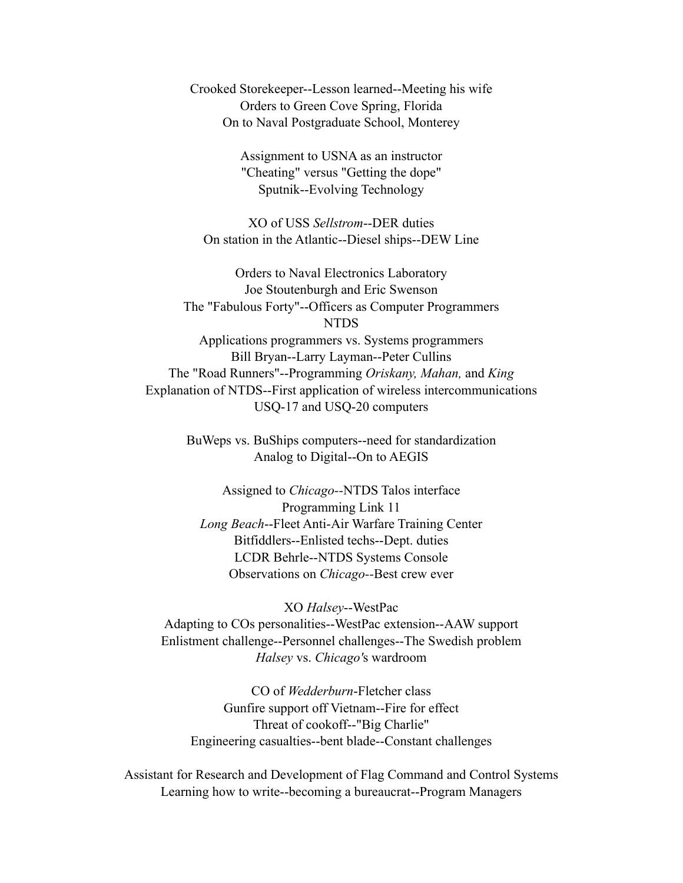Crooked Storekeeper--Lesson learned--Meeting his wife Orders to Green Cove Spring, Florida On to Naval Postgraduate School, Monterey

> Assignment to USNA as an instructor "Cheating" versus "Getting the dope" Sputnik--Evolving Technology

XO of USS *Sellstrom*--DER duties On station in the Atlantic--Diesel ships--DEW Line

Orders to Naval Electronics Laboratory Joe Stoutenburgh and Eric Swenson The "Fabulous Forty"--Officers as Computer Programmers NTDS Applications programmers vs. Systems programmers Bill Bryan--Larry Layman--Peter Cullins The "Road Runners"--Programming *Oriskany, Mahan,* and *King* Explanation of NTDS--First application of wireless intercommunications USQ-17 and USQ-20 computers

> BuWeps vs. BuShips computers--need for standardization Analog to Digital--On to AEGIS

Assigned to *Chicago--*NTDS Talos interface Programming Link 11 *Long Beach*--Fleet Anti-Air Warfare Training Center Bitfiddlers--Enlisted techs--Dept. duties LCDR Behrle--NTDS Systems Console Observations on *Chicago--*Best crew ever

XO *Halsey*--WestPac Adapting to COs personalities--WestPac extension--AAW support Enlistment challenge--Personnel challenges--The Swedish problem *Halsey* vs. *Chicago'*s wardroom

CO of *Wedderburn*-Fletcher class Gunfire support off Vietnam--Fire for effect Threat of cookoff--"Big Charlie" Engineering casualties--bent blade--Constant challenges

Assistant for Research and Development of Flag Command and Control Systems Learning how to write--becoming a bureaucrat--Program Managers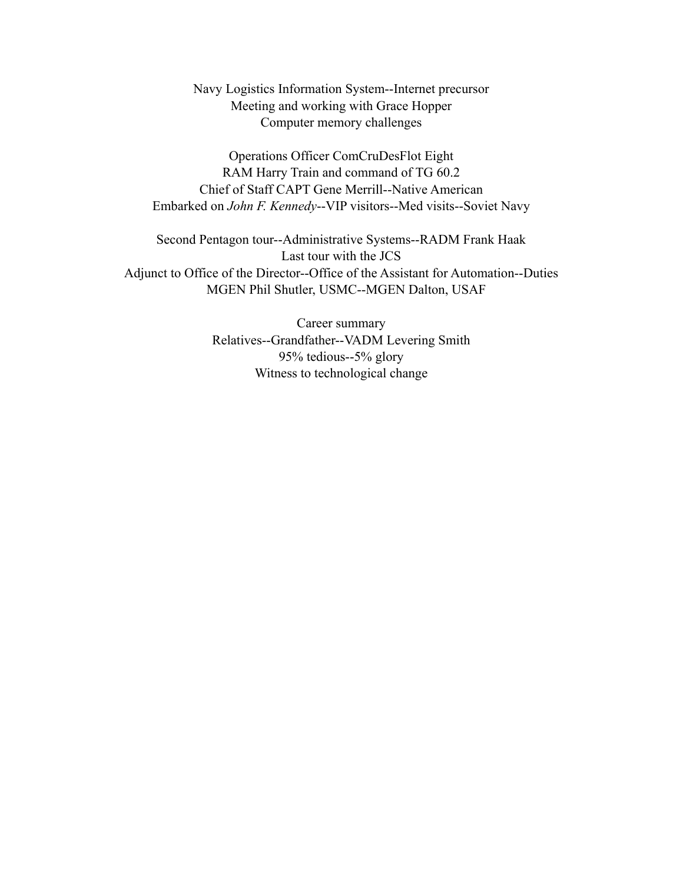Navy Logistics Information System--Internet precursor Meeting and working with Grace Hopper Computer memory challenges

Operations Officer ComCruDesFlot Eight RAM Harry Train and command of TG 60.2 Chief of Staff CAPT Gene Merrill--Native American Embarked on *John F. Kennedy*--VIP visitors--Med visits--Soviet Navy

Second Pentagon tour--Administrative Systems--RADM Frank Haak Last tour with the JCS Adjunct to Office of the Director--Office of the Assistant for Automation--Duties MGEN Phil Shutler, USMC--MGEN Dalton, USAF

> Career summary Relatives--Grandfather--VADM Levering Smith 95% tedious--5% glory Witness to technological change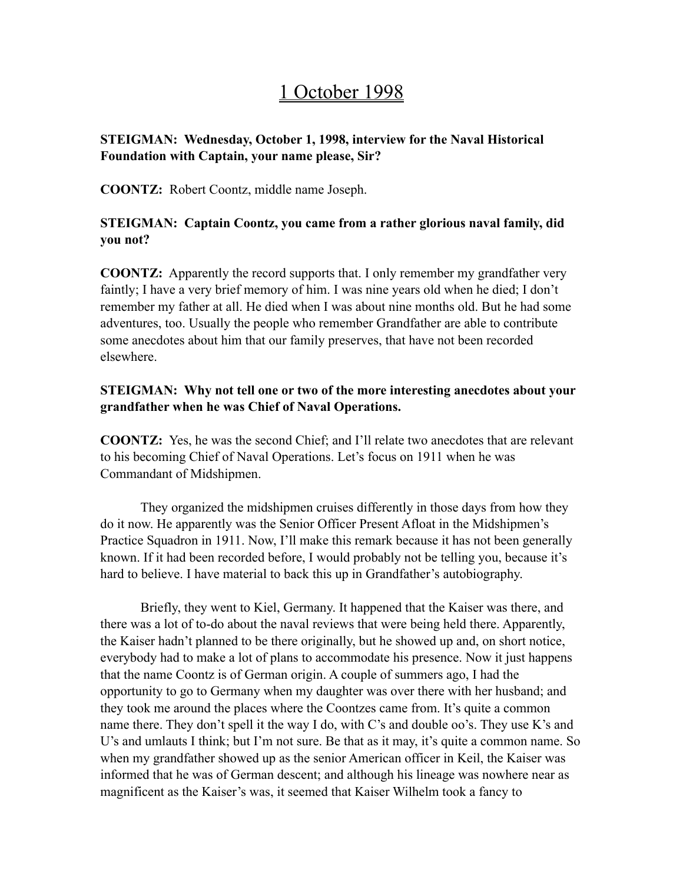# 1 October 1998

# **STEIGMAN: Wednesday, October 1, 1998, interview for the Naval Historical Foundation with Captain, your name please, Sir?**

**COONTZ:** Robert Coontz, middle name Joseph.

# **STEIGMAN: Captain Coontz, you came from a rather glorious naval family, did you not?**

**COONTZ:** Apparently the record supports that. I only remember my grandfather very faintly; I have a very brief memory of him. I was nine years old when he died; I don't remember my father at all. He died when I was about nine months old. But he had some adventures, too. Usually the people who remember Grandfather are able to contribute some anecdotes about him that our family preserves, that have not been recorded elsewhere.

### **STEIGMAN: Why not tell one or two of the more interesting anecdotes about your grandfather when he was Chief of Naval Operations.**

**COONTZ:** Yes, he was the second Chief; and I'll relate two anecdotes that are relevant to his becoming Chief of Naval Operations. Let's focus on 1911 when he was Commandant of Midshipmen.

They organized the midshipmen cruises differently in those days from how they do it now. He apparently was the Senior Officer Present Afloat in the Midshipmen's Practice Squadron in 1911. Now, I'll make this remark because it has not been generally known. If it had been recorded before, I would probably not be telling you, because it's hard to believe. I have material to back this up in Grandfather's autobiography.

Briefly, they went to Kiel, Germany. It happened that the Kaiser was there, and there was a lot of to-do about the naval reviews that were being held there. Apparently, the Kaiser hadn't planned to be there originally, but he showed up and, on short notice, everybody had to make a lot of plans to accommodate his presence. Now it just happens that the name Coontz is of German origin. A couple of summers ago, I had the opportunity to go to Germany when my daughter was over there with her husband; and they took me around the places where the Coontzes came from. It's quite a common name there. They don't spell it the way I do, with C's and double oo's. They use K's and U's and umlauts I think; but I'm not sure. Be that as it may, it's quite a common name. So when my grandfather showed up as the senior American officer in Keil, the Kaiser was informed that he was of German descent; and although his lineage was nowhere near as magnificent as the Kaiser's was, it seemed that Kaiser Wilhelm took a fancy to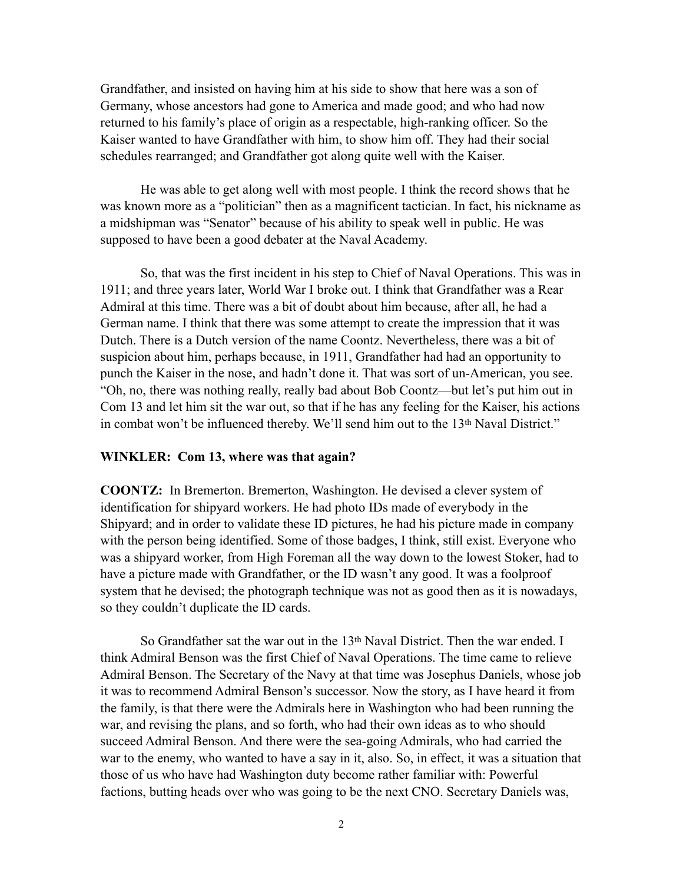Grandfather, and insisted on having him at his side to show that here was a son of Germany, whose ancestors had gone to America and made good; and who had now returned to his family's place of origin as a respectable, high-ranking officer. So the Kaiser wanted to have Grandfather with him, to show him off. They had their social schedules rearranged; and Grandfather got along quite well with the Kaiser.

He was able to get along well with most people. I think the record shows that he was known more as a "politician" then as a magnificent tactician. In fact, his nickname as a midshipman was "Senator" because of his ability to speak well in public. He was supposed to have been a good debater at the Naval Academy.

So, that was the first incident in his step to Chief of Naval Operations. This was in 1911; and three years later, World War I broke out. I think that Grandfather was a Rear Admiral at this time. There was a bit of doubt about him because, after all, he had a German name. I think that there was some attempt to create the impression that it was Dutch. There is a Dutch version of the name Coontz. Nevertheless, there was a bit of suspicion about him, perhaps because, in 1911, Grandfather had had an opportunity to punch the Kaiser in the nose, and hadn't done it. That was sort of un-American, you see. "Oh, no, there was nothing really, really bad about Bob Coontz—but let's put him out in Com 13 and let him sit the war out, so that if he has any feeling for the Kaiser, his actions in combat won't be influenced thereby. We'll send him out to the 13th Naval District."

#### **WINKLER: Com 13, where was that again?**

**COONTZ:** In Bremerton. Bremerton, Washington. He devised a clever system of identification for shipyard workers. He had photo IDs made of everybody in the Shipyard; and in order to validate these ID pictures, he had his picture made in company with the person being identified. Some of those badges, I think, still exist. Everyone who was a shipyard worker, from High Foreman all the way down to the lowest Stoker, had to have a picture made with Grandfather, or the ID wasn't any good. It was a foolproof system that he devised; the photograph technique was not as good then as it is nowadays, so they couldn't duplicate the ID cards.

So Grandfather sat the war out in the  $13<sup>th</sup>$  Naval District. Then the war ended. I think Admiral Benson was the first Chief of Naval Operations. The time came to relieve Admiral Benson. The Secretary of the Navy at that time was Josephus Daniels, whose job it was to recommend Admiral Benson's successor. Now the story, as I have heard it from the family, is that there were the Admirals here in Washington who had been running the war, and revising the plans, and so forth, who had their own ideas as to who should succeed Admiral Benson. And there were the sea-going Admirals, who had carried the war to the enemy, who wanted to have a say in it, also. So, in effect, it was a situation that those of us who have had Washington duty become rather familiar with: Powerful factions, butting heads over who was going to be the next CNO. Secretary Daniels was,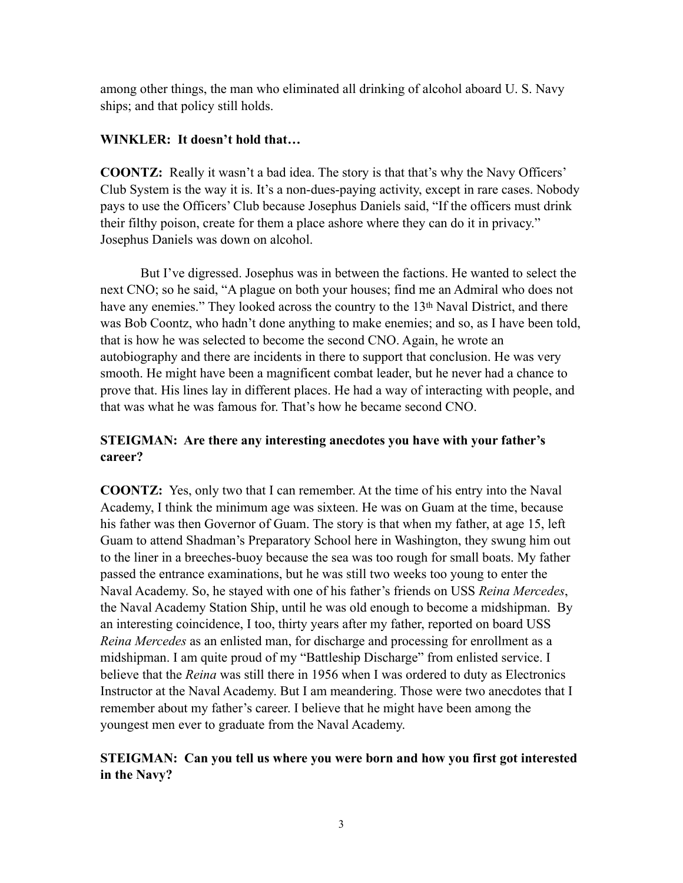among other things, the man who eliminated all drinking of alcohol aboard U. S. Navy ships; and that policy still holds.

### **WINKLER: It doesn't hold that…**

**COONTZ:** Really it wasn't a bad idea. The story is that that's why the Navy Officers' Club System is the way it is. It's a non-dues-paying activity, except in rare cases. Nobody pays to use the Officers' Club because Josephus Daniels said, "If the officers must drink their filthy poison, create for them a place ashore where they can do it in privacy." Josephus Daniels was down on alcohol.

But I've digressed. Josephus was in between the factions. He wanted to select the next CNO; so he said, "A plague on both your houses; find me an Admiral who does not have any enemies." They looked across the country to the 13<sup>th</sup> Naval District, and there was Bob Coontz, who hadn't done anything to make enemies; and so, as I have been told, that is how he was selected to become the second CNO. Again, he wrote an autobiography and there are incidents in there to support that conclusion. He was very smooth. He might have been a magnificent combat leader, but he never had a chance to prove that. His lines lay in different places. He had a way of interacting with people, and that was what he was famous for. That's how he became second CNO.

# **STEIGMAN: Are there any interesting anecdotes you have with your father's career?**

**COONTZ:** Yes, only two that I can remember. At the time of his entry into the Naval Academy, I think the minimum age was sixteen. He was on Guam at the time, because his father was then Governor of Guam. The story is that when my father, at age 15, left Guam to attend Shadman's Preparatory School here in Washington, they swung him out to the liner in a breeches-buoy because the sea was too rough for small boats. My father passed the entrance examinations, but he was still two weeks too young to enter the Naval Academy. So, he stayed with one of his father's friends on USS *Reina Mercedes*, the Naval Academy Station Ship, until he was old enough to become a midshipman. By an interesting coincidence, I too, thirty years after my father, reported on board USS *Reina Mercedes* as an enlisted man, for discharge and processing for enrollment as a midshipman. I am quite proud of my "Battleship Discharge" from enlisted service. I believe that the *Reina* was still there in 1956 when I was ordered to duty as Electronics Instructor at the Naval Academy. But I am meandering. Those were two anecdotes that I remember about my father's career. I believe that he might have been among the youngest men ever to graduate from the Naval Academy.

# **STEIGMAN: Can you tell us where you were born and how you first got interested in the Navy?**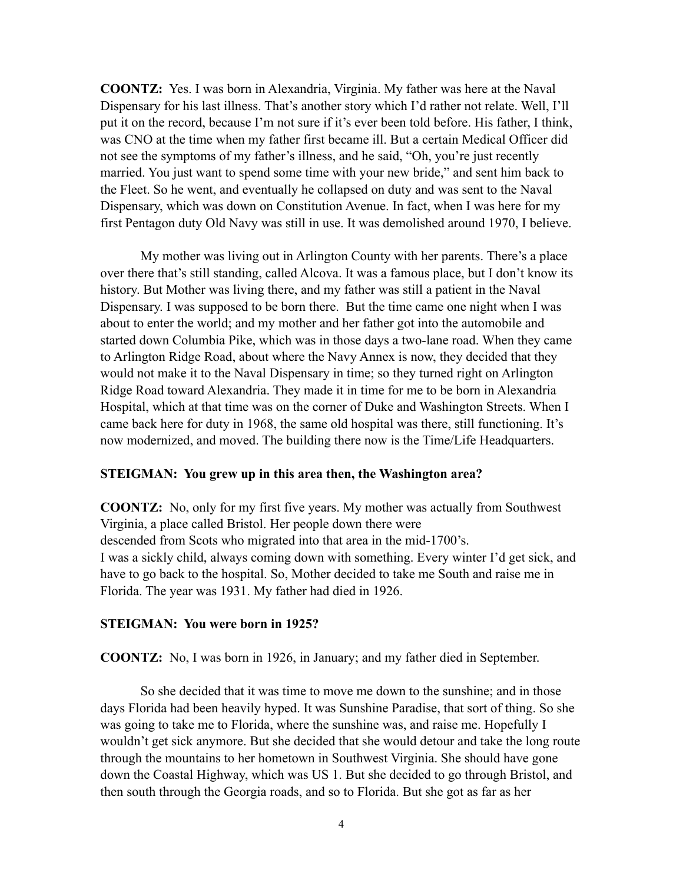**COONTZ:** Yes. I was born in Alexandria, Virginia. My father was here at the Naval Dispensary for his last illness. That's another story which I'd rather not relate. Well, I'll put it on the record, because I'm not sure if it's ever been told before. His father, I think, was CNO at the time when my father first became ill. But a certain Medical Officer did not see the symptoms of my father's illness, and he said, "Oh, you're just recently married. You just want to spend some time with your new bride," and sent him back to the Fleet. So he went, and eventually he collapsed on duty and was sent to the Naval Dispensary, which was down on Constitution Avenue. In fact, when I was here for my first Pentagon duty Old Navy was still in use. It was demolished around 1970, I believe.

My mother was living out in Arlington County with her parents. There's a place over there that's still standing, called Alcova. It was a famous place, but I don't know its history. But Mother was living there, and my father was still a patient in the Naval Dispensary. I was supposed to be born there. But the time came one night when I was about to enter the world; and my mother and her father got into the automobile and started down Columbia Pike, which was in those days a two-lane road. When they came to Arlington Ridge Road, about where the Navy Annex is now, they decided that they would not make it to the Naval Dispensary in time; so they turned right on Arlington Ridge Road toward Alexandria. They made it in time for me to be born in Alexandria Hospital, which at that time was on the corner of Duke and Washington Streets. When I came back here for duty in 1968, the same old hospital was there, still functioning. It's now modernized, and moved. The building there now is the Time/Life Headquarters.

#### **STEIGMAN: You grew up in this area then, the Washington area?**

**COONTZ:** No, only for my first five years. My mother was actually from Southwest Virginia, a place called Bristol. Her people down there were descended from Scots who migrated into that area in the mid-1700's. I was a sickly child, always coming down with something. Every winter I'd get sick, and have to go back to the hospital. So, Mother decided to take me South and raise me in Florida. The year was 1931. My father had died in 1926.

#### **STEIGMAN: You were born in 1925?**

**COONTZ:** No, I was born in 1926, in January; and my father died in September.

So she decided that it was time to move me down to the sunshine; and in those days Florida had been heavily hyped. It was Sunshine Paradise, that sort of thing. So she was going to take me to Florida, where the sunshine was, and raise me. Hopefully I wouldn't get sick anymore. But she decided that she would detour and take the long route through the mountains to her hometown in Southwest Virginia. She should have gone down the Coastal Highway, which was US 1. But she decided to go through Bristol, and then south through the Georgia roads, and so to Florida. But she got as far as her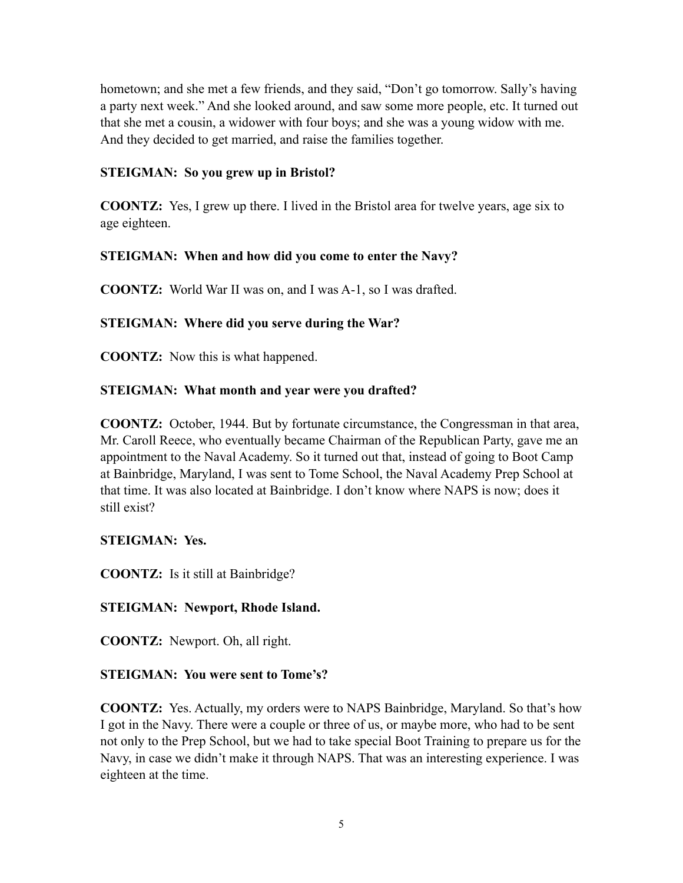hometown; and she met a few friends, and they said, "Don't go tomorrow. Sally's having a party next week." And she looked around, and saw some more people, etc. It turned out that she met a cousin, a widower with four boys; and she was a young widow with me. And they decided to get married, and raise the families together.

### **STEIGMAN: So you grew up in Bristol?**

**COONTZ:** Yes, I grew up there. I lived in the Bristol area for twelve years, age six to age eighteen.

# **STEIGMAN: When and how did you come to enter the Navy?**

**COONTZ:** World War II was on, and I was A-1, so I was drafted.

# **STEIGMAN: Where did you serve during the War?**

**COONTZ:** Now this is what happened.

# **STEIGMAN: What month and year were you drafted?**

**COONTZ:** October, 1944. But by fortunate circumstance, the Congressman in that area, Mr. Caroll Reece, who eventually became Chairman of the Republican Party, gave me an appointment to the Naval Academy. So it turned out that, instead of going to Boot Camp at Bainbridge, Maryland, I was sent to Tome School, the Naval Academy Prep School at that time. It was also located at Bainbridge. I don't know where NAPS is now; does it still exist?

### **STEIGMAN: Yes.**

**COONTZ:** Is it still at Bainbridge?

### **STEIGMAN: Newport, Rhode Island.**

**COONTZ:** Newport. Oh, all right.

# **STEIGMAN: You were sent to Tome's?**

**COONTZ:** Yes. Actually, my orders were to NAPS Bainbridge, Maryland. So that's how I got in the Navy. There were a couple or three of us, or maybe more, who had to be sent not only to the Prep School, but we had to take special Boot Training to prepare us for the Navy, in case we didn't make it through NAPS. That was an interesting experience. I was eighteen at the time.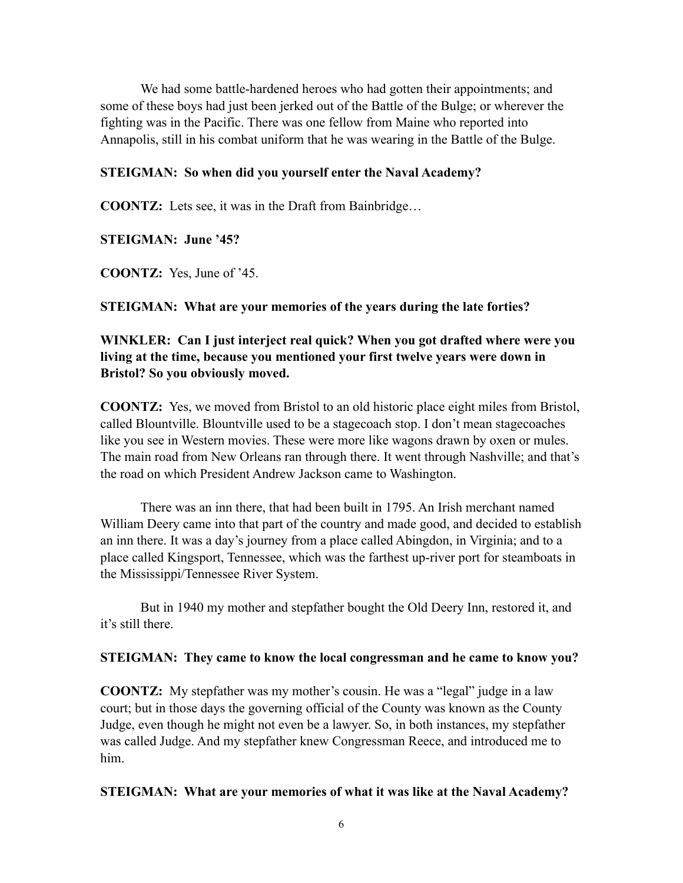We had some battle-hardened heroes who had gotten their appointments; and some of these boys had just been jerked out of the Battle of the Bulge; or wherever the fighting was in the Pacific. There was one fellow from Maine who reported into Annapolis, still in his combat uniform that he was wearing in the Battle of the Bulge.

#### **STEIGMAN: So when did you yourself enter the Naval Academy?**

**COONTZ:** Lets see, it was in the Draft from Bainbridge…

#### **STEIGMAN: June '45?**

**COONTZ:** Yes, June of '45.

#### **STEIGMAN: What are your memories of the years during the late forties?**

### **WINKLER: Can I just interject real quick? When you got drafted where were you living at the time, because you mentioned your first twelve years were down in Bristol? So you obviously moved.**

**COONTZ:** Yes, we moved from Bristol to an old historic place eight miles from Bristol, called Blountville. Blountville used to be a stagecoach stop. I don't mean stagecoaches like you see in Western movies. These were more like wagons drawn by oxen or mules. The main road from New Orleans ran through there. It went through Nashville; and that's the road on which President Andrew Jackson came to Washington.

There was an inn there, that had been built in 1795. An Irish merchant named William Deery came into that part of the country and made good, and decided to establish an inn there. It was a day's journey from a place called Abingdon, in Virginia; and to a place called Kingsport, Tennessee, which was the farthest up-river port for steamboats in the Mississippi/Tennessee River System.

But in 1940 my mother and stepfather bought the Old Deery Inn, restored it, and it's still there.

#### **STEIGMAN: They came to know the local congressman and he came to know you?**

**COONTZ:** My stepfather was my mother's cousin. He was a "legal" judge in a law court; but in those days the governing official of the County was known as the County Judge, even though he might not even be a lawyer. So, in both instances, my stepfather was called Judge. And my stepfather knew Congressman Reece, and introduced me to him.

#### **STEIGMAN: What are your memories of what it was like at the Naval Academy?**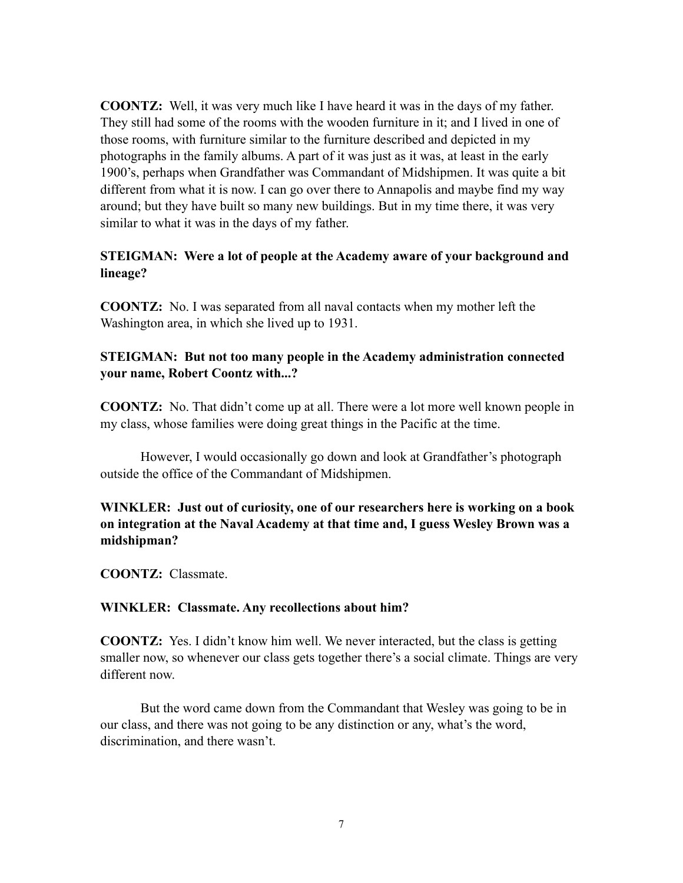**COONTZ:** Well, it was very much like I have heard it was in the days of my father. They still had some of the rooms with the wooden furniture in it; and I lived in one of those rooms, with furniture similar to the furniture described and depicted in my photographs in the family albums. A part of it was just as it was, at least in the early 1900's, perhaps when Grandfather was Commandant of Midshipmen. It was quite a bit different from what it is now. I can go over there to Annapolis and maybe find my way around; but they have built so many new buildings. But in my time there, it was very similar to what it was in the days of my father.

#### **STEIGMAN: Were a lot of people at the Academy aware of your background and lineage?**

**COONTZ:** No. I was separated from all naval contacts when my mother left the Washington area, in which she lived up to 1931.

#### **STEIGMAN: But not too many people in the Academy administration connected your name, Robert Coontz with...?**

**COONTZ:** No. That didn't come up at all. There were a lot more well known people in my class, whose families were doing great things in the Pacific at the time.

However, I would occasionally go down and look at Grandfather's photograph outside the office of the Commandant of Midshipmen.

**WINKLER: Just out of curiosity, one of our researchers here is working on a book on integration at the Naval Academy at that time and, I guess Wesley Brown was a midshipman?**

**COONTZ:** Classmate.

#### **WINKLER: Classmate. Any recollections about him?**

**COONTZ:** Yes. I didn't know him well. We never interacted, but the class is getting smaller now, so whenever our class gets together there's a social climate. Things are very different now.

But the word came down from the Commandant that Wesley was going to be in our class, and there was not going to be any distinction or any, what's the word, discrimination, and there wasn't.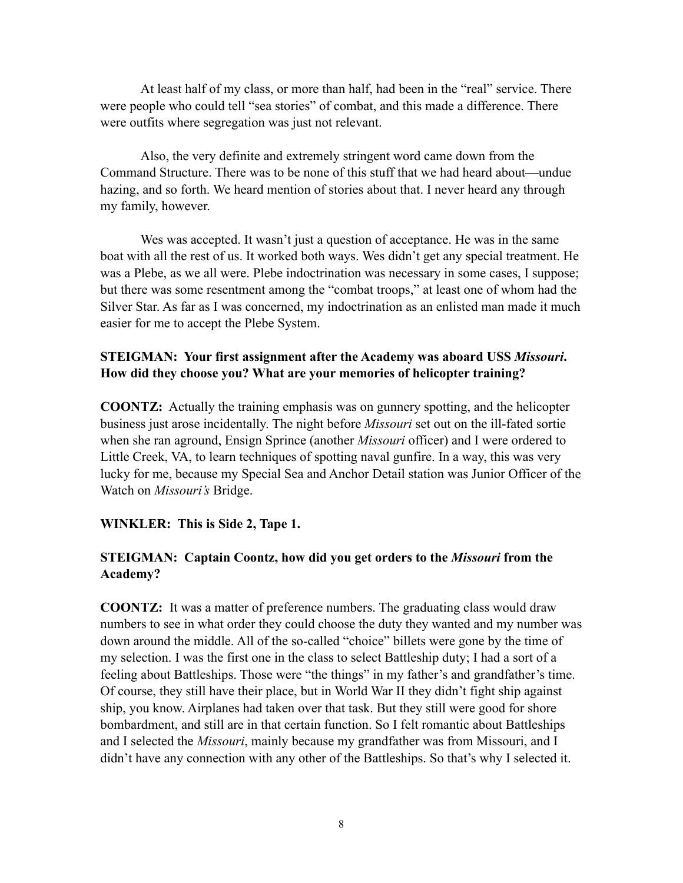At least half of my class, or more than half, had been in the "real" service. There were people who could tell "sea stories" of combat, and this made a difference. There were outfits where segregation was just not relevant.

Also, the very definite and extremely stringent word came down from the Command Structure. There was to be none of this stuff that we had heard about—undue hazing, and so forth. We heard mention of stories about that. I never heard any through my family, however.

Wes was accepted. It wasn't just a question of acceptance. He was in the same boat with all the rest of us. It worked both ways. Wes didn't get any special treatment. He was a Plebe, as we all were. Plebe indoctrination was necessary in some cases, I suppose; but there was some resentment among the "combat troops," at least one of whom had the Silver Star. As far as I was concerned, my indoctrination as an enlisted man made it much easier for me to accept the Plebe System.

#### **STEIGMAN: Your first assignment after the Academy was aboard USS** *Missouri***. How did they choose you? What are your memories of helicopter training?**

**COONTZ:** Actually the training emphasis was on gunnery spotting, and the helicopter business just arose incidentally. The night before *Missouri* set out on the ill-fated sortie when she ran aground, Ensign Sprince (another *Missouri* officer) and I were ordered to Little Creek, VA, to learn techniques of spotting naval gunfire. In a way, this was very lucky for me, because my Special Sea and Anchor Detail station was Junior Officer of the Watch on *Missouri's* Bridge.

#### **WINKLER: This is Side 2, Tape 1.**

### **STEIGMAN: Captain Coontz, how did you get orders to the** *Missouri* **from the Academy?**

**COONTZ:** It was a matter of preference numbers. The graduating class would draw numbers to see in what order they could choose the duty they wanted and my number was down around the middle. All of the so-called "choice" billets were gone by the time of my selection. I was the first one in the class to select Battleship duty; I had a sort of a feeling about Battleships. Those were "the things" in my father's and grandfather's time. Of course, they still have their place, but in World War II they didn't fight ship against ship, you know. Airplanes had taken over that task. But they still were good for shore bombardment, and still are in that certain function. So I felt romantic about Battleships and I selected the *Missouri*, mainly because my grandfather was from Missouri, and I didn't have any connection with any other of the Battleships. So that's why I selected it.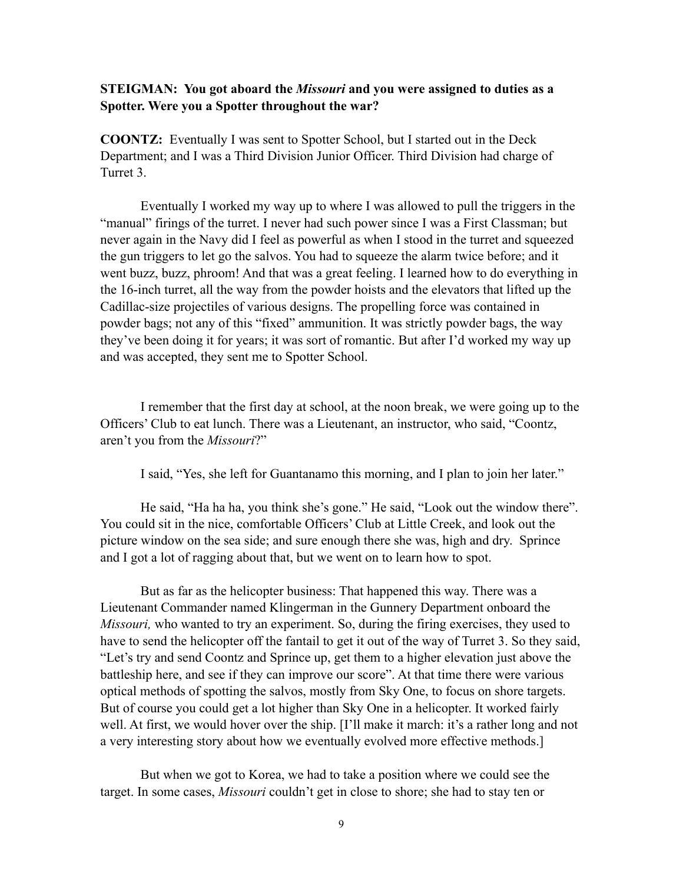#### **STEIGMAN: You got aboard the** *Missouri* **and you were assigned to duties as a Spotter. Were you a Spotter throughout the war?**

**COONTZ:** Eventually I was sent to Spotter School, but I started out in the Deck Department; and I was a Third Division Junior Officer. Third Division had charge of Turret 3.

Eventually I worked my way up to where I was allowed to pull the triggers in the "manual" firings of the turret. I never had such power since I was a First Classman; but never again in the Navy did I feel as powerful as when I stood in the turret and squeezed the gun triggers to let go the salvos. You had to squeeze the alarm twice before; and it went buzz, buzz, phroom! And that was a great feeling. I learned how to do everything in the 16-inch turret, all the way from the powder hoists and the elevators that lifted up the Cadillac-size projectiles of various designs. The propelling force was contained in powder bags; not any of this "fixed" ammunition. It was strictly powder bags, the way they've been doing it for years; it was sort of romantic. But after I'd worked my way up and was accepted, they sent me to Spotter School.

I remember that the first day at school, at the noon break, we were going up to the Officers' Club to eat lunch. There was a Lieutenant, an instructor, who said, "Coontz, aren't you from the *Missouri*?"

I said, "Yes, she left for Guantanamo this morning, and I plan to join her later."

He said, "Ha ha ha, you think she's gone." He said, "Look out the window there". You could sit in the nice, comfortable Officers' Club at Little Creek, and look out the picture window on the sea side; and sure enough there she was, high and dry. Sprince and I got a lot of ragging about that, but we went on to learn how to spot.

But as far as the helicopter business: That happened this way. There was a Lieutenant Commander named Klingerman in the Gunnery Department onboard the *Missouri,* who wanted to try an experiment. So, during the firing exercises, they used to have to send the helicopter off the fantail to get it out of the way of Turret 3. So they said, "Let's try and send Coontz and Sprince up, get them to a higher elevation just above the battleship here, and see if they can improve our score". At that time there were various optical methods of spotting the salvos, mostly from Sky One, to focus on shore targets. But of course you could get a lot higher than Sky One in a helicopter. It worked fairly well. At first, we would hover over the ship. [I'll make it march: it's a rather long and not a very interesting story about how we eventually evolved more effective methods.]

But when we got to Korea, we had to take a position where we could see the target. In some cases, *Missouri* couldn't get in close to shore; she had to stay ten or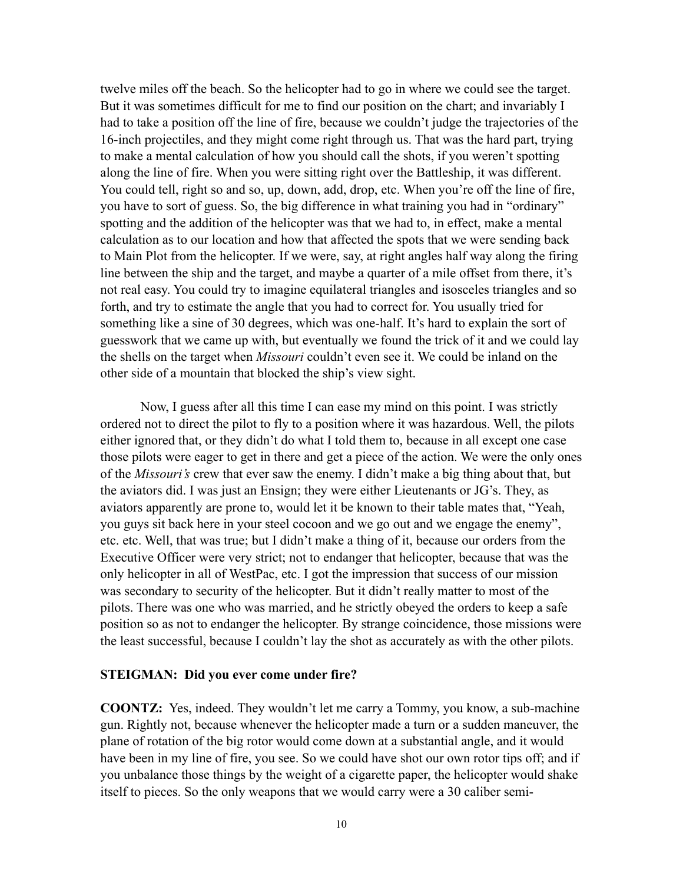twelve miles off the beach. So the helicopter had to go in where we could see the target. But it was sometimes difficult for me to find our position on the chart; and invariably I had to take a position off the line of fire, because we couldn't judge the trajectories of the 16-inch projectiles, and they might come right through us. That was the hard part, trying to make a mental calculation of how you should call the shots, if you weren't spotting along the line of fire. When you were sitting right over the Battleship, it was different. You could tell, right so and so, up, down, add, drop, etc. When you're off the line of fire, you have to sort of guess. So, the big difference in what training you had in "ordinary" spotting and the addition of the helicopter was that we had to, in effect, make a mental calculation as to our location and how that affected the spots that we were sending back to Main Plot from the helicopter. If we were, say, at right angles half way along the firing line between the ship and the target, and maybe a quarter of a mile offset from there, it's not real easy. You could try to imagine equilateral triangles and isosceles triangles and so forth, and try to estimate the angle that you had to correct for. You usually tried for something like a sine of 30 degrees, which was one-half. It's hard to explain the sort of guesswork that we came up with, but eventually we found the trick of it and we could lay the shells on the target when *Missouri* couldn't even see it. We could be inland on the other side of a mountain that blocked the ship's view sight.

Now, I guess after all this time I can ease my mind on this point. I was strictly ordered not to direct the pilot to fly to a position where it was hazardous. Well, the pilots either ignored that, or they didn't do what I told them to, because in all except one case those pilots were eager to get in there and get a piece of the action. We were the only ones of the *Missouri's* crew that ever saw the enemy. I didn't make a big thing about that, but the aviators did. I was just an Ensign; they were either Lieutenants or JG's. They, as aviators apparently are prone to, would let it be known to their table mates that, "Yeah, you guys sit back here in your steel cocoon and we go out and we engage the enemy", etc. etc. Well, that was true; but I didn't make a thing of it, because our orders from the Executive Officer were very strict; not to endanger that helicopter, because that was the only helicopter in all of WestPac, etc. I got the impression that success of our mission was secondary to security of the helicopter. But it didn't really matter to most of the pilots. There was one who was married, and he strictly obeyed the orders to keep a safe position so as not to endanger the helicopter. By strange coincidence, those missions were the least successful, because I couldn't lay the shot as accurately as with the other pilots.

#### **STEIGMAN: Did you ever come under fire?**

**COONTZ:** Yes, indeed. They wouldn't let me carry a Tommy, you know, a sub-machine gun. Rightly not, because whenever the helicopter made a turn or a sudden maneuver, the plane of rotation of the big rotor would come down at a substantial angle, and it would have been in my line of fire, you see. So we could have shot our own rotor tips off; and if you unbalance those things by the weight of a cigarette paper, the helicopter would shake itself to pieces. So the only weapons that we would carry were a 30 caliber semi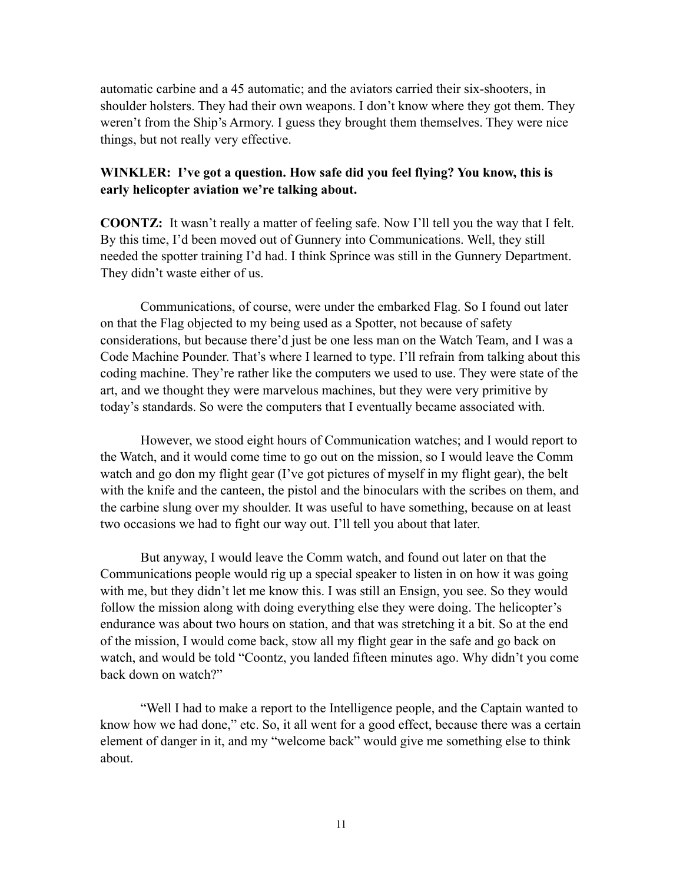automatic carbine and a 45 automatic; and the aviators carried their six-shooters, in shoulder holsters. They had their own weapons. I don't know where they got them. They weren't from the Ship's Armory. I guess they brought them themselves. They were nice things, but not really very effective.

#### **WINKLER: I've got a question. How safe did you feel flying? You know, this is early helicopter aviation we're talking about.**

**COONTZ:** It wasn't really a matter of feeling safe. Now I'll tell you the way that I felt. By this time, I'd been moved out of Gunnery into Communications. Well, they still needed the spotter training I'd had. I think Sprince was still in the Gunnery Department. They didn't waste either of us.

Communications, of course, were under the embarked Flag. So I found out later on that the Flag objected to my being used as a Spotter, not because of safety considerations, but because there'd just be one less man on the Watch Team, and I was a Code Machine Pounder. That's where I learned to type. I'll refrain from talking about this coding machine. They're rather like the computers we used to use. They were state of the art, and we thought they were marvelous machines, but they were very primitive by today's standards. So were the computers that I eventually became associated with.

However, we stood eight hours of Communication watches; and I would report to the Watch, and it would come time to go out on the mission, so I would leave the Comm watch and go don my flight gear (I've got pictures of myself in my flight gear), the belt with the knife and the canteen, the pistol and the binoculars with the scribes on them, and the carbine slung over my shoulder. It was useful to have something, because on at least two occasions we had to fight our way out. I'll tell you about that later.

But anyway, I would leave the Comm watch, and found out later on that the Communications people would rig up a special speaker to listen in on how it was going with me, but they didn't let me know this. I was still an Ensign, you see. So they would follow the mission along with doing everything else they were doing. The helicopter's endurance was about two hours on station, and that was stretching it a bit. So at the end of the mission, I would come back, stow all my flight gear in the safe and go back on watch, and would be told "Coontz, you landed fifteen minutes ago. Why didn't you come back down on watch?"

"Well I had to make a report to the Intelligence people, and the Captain wanted to know how we had done," etc. So, it all went for a good effect, because there was a certain element of danger in it, and my "welcome back" would give me something else to think about.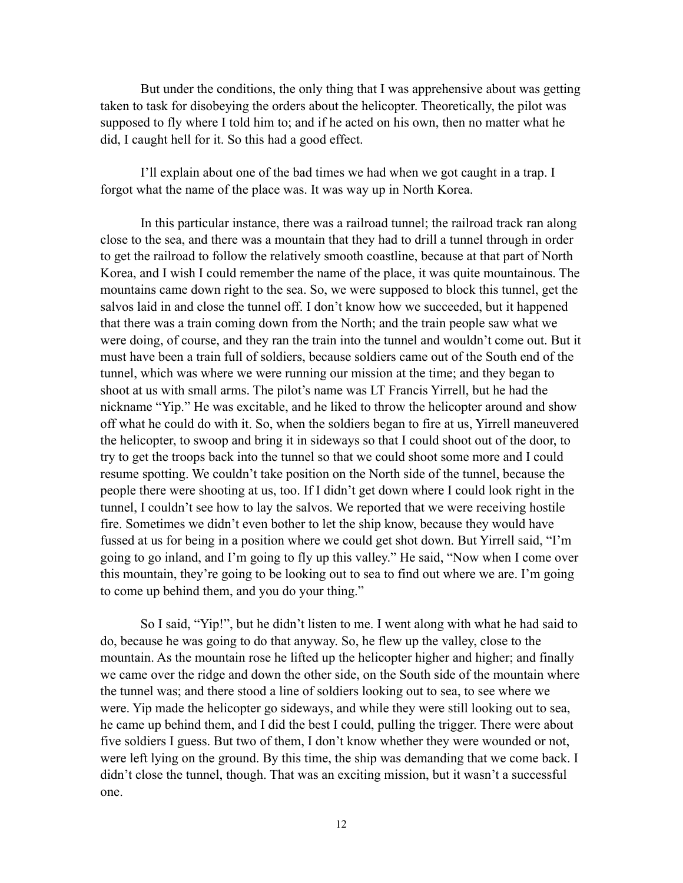But under the conditions, the only thing that I was apprehensive about was getting taken to task for disobeying the orders about the helicopter. Theoretically, the pilot was supposed to fly where I told him to; and if he acted on his own, then no matter what he did, I caught hell for it. So this had a good effect.

I'll explain about one of the bad times we had when we got caught in a trap. I forgot what the name of the place was. It was way up in North Korea.

In this particular instance, there was a railroad tunnel; the railroad track ran along close to the sea, and there was a mountain that they had to drill a tunnel through in order to get the railroad to follow the relatively smooth coastline, because at that part of North Korea, and I wish I could remember the name of the place, it was quite mountainous. The mountains came down right to the sea. So, we were supposed to block this tunnel, get the salvos laid in and close the tunnel off. I don't know how we succeeded, but it happened that there was a train coming down from the North; and the train people saw what we were doing, of course, and they ran the train into the tunnel and wouldn't come out. But it must have been a train full of soldiers, because soldiers came out of the South end of the tunnel, which was where we were running our mission at the time; and they began to shoot at us with small arms. The pilot's name was LT Francis Yirrell, but he had the nickname "Yip." He was excitable, and he liked to throw the helicopter around and show off what he could do with it. So, when the soldiers began to fire at us, Yirrell maneuvered the helicopter, to swoop and bring it in sideways so that I could shoot out of the door, to try to get the troops back into the tunnel so that we could shoot some more and I could resume spotting. We couldn't take position on the North side of the tunnel, because the people there were shooting at us, too. If I didn't get down where I could look right in the tunnel, I couldn't see how to lay the salvos. We reported that we were receiving hostile fire. Sometimes we didn't even bother to let the ship know, because they would have fussed at us for being in a position where we could get shot down. But Yirrell said, "I'm going to go inland, and I'm going to fly up this valley." He said, "Now when I come over this mountain, they're going to be looking out to sea to find out where we are. I'm going to come up behind them, and you do your thing."

So I said, "Yip!", but he didn't listen to me. I went along with what he had said to do, because he was going to do that anyway. So, he flew up the valley, close to the mountain. As the mountain rose he lifted up the helicopter higher and higher; and finally we came over the ridge and down the other side, on the South side of the mountain where the tunnel was; and there stood a line of soldiers looking out to sea, to see where we were. Yip made the helicopter go sideways, and while they were still looking out to sea, he came up behind them, and I did the best I could, pulling the trigger. There were about five soldiers I guess. But two of them, I don't know whether they were wounded or not, were left lying on the ground. By this time, the ship was demanding that we come back. I didn't close the tunnel, though. That was an exciting mission, but it wasn't a successful one.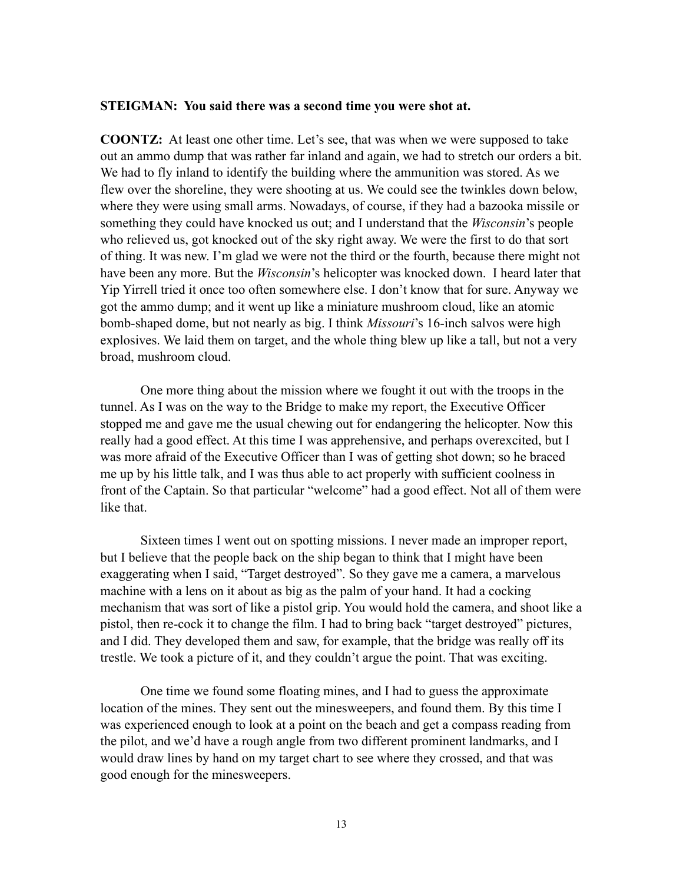#### **STEIGMAN: You said there was a second time you were shot at.**

**COONTZ:** At least one other time. Let's see, that was when we were supposed to take out an ammo dump that was rather far inland and again, we had to stretch our orders a bit. We had to fly inland to identify the building where the ammunition was stored. As we flew over the shoreline, they were shooting at us. We could see the twinkles down below, where they were using small arms. Nowadays, of course, if they had a bazooka missile or something they could have knocked us out; and I understand that the *Wisconsin*'s people who relieved us, got knocked out of the sky right away. We were the first to do that sort of thing. It was new. I'm glad we were not the third or the fourth, because there might not have been any more. But the *Wisconsin*'s helicopter was knocked down. I heard later that Yip Yirrell tried it once too often somewhere else. I don't know that for sure. Anyway we got the ammo dump; and it went up like a miniature mushroom cloud, like an atomic bomb-shaped dome, but not nearly as big. I think *Missouri*'s 16-inch salvos were high explosives. We laid them on target, and the whole thing blew up like a tall, but not a very broad, mushroom cloud.

One more thing about the mission where we fought it out with the troops in the tunnel. As I was on the way to the Bridge to make my report, the Executive Officer stopped me and gave me the usual chewing out for endangering the helicopter. Now this really had a good effect. At this time I was apprehensive, and perhaps overexcited, but I was more afraid of the Executive Officer than I was of getting shot down; so he braced me up by his little talk, and I was thus able to act properly with sufficient coolness in front of the Captain. So that particular "welcome" had a good effect. Not all of them were like that.

Sixteen times I went out on spotting missions. I never made an improper report, but I believe that the people back on the ship began to think that I might have been exaggerating when I said, "Target destroyed". So they gave me a camera, a marvelous machine with a lens on it about as big as the palm of your hand. It had a cocking mechanism that was sort of like a pistol grip. You would hold the camera, and shoot like a pistol, then re-cock it to change the film. I had to bring back "target destroyed" pictures, and I did. They developed them and saw, for example, that the bridge was really off its trestle. We took a picture of it, and they couldn't argue the point. That was exciting.

One time we found some floating mines, and I had to guess the approximate location of the mines. They sent out the minesweepers, and found them. By this time I was experienced enough to look at a point on the beach and get a compass reading from the pilot, and we'd have a rough angle from two different prominent landmarks, and I would draw lines by hand on my target chart to see where they crossed, and that was good enough for the minesweepers.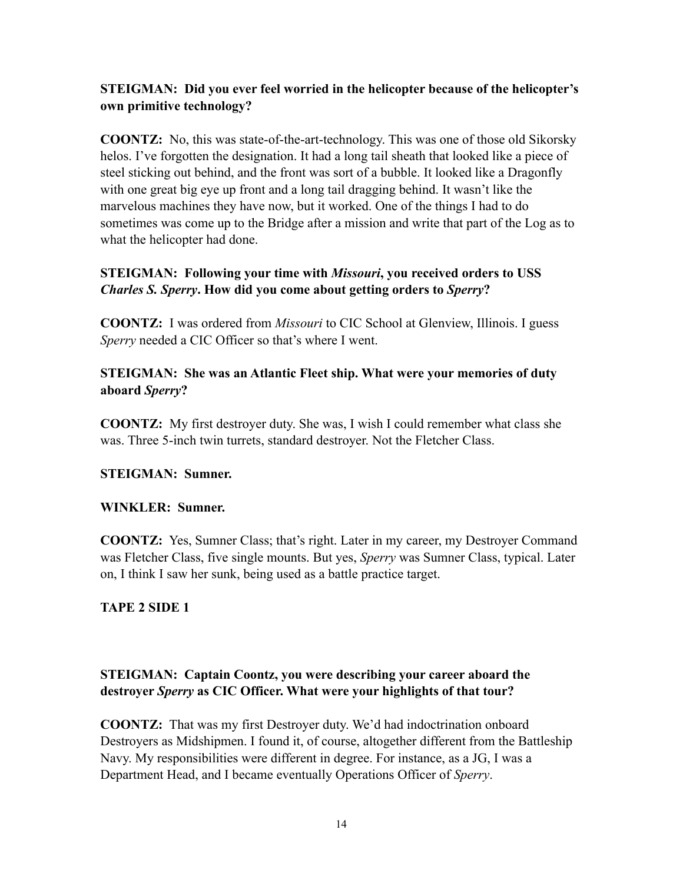# **STEIGMAN: Did you ever feel worried in the helicopter because of the helicopter's own primitive technology?**

**COONTZ:** No, this was state-of-the-art-technology. This was one of those old Sikorsky helos. I've forgotten the designation. It had a long tail sheath that looked like a piece of steel sticking out behind, and the front was sort of a bubble. It looked like a Dragonfly with one great big eye up front and a long tail dragging behind. It wasn't like the marvelous machines they have now, but it worked. One of the things I had to do sometimes was come up to the Bridge after a mission and write that part of the Log as to what the helicopter had done.

# **STEIGMAN: Following your time with** *Missouri***, you received orders to USS**  *Charles S. Sperry***. How did you come about getting orders to** *Sperry***?**

**COONTZ:** I was ordered from *Missouri* to CIC School at Glenview, Illinois. I guess *Sperry* needed a CIC Officer so that's where I went.

### **STEIGMAN: She was an Atlantic Fleet ship. What were your memories of duty aboard** *Sperry***?**

**COONTZ:** My first destroyer duty. She was, I wish I could remember what class she was. Three 5-inch twin turrets, standard destroyer. Not the Fletcher Class.

# **STEIGMAN: Sumner.**

### **WINKLER: Sumner.**

**COONTZ:** Yes, Sumner Class; that's right. Later in my career, my Destroyer Command was Fletcher Class, five single mounts. But yes, *Sperry* was Sumner Class, typical. Later on, I think I saw her sunk, being used as a battle practice target.

### **TAPE 2 SIDE 1**

# **STEIGMAN: Captain Coontz, you were describing your career aboard the destroyer** *Sperry* **as CIC Officer. What were your highlights of that tour?**

**COONTZ:** That was my first Destroyer duty. We'd had indoctrination onboard Destroyers as Midshipmen. I found it, of course, altogether different from the Battleship Navy. My responsibilities were different in degree. For instance, as a JG, I was a Department Head, and I became eventually Operations Officer of *Sperry*.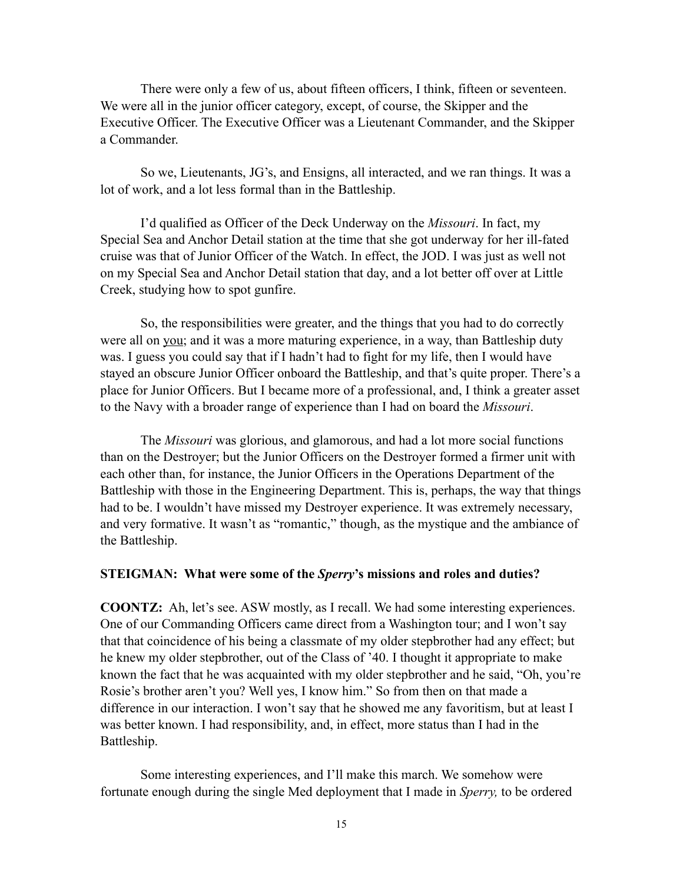There were only a few of us, about fifteen officers, I think, fifteen or seventeen. We were all in the junior officer category, except, of course, the Skipper and the Executive Officer. The Executive Officer was a Lieutenant Commander, and the Skipper a Commander.

So we, Lieutenants, JG's, and Ensigns, all interacted, and we ran things. It was a lot of work, and a lot less formal than in the Battleship.

I'd qualified as Officer of the Deck Underway on the *Missouri*. In fact, my Special Sea and Anchor Detail station at the time that she got underway for her ill-fated cruise was that of Junior Officer of the Watch. In effect, the JOD. I was just as well not on my Special Sea and Anchor Detail station that day, and a lot better off over at Little Creek, studying how to spot gunfire.

So, the responsibilities were greater, and the things that you had to do correctly were all on you; and it was a more maturing experience, in a way, than Battleship duty was. I guess you could say that if I hadn't had to fight for my life, then I would have stayed an obscure Junior Officer onboard the Battleship, and that's quite proper. There's a place for Junior Officers. But I became more of a professional, and, I think a greater asset to the Navy with a broader range of experience than I had on board the *Missouri*.

The *Missouri* was glorious, and glamorous, and had a lot more social functions than on the Destroyer; but the Junior Officers on the Destroyer formed a firmer unit with each other than, for instance, the Junior Officers in the Operations Department of the Battleship with those in the Engineering Department. This is, perhaps, the way that things had to be. I wouldn't have missed my Destroyer experience. It was extremely necessary, and very formative. It wasn't as "romantic," though, as the mystique and the ambiance of the Battleship.

#### **STEIGMAN: What were some of the** *Sperry***'s missions and roles and duties?**

**COONTZ:** Ah, let's see. ASW mostly, as I recall. We had some interesting experiences. One of our Commanding Officers came direct from a Washington tour; and I won't say that that coincidence of his being a classmate of my older stepbrother had any effect; but he knew my older stepbrother, out of the Class of '40. I thought it appropriate to make known the fact that he was acquainted with my older stepbrother and he said, "Oh, you're Rosie's brother aren't you? Well yes, I know him." So from then on that made a difference in our interaction. I won't say that he showed me any favoritism, but at least I was better known. I had responsibility, and, in effect, more status than I had in the Battleship.

Some interesting experiences, and I'll make this march. We somehow were fortunate enough during the single Med deployment that I made in *Sperry,* to be ordered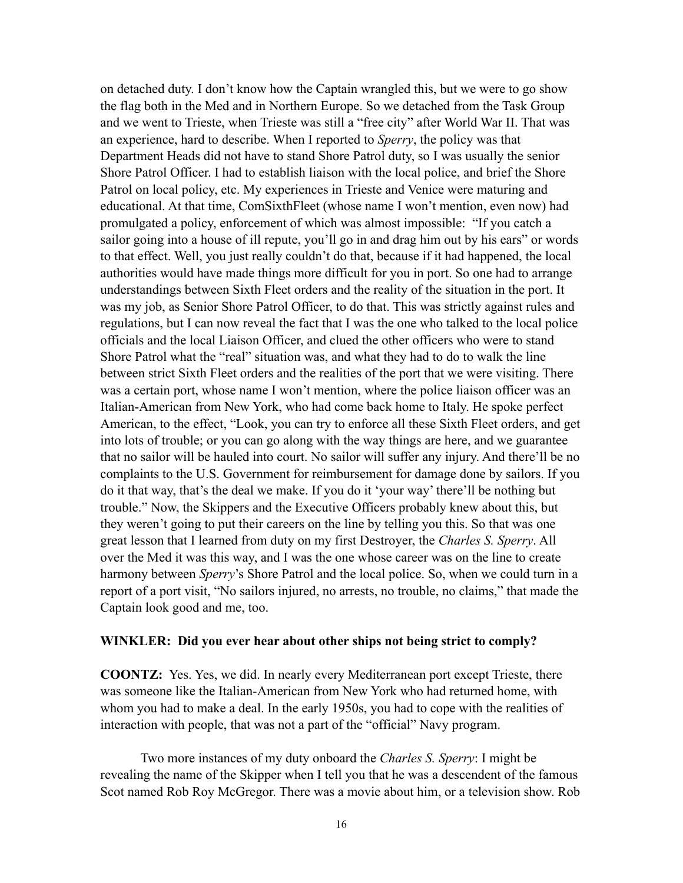on detached duty. I don't know how the Captain wrangled this, but we were to go show the flag both in the Med and in Northern Europe. So we detached from the Task Group and we went to Trieste, when Trieste was still a "free city" after World War II. That was an experience, hard to describe. When I reported to *Sperry*, the policy was that Department Heads did not have to stand Shore Patrol duty, so I was usually the senior Shore Patrol Officer. I had to establish liaison with the local police, and brief the Shore Patrol on local policy, etc. My experiences in Trieste and Venice were maturing and educational. At that time, ComSixthFleet (whose name I won't mention, even now) had promulgated a policy, enforcement of which was almost impossible: "If you catch a sailor going into a house of ill repute, you'll go in and drag him out by his ears" or words to that effect. Well, you just really couldn't do that, because if it had happened, the local authorities would have made things more difficult for you in port. So one had to arrange understandings between Sixth Fleet orders and the reality of the situation in the port. It was my job, as Senior Shore Patrol Officer, to do that. This was strictly against rules and regulations, but I can now reveal the fact that I was the one who talked to the local police officials and the local Liaison Officer, and clued the other officers who were to stand Shore Patrol what the "real" situation was, and what they had to do to walk the line between strict Sixth Fleet orders and the realities of the port that we were visiting. There was a certain port, whose name I won't mention, where the police liaison officer was an Italian-American from New York, who had come back home to Italy. He spoke perfect American, to the effect, "Look, you can try to enforce all these Sixth Fleet orders, and get into lots of trouble; or you can go along with the way things are here, and we guarantee that no sailor will be hauled into court. No sailor will suffer any injury. And there'll be no complaints to the U.S. Government for reimbursement for damage done by sailors. If you do it that way, that's the deal we make. If you do it 'your way' there'll be nothing but trouble." Now, the Skippers and the Executive Officers probably knew about this, but they weren't going to put their careers on the line by telling you this. So that was one great lesson that I learned from duty on my first Destroyer, the *Charles S. Sperry*. All over the Med it was this way, and I was the one whose career was on the line to create harmony between *Sperry*'s Shore Patrol and the local police. So, when we could turn in a report of a port visit, "No sailors injured, no arrests, no trouble, no claims," that made the Captain look good and me, too.

#### **WINKLER: Did you ever hear about other ships not being strict to comply?**

**COONTZ:** Yes. Yes, we did. In nearly every Mediterranean port except Trieste, there was someone like the Italian-American from New York who had returned home, with whom you had to make a deal. In the early 1950s, you had to cope with the realities of interaction with people, that was not a part of the "official" Navy program.

Two more instances of my duty onboard the *Charles S. Sperry*: I might be revealing the name of the Skipper when I tell you that he was a descendent of the famous Scot named Rob Roy McGregor. There was a movie about him, or a television show. Rob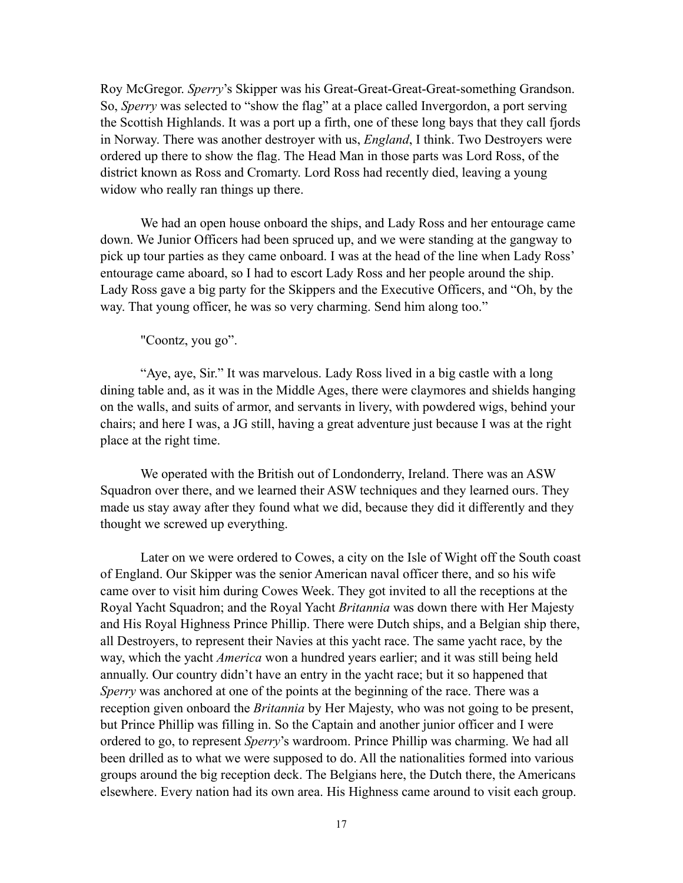Roy McGregor. *Sperry*'s Skipper was his Great-Great-Great-Great-something Grandson. So, *Sperry* was selected to "show the flag" at a place called Invergordon, a port serving the Scottish Highlands. It was a port up a firth, one of these long bays that they call fjords in Norway. There was another destroyer with us, *England*, I think. Two Destroyers were ordered up there to show the flag. The Head Man in those parts was Lord Ross, of the district known as Ross and Cromarty. Lord Ross had recently died, leaving a young widow who really ran things up there.

We had an open house onboard the ships, and Lady Ross and her entourage came down. We Junior Officers had been spruced up, and we were standing at the gangway to pick up tour parties as they came onboard. I was at the head of the line when Lady Ross' entourage came aboard, so I had to escort Lady Ross and her people around the ship. Lady Ross gave a big party for the Skippers and the Executive Officers, and "Oh, by the way. That young officer, he was so very charming. Send him along too."

"Coontz, you go".

"Aye, aye, Sir." It was marvelous. Lady Ross lived in a big castle with a long dining table and, as it was in the Middle Ages, there were claymores and shields hanging on the walls, and suits of armor, and servants in livery, with powdered wigs, behind your chairs; and here I was, a JG still, having a great adventure just because I was at the right place at the right time.

We operated with the British out of Londonderry, Ireland. There was an ASW Squadron over there, and we learned their ASW techniques and they learned ours. They made us stay away after they found what we did, because they did it differently and they thought we screwed up everything.

Later on we were ordered to Cowes, a city on the Isle of Wight off the South coast of England. Our Skipper was the senior American naval officer there, and so his wife came over to visit him during Cowes Week. They got invited to all the receptions at the Royal Yacht Squadron; and the Royal Yacht *Britannia* was down there with Her Majesty and His Royal Highness Prince Phillip. There were Dutch ships, and a Belgian ship there, all Destroyers, to represent their Navies at this yacht race. The same yacht race, by the way, which the yacht *America* won a hundred years earlier; and it was still being held annually. Our country didn't have an entry in the yacht race; but it so happened that *Sperry* was anchored at one of the points at the beginning of the race. There was a reception given onboard the *Britannia* by Her Majesty, who was not going to be present, but Prince Phillip was filling in. So the Captain and another junior officer and I were ordered to go, to represent *Sperry*'s wardroom. Prince Phillip was charming. We had all been drilled as to what we were supposed to do. All the nationalities formed into various groups around the big reception deck. The Belgians here, the Dutch there, the Americans elsewhere. Every nation had its own area. His Highness came around to visit each group.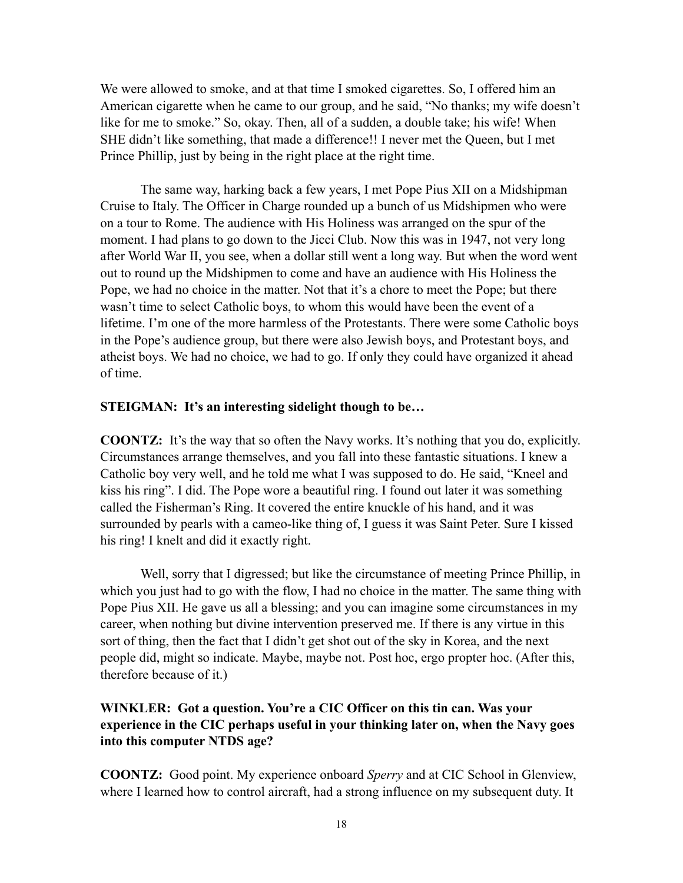We were allowed to smoke, and at that time I smoked cigarettes. So, I offered him an American cigarette when he came to our group, and he said, "No thanks; my wife doesn't like for me to smoke." So, okay. Then, all of a sudden, a double take; his wife! When SHE didn't like something, that made a difference!! I never met the Queen, but I met Prince Phillip, just by being in the right place at the right time.

The same way, harking back a few years, I met Pope Pius XII on a Midshipman Cruise to Italy. The Officer in Charge rounded up a bunch of us Midshipmen who were on a tour to Rome. The audience with His Holiness was arranged on the spur of the moment. I had plans to go down to the Jicci Club. Now this was in 1947, not very long after World War II, you see, when a dollar still went a long way. But when the word went out to round up the Midshipmen to come and have an audience with His Holiness the Pope, we had no choice in the matter. Not that it's a chore to meet the Pope; but there wasn't time to select Catholic boys, to whom this would have been the event of a lifetime. I'm one of the more harmless of the Protestants. There were some Catholic boys in the Pope's audience group, but there were also Jewish boys, and Protestant boys, and atheist boys. We had no choice, we had to go. If only they could have organized it ahead of time.

#### **STEIGMAN: It's an interesting sidelight though to be…**

**COONTZ:** It's the way that so often the Navy works. It's nothing that you do, explicitly. Circumstances arrange themselves, and you fall into these fantastic situations. I knew a Catholic boy very well, and he told me what I was supposed to do. He said, "Kneel and kiss his ring". I did. The Pope wore a beautiful ring. I found out later it was something called the Fisherman's Ring. It covered the entire knuckle of his hand, and it was surrounded by pearls with a cameo-like thing of, I guess it was Saint Peter. Sure I kissed his ring! I knelt and did it exactly right.

Well, sorry that I digressed; but like the circumstance of meeting Prince Phillip, in which you just had to go with the flow, I had no choice in the matter. The same thing with Pope Pius XII. He gave us all a blessing; and you can imagine some circumstances in my career, when nothing but divine intervention preserved me. If there is any virtue in this sort of thing, then the fact that I didn't get shot out of the sky in Korea, and the next people did, might so indicate. Maybe, maybe not. Post hoc, ergo propter hoc. (After this, therefore because of it.)

# **WINKLER: Got a question. You're a CIC Officer on this tin can. Was your experience in the CIC perhaps useful in your thinking later on, when the Navy goes into this computer NTDS age?**

**COONTZ:** Good point. My experience onboard *Sperry* and at CIC School in Glenview, where I learned how to control aircraft, had a strong influence on my subsequent duty. It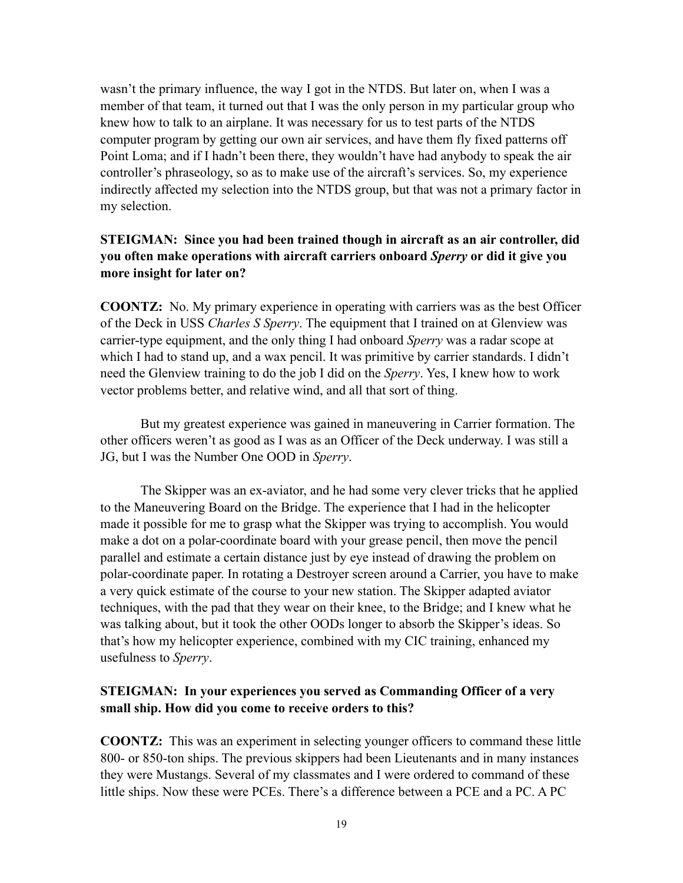wasn't the primary influence, the way I got in the NTDS. But later on, when I was a member of that team, it turned out that I was the only person in my particular group who knew how to talk to an airplane. It was necessary for us to test parts of the NTDS computer program by getting our own air services, and have them fly fixed patterns off Point Loma; and if I hadn't been there, they wouldn't have had anybody to speak the air controller's phraseology, so as to make use of the aircraft's services. So, my experience indirectly affected my selection into the NTDS group, but that was not a primary factor in my selection.

# **STEIGMAN: Since you had been trained though in aircraft as an air controller, did you often make operations with aircraft carriers onboard** *Sperry* **or did it give you more insight for later on?**

**COONTZ:** No. My primary experience in operating with carriers was as the best Officer of the Deck in USS *Charles S Sperry*. The equipment that I trained on at Glenview was carrier-type equipment, and the only thing I had onboard *Sperry* was a radar scope at which I had to stand up, and a wax pencil. It was primitive by carrier standards. I didn't need the Glenview training to do the job I did on the *Sperry*. Yes, I knew how to work vector problems better, and relative wind, and all that sort of thing.

But my greatest experience was gained in maneuvering in Carrier formation. The other officers weren't as good as I was as an Officer of the Deck underway. I was still a JG, but I was the Number One OOD in *Sperry*.

The Skipper was an ex-aviator, and he had some very clever tricks that he applied to the Maneuvering Board on the Bridge. The experience that I had in the helicopter made it possible for me to grasp what the Skipper was trying to accomplish. You would make a dot on a polar-coordinate board with your grease pencil, then move the pencil parallel and estimate a certain distance just by eye instead of drawing the problem on polar-coordinate paper. In rotating a Destroyer screen around a Carrier, you have to make a very quick estimate of the course to your new station. The Skipper adapted aviator techniques, with the pad that they wear on their knee, to the Bridge; and I knew what he was talking about, but it took the other OODs longer to absorb the Skipper's ideas. So that's how my helicopter experience, combined with my CIC training, enhanced my usefulness to *Sperry*.

# **STEIGMAN: In your experiences you served as Commanding Officer of a very small ship. How did you come to receive orders to this?**

**COONTZ:** This was an experiment in selecting younger officers to command these little 800- or 850-ton ships. The previous skippers had been Lieutenants and in many instances they were Mustangs. Several of my classmates and I were ordered to command of these little ships. Now these were PCEs. There's a difference between a PCE and a PC. A PC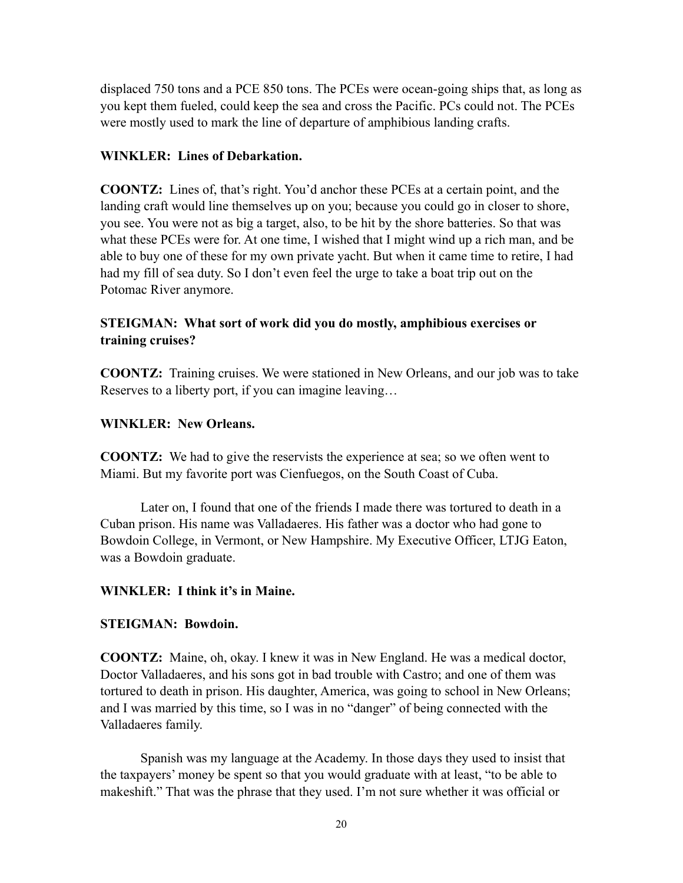displaced 750 tons and a PCE 850 tons. The PCEs were ocean-going ships that, as long as you kept them fueled, could keep the sea and cross the Pacific. PCs could not. The PCEs were mostly used to mark the line of departure of amphibious landing crafts.

### **WINKLER: Lines of Debarkation.**

**COONTZ:** Lines of, that's right. You'd anchor these PCEs at a certain point, and the landing craft would line themselves up on you; because you could go in closer to shore, you see. You were not as big a target, also, to be hit by the shore batteries. So that was what these PCEs were for. At one time, I wished that I might wind up a rich man, and be able to buy one of these for my own private yacht. But when it came time to retire, I had had my fill of sea duty. So I don't even feel the urge to take a boat trip out on the Potomac River anymore.

# **STEIGMAN: What sort of work did you do mostly, amphibious exercises or training cruises?**

**COONTZ:** Training cruises. We were stationed in New Orleans, and our job was to take Reserves to a liberty port, if you can imagine leaving…

# **WINKLER: New Orleans.**

**COONTZ:** We had to give the reservists the experience at sea; so we often went to Miami. But my favorite port was Cienfuegos, on the South Coast of Cuba.

Later on, I found that one of the friends I made there was tortured to death in a Cuban prison. His name was Valladaeres. His father was a doctor who had gone to Bowdoin College, in Vermont, or New Hampshire. My Executive Officer, LTJG Eaton, was a Bowdoin graduate.

### **WINKLER: I think it's in Maine.**

### **STEIGMAN: Bowdoin.**

**COONTZ:** Maine, oh, okay. I knew it was in New England. He was a medical doctor, Doctor Valladaeres, and his sons got in bad trouble with Castro; and one of them was tortured to death in prison. His daughter, America, was going to school in New Orleans; and I was married by this time, so I was in no "danger" of being connected with the Valladaeres family.

Spanish was my language at the Academy. In those days they used to insist that the taxpayers' money be spent so that you would graduate with at least, "to be able to makeshift." That was the phrase that they used. I'm not sure whether it was official or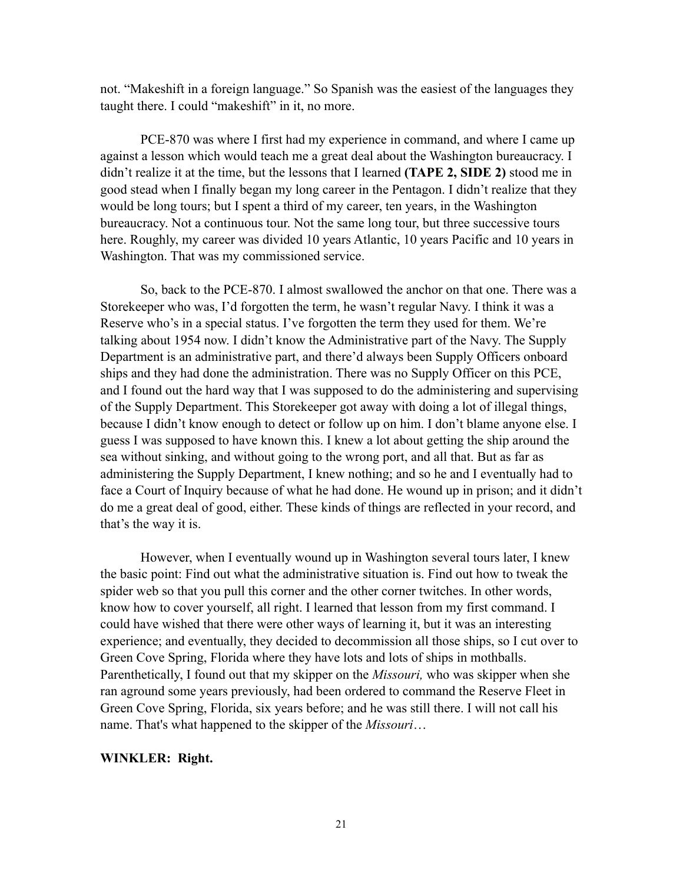not. "Makeshift in a foreign language." So Spanish was the easiest of the languages they taught there. I could "makeshift" in it, no more.

PCE-870 was where I first had my experience in command, and where I came up against a lesson which would teach me a great deal about the Washington bureaucracy. I didn't realize it at the time, but the lessons that I learned **(TAPE 2, SIDE 2)** stood me in good stead when I finally began my long career in the Pentagon. I didn't realize that they would be long tours; but I spent a third of my career, ten years, in the Washington bureaucracy. Not a continuous tour. Not the same long tour, but three successive tours here. Roughly, my career was divided 10 years Atlantic, 10 years Pacific and 10 years in Washington. That was my commissioned service.

So, back to the PCE-870. I almost swallowed the anchor on that one. There was a Storekeeper who was, I'd forgotten the term, he wasn't regular Navy. I think it was a Reserve who's in a special status. I've forgotten the term they used for them. We're talking about 1954 now. I didn't know the Administrative part of the Navy. The Supply Department is an administrative part, and there'd always been Supply Officers onboard ships and they had done the administration. There was no Supply Officer on this PCE, and I found out the hard way that I was supposed to do the administering and supervising of the Supply Department. This Storekeeper got away with doing a lot of illegal things, because I didn't know enough to detect or follow up on him. I don't blame anyone else. I guess I was supposed to have known this. I knew a lot about getting the ship around the sea without sinking, and without going to the wrong port, and all that. But as far as administering the Supply Department, I knew nothing; and so he and I eventually had to face a Court of Inquiry because of what he had done. He wound up in prison; and it didn't do me a great deal of good, either. These kinds of things are reflected in your record, and that's the way it is.

However, when I eventually wound up in Washington several tours later, I knew the basic point: Find out what the administrative situation is. Find out how to tweak the spider web so that you pull this corner and the other corner twitches. In other words, know how to cover yourself, all right. I learned that lesson from my first command. I could have wished that there were other ways of learning it, but it was an interesting experience; and eventually, they decided to decommission all those ships, so I cut over to Green Cove Spring, Florida where they have lots and lots of ships in mothballs. Parenthetically, I found out that my skipper on the *Missouri,* who was skipper when she ran aground some years previously, had been ordered to command the Reserve Fleet in Green Cove Spring, Florida, six years before; and he was still there. I will not call his name. That's what happened to the skipper of the *Missouri*…

#### **WINKLER: Right.**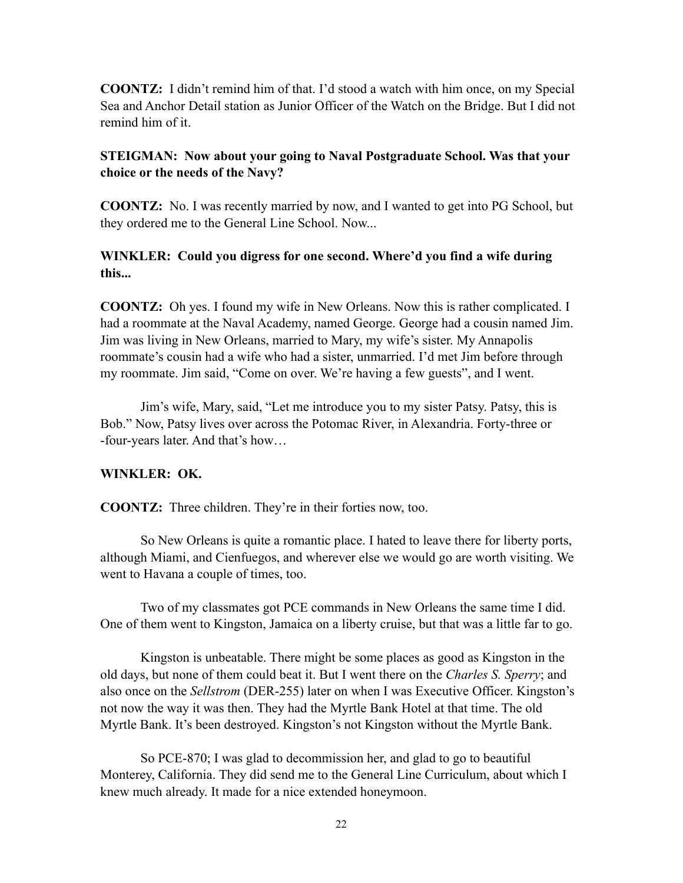**COONTZ:** I didn't remind him of that. I'd stood a watch with him once, on my Special Sea and Anchor Detail station as Junior Officer of the Watch on the Bridge. But I did not remind him of it.

### **STEIGMAN: Now about your going to Naval Postgraduate School. Was that your choice or the needs of the Navy?**

**COONTZ:** No. I was recently married by now, and I wanted to get into PG School, but they ordered me to the General Line School. Now...

# **WINKLER: Could you digress for one second. Where'd you find a wife during this...**

**COONTZ:** Oh yes. I found my wife in New Orleans. Now this is rather complicated. I had a roommate at the Naval Academy, named George. George had a cousin named Jim. Jim was living in New Orleans, married to Mary, my wife's sister. My Annapolis roommate's cousin had a wife who had a sister, unmarried. I'd met Jim before through my roommate. Jim said, "Come on over. We're having a few guests", and I went.

Jim's wife, Mary, said, "Let me introduce you to my sister Patsy. Patsy, this is Bob." Now, Patsy lives over across the Potomac River, in Alexandria. Forty-three or -four-years later. And that's how…

### **WINKLER: OK.**

**COONTZ:** Three children. They're in their forties now, too.

So New Orleans is quite a romantic place. I hated to leave there for liberty ports, although Miami, and Cienfuegos, and wherever else we would go are worth visiting. We went to Havana a couple of times, too.

Two of my classmates got PCE commands in New Orleans the same time I did. One of them went to Kingston, Jamaica on a liberty cruise, but that was a little far to go.

Kingston is unbeatable. There might be some places as good as Kingston in the old days, but none of them could beat it. But I went there on the *Charles S. Sperry*; and also once on the *Sellstrom* (DER-255) later on when I was Executive Officer. Kingston's not now the way it was then. They had the Myrtle Bank Hotel at that time. The old Myrtle Bank. It's been destroyed. Kingston's not Kingston without the Myrtle Bank.

So PCE-870; I was glad to decommission her, and glad to go to beautiful Monterey, California. They did send me to the General Line Curriculum, about which I knew much already. It made for a nice extended honeymoon.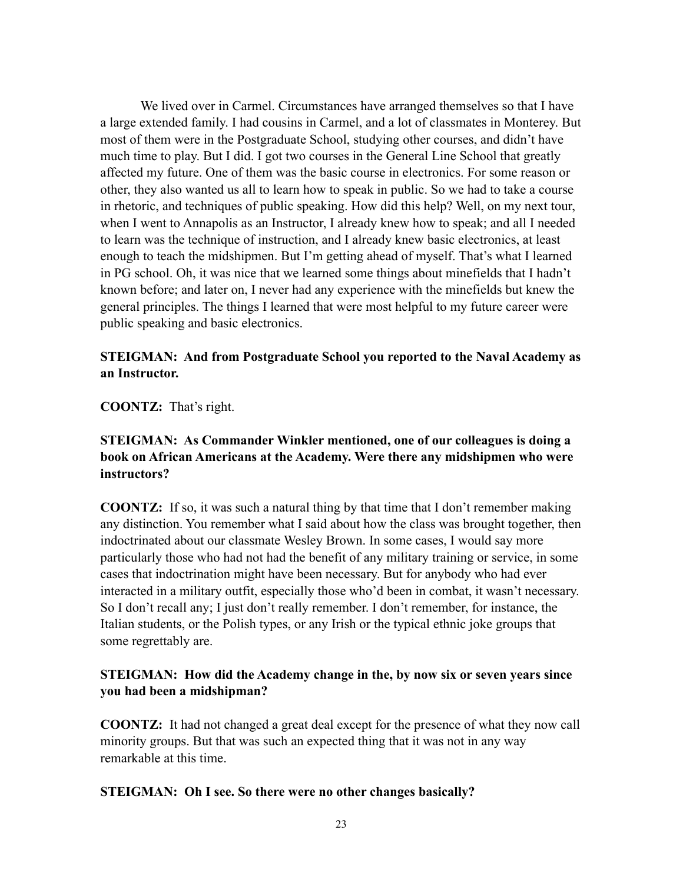We lived over in Carmel. Circumstances have arranged themselves so that I have a large extended family. I had cousins in Carmel, and a lot of classmates in Monterey. But most of them were in the Postgraduate School, studying other courses, and didn't have much time to play. But I did. I got two courses in the General Line School that greatly affected my future. One of them was the basic course in electronics. For some reason or other, they also wanted us all to learn how to speak in public. So we had to take a course in rhetoric, and techniques of public speaking. How did this help? Well, on my next tour, when I went to Annapolis as an Instructor, I already knew how to speak; and all I needed to learn was the technique of instruction, and I already knew basic electronics, at least enough to teach the midshipmen. But I'm getting ahead of myself. That's what I learned in PG school. Oh, it was nice that we learned some things about minefields that I hadn't known before; and later on, I never had any experience with the minefields but knew the general principles. The things I learned that were most helpful to my future career were public speaking and basic electronics.

### **STEIGMAN: And from Postgraduate School you reported to the Naval Academy as an Instructor.**

**COONTZ:** That's right.

### **STEIGMAN: As Commander Winkler mentioned, one of our colleagues is doing a book on African Americans at the Academy. Were there any midshipmen who were instructors?**

**COONTZ:** If so, it was such a natural thing by that time that I don't remember making any distinction. You remember what I said about how the class was brought together, then indoctrinated about our classmate Wesley Brown. In some cases, I would say more particularly those who had not had the benefit of any military training or service, in some cases that indoctrination might have been necessary. But for anybody who had ever interacted in a military outfit, especially those who'd been in combat, it wasn't necessary. So I don't recall any; I just don't really remember. I don't remember, for instance, the Italian students, or the Polish types, or any Irish or the typical ethnic joke groups that some regrettably are.

# **STEIGMAN: How did the Academy change in the, by now six or seven years since you had been a midshipman?**

**COONTZ:** It had not changed a great deal except for the presence of what they now call minority groups. But that was such an expected thing that it was not in any way remarkable at this time.

### **STEIGMAN: Oh I see. So there were no other changes basically?**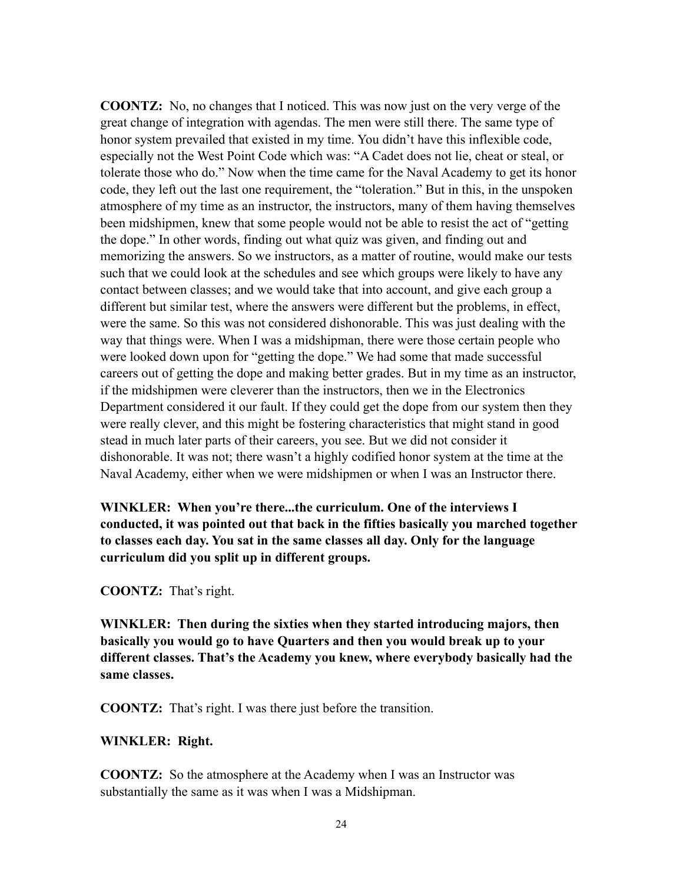**COONTZ:** No, no changes that I noticed. This was now just on the very verge of the great change of integration with agendas. The men were still there. The same type of honor system prevailed that existed in my time. You didn't have this inflexible code, especially not the West Point Code which was: "A Cadet does not lie, cheat or steal, or tolerate those who do." Now when the time came for the Naval Academy to get its honor code, they left out the last one requirement, the "toleration." But in this, in the unspoken atmosphere of my time as an instructor, the instructors, many of them having themselves been midshipmen, knew that some people would not be able to resist the act of "getting the dope." In other words, finding out what quiz was given, and finding out and memorizing the answers. So we instructors, as a matter of routine, would make our tests such that we could look at the schedules and see which groups were likely to have any contact between classes; and we would take that into account, and give each group a different but similar test, where the answers were different but the problems, in effect, were the same. So this was not considered dishonorable. This was just dealing with the way that things were. When I was a midshipman, there were those certain people who were looked down upon for "getting the dope." We had some that made successful careers out of getting the dope and making better grades. But in my time as an instructor, if the midshipmen were cleverer than the instructors, then we in the Electronics Department considered it our fault. If they could get the dope from our system then they were really clever, and this might be fostering characteristics that might stand in good stead in much later parts of their careers, you see. But we did not consider it dishonorable. It was not; there wasn't a highly codified honor system at the time at the Naval Academy, either when we were midshipmen or when I was an Instructor there.

**WINKLER: When you're there...the curriculum. One of the interviews I conducted, it was pointed out that back in the fifties basically you marched together to classes each day. You sat in the same classes all day. Only for the language curriculum did you split up in different groups.** 

**COONTZ:** That's right.

**WINKLER: Then during the sixties when they started introducing majors, then basically you would go to have Quarters and then you would break up to your different classes. That's the Academy you knew, where everybody basically had the same classes.**

**COONTZ:** That's right. I was there just before the transition.

#### **WINKLER: Right.**

**COONTZ:** So the atmosphere at the Academy when I was an Instructor was substantially the same as it was when I was a Midshipman.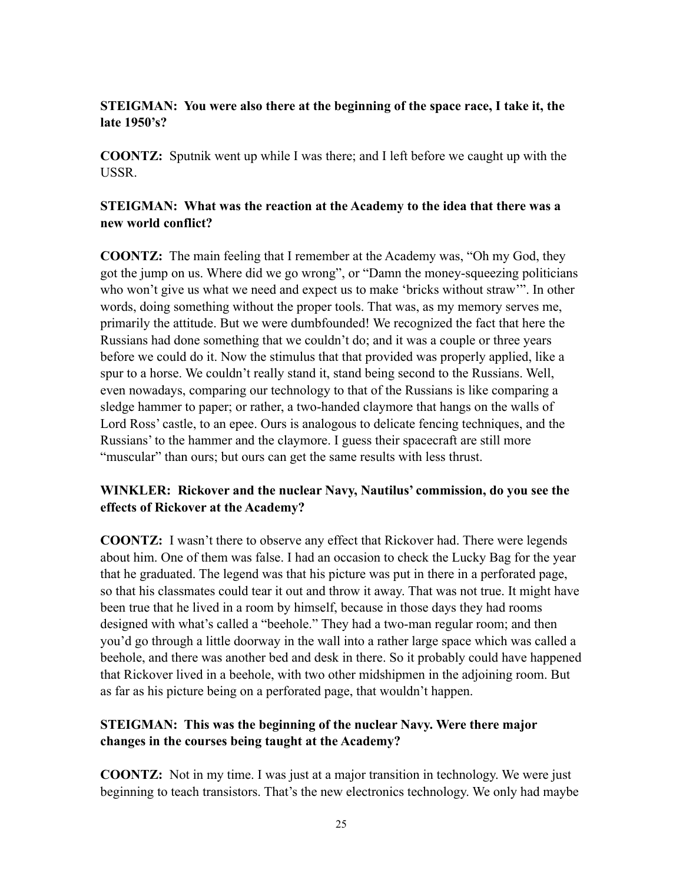# **STEIGMAN: You were also there at the beginning of the space race, I take it, the late 1950's?**

**COONTZ:** Sputnik went up while I was there; and I left before we caught up with the USSR.

### **STEIGMAN: What was the reaction at the Academy to the idea that there was a new world conflict?**

**COONTZ:** The main feeling that I remember at the Academy was, "Oh my God, they got the jump on us. Where did we go wrong", or "Damn the money-squeezing politicians who won't give us what we need and expect us to make 'bricks without straw'". In other words, doing something without the proper tools. That was, as my memory serves me, primarily the attitude. But we were dumbfounded! We recognized the fact that here the Russians had done something that we couldn't do; and it was a couple or three years before we could do it. Now the stimulus that that provided was properly applied, like a spur to a horse. We couldn't really stand it, stand being second to the Russians. Well, even nowadays, comparing our technology to that of the Russians is like comparing a sledge hammer to paper; or rather, a two-handed claymore that hangs on the walls of Lord Ross' castle, to an epee. Ours is analogous to delicate fencing techniques, and the Russians' to the hammer and the claymore. I guess their spacecraft are still more "muscular" than ours; but ours can get the same results with less thrust.

# **WINKLER: Rickover and the nuclear Navy, Nautilus' commission, do you see the effects of Rickover at the Academy?**

**COONTZ:** I wasn't there to observe any effect that Rickover had. There were legends about him. One of them was false. I had an occasion to check the Lucky Bag for the year that he graduated. The legend was that his picture was put in there in a perforated page, so that his classmates could tear it out and throw it away. That was not true. It might have been true that he lived in a room by himself, because in those days they had rooms designed with what's called a "beehole." They had a two-man regular room; and then you'd go through a little doorway in the wall into a rather large space which was called a beehole, and there was another bed and desk in there. So it probably could have happened that Rickover lived in a beehole, with two other midshipmen in the adjoining room. But as far as his picture being on a perforated page, that wouldn't happen.

# **STEIGMAN: This was the beginning of the nuclear Navy. Were there major changes in the courses being taught at the Academy?**

**COONTZ:** Not in my time. I was just at a major transition in technology. We were just beginning to teach transistors. That's the new electronics technology. We only had maybe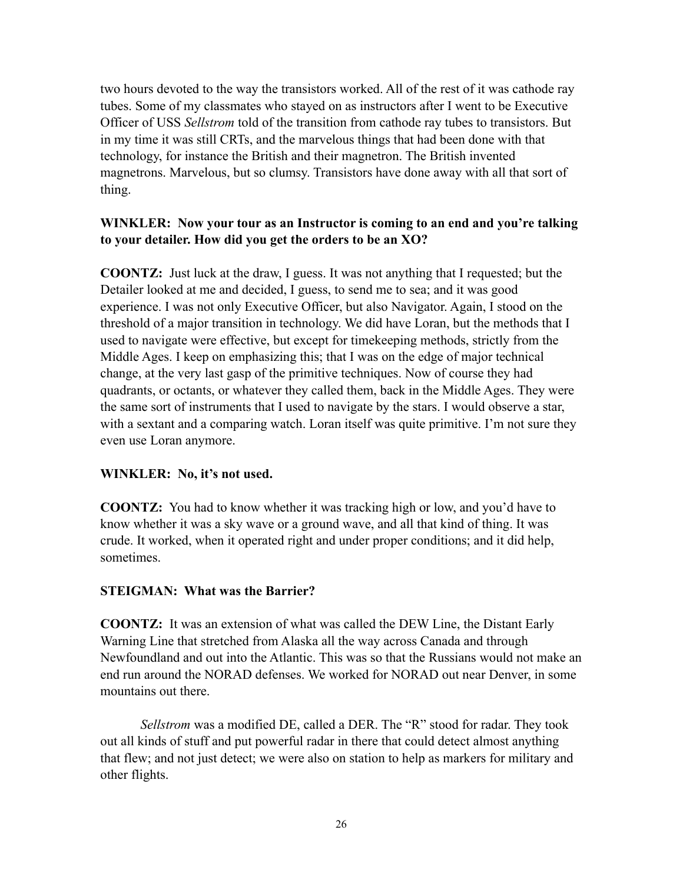two hours devoted to the way the transistors worked. All of the rest of it was cathode ray tubes. Some of my classmates who stayed on as instructors after I went to be Executive Officer of USS *Sellstrom* told of the transition from cathode ray tubes to transistors. But in my time it was still CRTs, and the marvelous things that had been done with that technology, for instance the British and their magnetron. The British invented magnetrons. Marvelous, but so clumsy. Transistors have done away with all that sort of thing.

### **WINKLER: Now your tour as an Instructor is coming to an end and you're talking to your detailer. How did you get the orders to be an XO?**

**COONTZ:** Just luck at the draw, I guess. It was not anything that I requested; but the Detailer looked at me and decided, I guess, to send me to sea; and it was good experience. I was not only Executive Officer, but also Navigator. Again, I stood on the threshold of a major transition in technology. We did have Loran, but the methods that I used to navigate were effective, but except for timekeeping methods, strictly from the Middle Ages. I keep on emphasizing this; that I was on the edge of major technical change, at the very last gasp of the primitive techniques. Now of course they had quadrants, or octants, or whatever they called them, back in the Middle Ages. They were the same sort of instruments that I used to navigate by the stars. I would observe a star, with a sextant and a comparing watch. Loran itself was quite primitive. I'm not sure they even use Loran anymore.

### **WINKLER: No, it's not used.**

**COONTZ:** You had to know whether it was tracking high or low, and you'd have to know whether it was a sky wave or a ground wave, and all that kind of thing. It was crude. It worked, when it operated right and under proper conditions; and it did help, sometimes.

#### **STEIGMAN: What was the Barrier?**

**COONTZ:** It was an extension of what was called the DEW Line, the Distant Early Warning Line that stretched from Alaska all the way across Canada and through Newfoundland and out into the Atlantic. This was so that the Russians would not make an end run around the NORAD defenses. We worked for NORAD out near Denver, in some mountains out there.

*Sellstrom* was a modified DE, called a DER. The "R" stood for radar. They took out all kinds of stuff and put powerful radar in there that could detect almost anything that flew; and not just detect; we were also on station to help as markers for military and other flights.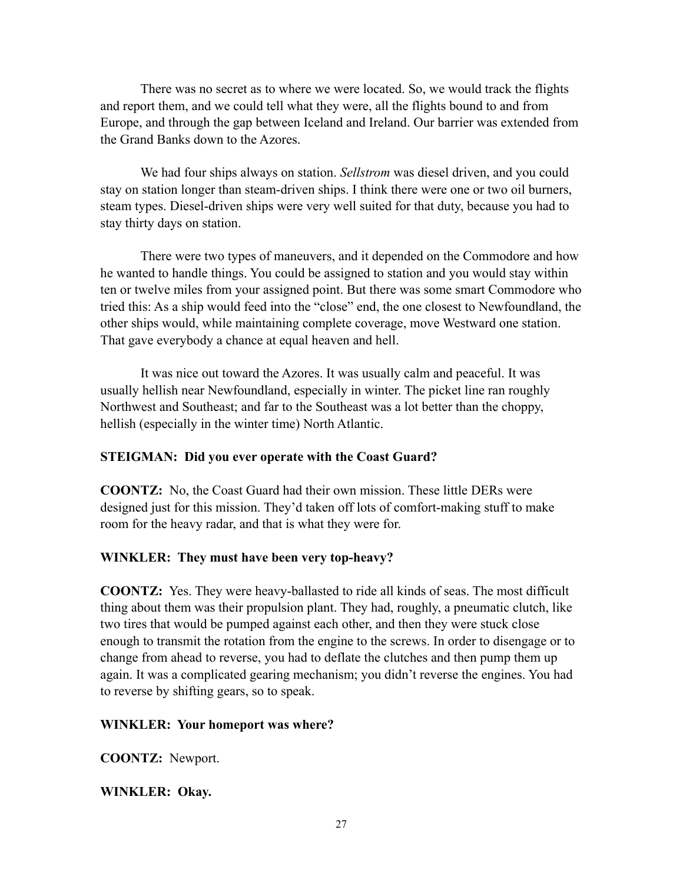There was no secret as to where we were located. So, we would track the flights and report them, and we could tell what they were, all the flights bound to and from Europe, and through the gap between Iceland and Ireland. Our barrier was extended from the Grand Banks down to the Azores.

We had four ships always on station. *Sellstrom* was diesel driven, and you could stay on station longer than steam-driven ships. I think there were one or two oil burners, steam types. Diesel-driven ships were very well suited for that duty, because you had to stay thirty days on station.

There were two types of maneuvers, and it depended on the Commodore and how he wanted to handle things. You could be assigned to station and you would stay within ten or twelve miles from your assigned point. But there was some smart Commodore who tried this: As a ship would feed into the "close" end, the one closest to Newfoundland, the other ships would, while maintaining complete coverage, move Westward one station. That gave everybody a chance at equal heaven and hell.

It was nice out toward the Azores. It was usually calm and peaceful. It was usually hellish near Newfoundland, especially in winter. The picket line ran roughly Northwest and Southeast; and far to the Southeast was a lot better than the choppy, hellish (especially in the winter time) North Atlantic.

### **STEIGMAN: Did you ever operate with the Coast Guard?**

**COONTZ:** No, the Coast Guard had their own mission. These little DERs were designed just for this mission. They'd taken off lots of comfort-making stuff to make room for the heavy radar, and that is what they were for.

### **WINKLER: They must have been very top-heavy?**

**COONTZ:** Yes. They were heavy-ballasted to ride all kinds of seas. The most difficult thing about them was their propulsion plant. They had, roughly, a pneumatic clutch, like two tires that would be pumped against each other, and then they were stuck close enough to transmit the rotation from the engine to the screws. In order to disengage or to change from ahead to reverse, you had to deflate the clutches and then pump them up again. It was a complicated gearing mechanism; you didn't reverse the engines. You had to reverse by shifting gears, so to speak.

### **WINKLER: Your homeport was where?**

**COONTZ:** Newport.

### **WINKLER: Okay.**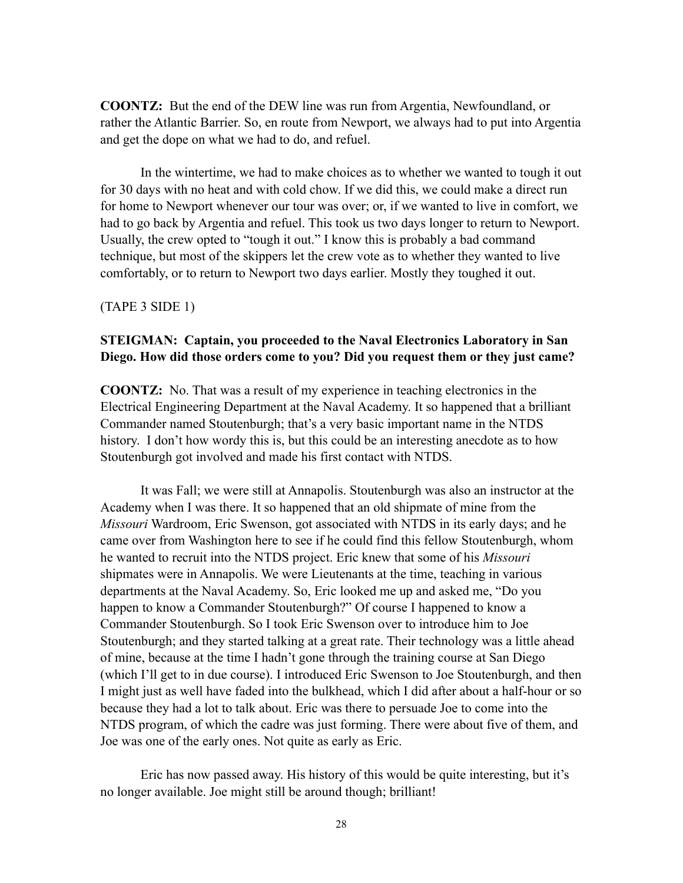**COONTZ:** But the end of the DEW line was run from Argentia, Newfoundland, or rather the Atlantic Barrier. So, en route from Newport, we always had to put into Argentia and get the dope on what we had to do, and refuel.

In the wintertime, we had to make choices as to whether we wanted to tough it out for 30 days with no heat and with cold chow. If we did this, we could make a direct run for home to Newport whenever our tour was over; or, if we wanted to live in comfort, we had to go back by Argentia and refuel. This took us two days longer to return to Newport. Usually, the crew opted to "tough it out." I know this is probably a bad command technique, but most of the skippers let the crew vote as to whether they wanted to live comfortably, or to return to Newport two days earlier. Mostly they toughed it out.

(TAPE 3 SIDE 1)

#### **STEIGMAN: Captain, you proceeded to the Naval Electronics Laboratory in San Diego. How did those orders come to you? Did you request them or they just came?**

**COONTZ:** No. That was a result of my experience in teaching electronics in the Electrical Engineering Department at the Naval Academy. It so happened that a brilliant Commander named Stoutenburgh; that's a very basic important name in the NTDS history. I don't how wordy this is, but this could be an interesting anecdote as to how Stoutenburgh got involved and made his first contact with NTDS.

It was Fall; we were still at Annapolis. Stoutenburgh was also an instructor at the Academy when I was there. It so happened that an old shipmate of mine from the *Missouri* Wardroom, Eric Swenson, got associated with NTDS in its early days; and he came over from Washington here to see if he could find this fellow Stoutenburgh, whom he wanted to recruit into the NTDS project. Eric knew that some of his *Missouri* shipmates were in Annapolis. We were Lieutenants at the time, teaching in various departments at the Naval Academy. So, Eric looked me up and asked me, "Do you happen to know a Commander Stoutenburgh?" Of course I happened to know a Commander Stoutenburgh. So I took Eric Swenson over to introduce him to Joe Stoutenburgh; and they started talking at a great rate. Their technology was a little ahead of mine, because at the time I hadn't gone through the training course at San Diego (which I'll get to in due course). I introduced Eric Swenson to Joe Stoutenburgh, and then I might just as well have faded into the bulkhead, which I did after about a half-hour or so because they had a lot to talk about. Eric was there to persuade Joe to come into the NTDS program, of which the cadre was just forming. There were about five of them, and Joe was one of the early ones. Not quite as early as Eric.

Eric has now passed away. His history of this would be quite interesting, but it's no longer available. Joe might still be around though; brilliant!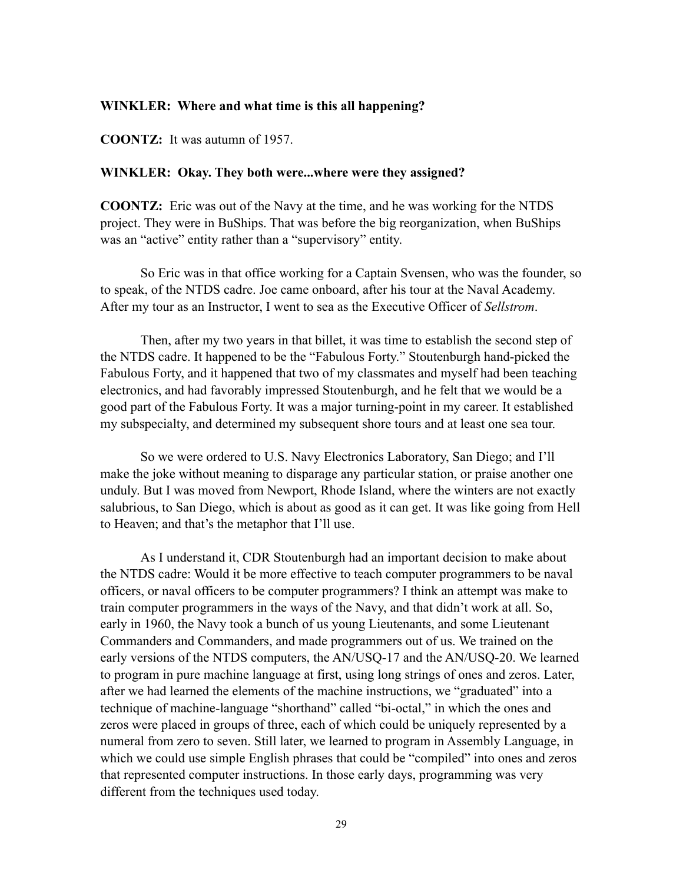#### **WINKLER: Where and what time is this all happening?**

**COONTZ:** It was autumn of 1957.

#### **WINKLER: Okay. They both were...where were they assigned?**

**COONTZ:** Eric was out of the Navy at the time, and he was working for the NTDS project. They were in BuShips. That was before the big reorganization, when BuShips was an "active" entity rather than a "supervisory" entity.

So Eric was in that office working for a Captain Svensen, who was the founder, so to speak, of the NTDS cadre. Joe came onboard, after his tour at the Naval Academy. After my tour as an Instructor, I went to sea as the Executive Officer of *Sellstrom*.

Then, after my two years in that billet, it was time to establish the second step of the NTDS cadre. It happened to be the "Fabulous Forty." Stoutenburgh hand-picked the Fabulous Forty, and it happened that two of my classmates and myself had been teaching electronics, and had favorably impressed Stoutenburgh, and he felt that we would be a good part of the Fabulous Forty. It was a major turning-point in my career. It established my subspecialty, and determined my subsequent shore tours and at least one sea tour.

So we were ordered to U.S. Navy Electronics Laboratory, San Diego; and I'll make the joke without meaning to disparage any particular station, or praise another one unduly. But I was moved from Newport, Rhode Island, where the winters are not exactly salubrious, to San Diego, which is about as good as it can get. It was like going from Hell to Heaven; and that's the metaphor that I'll use.

As I understand it, CDR Stoutenburgh had an important decision to make about the NTDS cadre: Would it be more effective to teach computer programmers to be naval officers, or naval officers to be computer programmers? I think an attempt was make to train computer programmers in the ways of the Navy, and that didn't work at all. So, early in 1960, the Navy took a bunch of us young Lieutenants, and some Lieutenant Commanders and Commanders, and made programmers out of us. We trained on the early versions of the NTDS computers, the AN/USQ-17 and the AN/USQ-20. We learned to program in pure machine language at first, using long strings of ones and zeros. Later, after we had learned the elements of the machine instructions, we "graduated" into a technique of machine-language "shorthand" called "bi-octal," in which the ones and zeros were placed in groups of three, each of which could be uniquely represented by a numeral from zero to seven. Still later, we learned to program in Assembly Language, in which we could use simple English phrases that could be "compiled" into ones and zeros that represented computer instructions. In those early days, programming was very different from the techniques used today.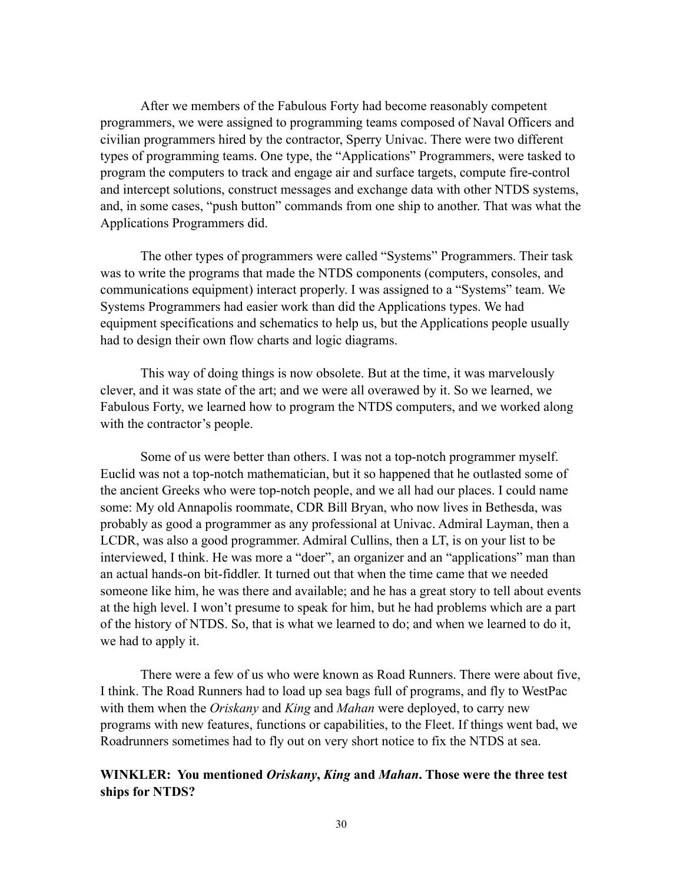After we members of the Fabulous Forty had become reasonably competent programmers, we were assigned to programming teams composed of Naval Officers and civilian programmers hired by the contractor, Sperry Univac. There were two different types of programming teams. One type, the "Applications" Programmers, were tasked to program the computers to track and engage air and surface targets, compute fire-control and intercept solutions, construct messages and exchange data with other NTDS systems, and, in some cases, "push button" commands from one ship to another. That was what the Applications Programmers did.

The other types of programmers were called "Systems" Programmers. Their task was to write the programs that made the NTDS components (computers, consoles, and communications equipment) interact properly. I was assigned to a "Systems" team. We Systems Programmers had easier work than did the Applications types. We had equipment specifications and schematics to help us, but the Applications people usually had to design their own flow charts and logic diagrams.

This way of doing things is now obsolete. But at the time, it was marvelously clever, and it was state of the art; and we were all overawed by it. So we learned, we Fabulous Forty, we learned how to program the NTDS computers, and we worked along with the contractor's people.

Some of us were better than others. I was not a top-notch programmer myself. Euclid was not a top-notch mathematician, but it so happened that he outlasted some of the ancient Greeks who were top-notch people, and we all had our places. I could name some: My old Annapolis roommate, CDR Bill Bryan, who now lives in Bethesda, was probably as good a programmer as any professional at Univac. Admiral Layman, then a LCDR, was also a good programmer. Admiral Cullins, then a LT, is on your list to be interviewed, I think. He was more a "doer", an organizer and an "applications" man than an actual hands-on bit-fiddler. It turned out that when the time came that we needed someone like him, he was there and available; and he has a great story to tell about events at the high level. I won't presume to speak for him, but he had problems which are a part of the history of NTDS. So, that is what we learned to do; and when we learned to do it, we had to apply it.

There were a few of us who were known as Road Runners. There were about five, I think. The Road Runners had to load up sea bags full of programs, and fly to WestPac with them when the *Oriskany* and *King* and *Mahan* were deployed, to carry new programs with new features, functions or capabilities, to the Fleet. If things went bad, we Roadrunners sometimes had to fly out on very short notice to fix the NTDS at sea.

#### **WINKLER: You mentioned** *Oriskany***,** *King* **and** *Mahan***. Those were the three test ships for NTDS?**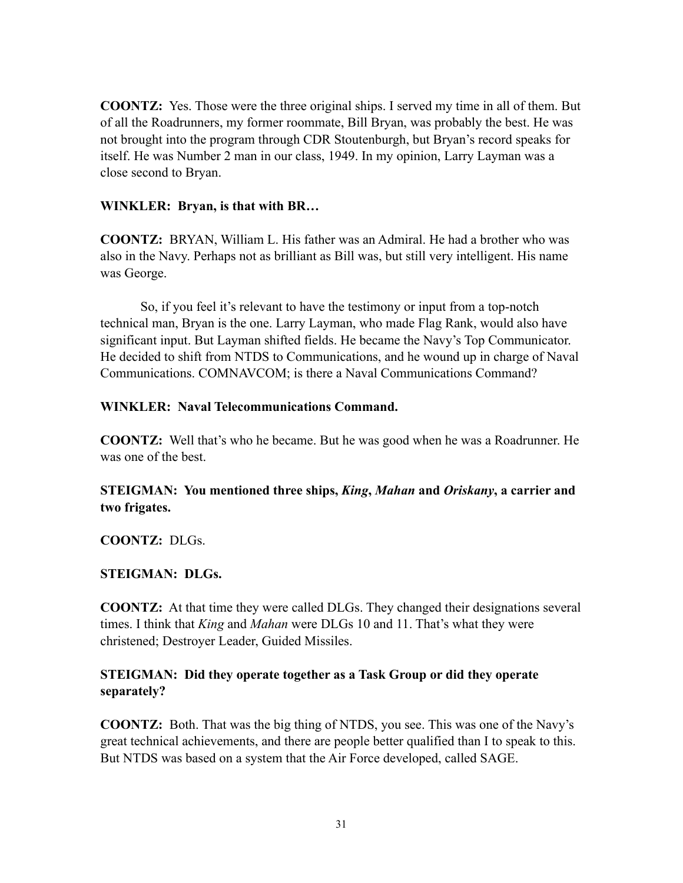**COONTZ:** Yes. Those were the three original ships. I served my time in all of them. But of all the Roadrunners, my former roommate, Bill Bryan, was probably the best. He was not brought into the program through CDR Stoutenburgh, but Bryan's record speaks for itself. He was Number 2 man in our class, 1949. In my opinion, Larry Layman was a close second to Bryan.

#### **WINKLER: Bryan, is that with BR…**

**COONTZ:** BRYAN, William L. His father was an Admiral. He had a brother who was also in the Navy. Perhaps not as brilliant as Bill was, but still very intelligent. His name was George.

So, if you feel it's relevant to have the testimony or input from a top-notch technical man, Bryan is the one. Larry Layman, who made Flag Rank, would also have significant input. But Layman shifted fields. He became the Navy's Top Communicator. He decided to shift from NTDS to Communications, and he wound up in charge of Naval Communications. COMNAVCOM; is there a Naval Communications Command?

#### **WINKLER: Naval Telecommunications Command.**

**COONTZ:** Well that's who he became. But he was good when he was a Roadrunner. He was one of the best.

# **STEIGMAN: You mentioned three ships,** *King***,** *Mahan* **and** *Oriskany***, a carrier and two frigates.**

**COONTZ:** DLGs.

### **STEIGMAN: DLGs.**

**COONTZ:** At that time they were called DLGs. They changed their designations several times. I think that *King* and *Mahan* were DLGs 10 and 11. That's what they were christened; Destroyer Leader, Guided Missiles.

### **STEIGMAN: Did they operate together as a Task Group or did they operate separately?**

**COONTZ:** Both. That was the big thing of NTDS, you see. This was one of the Navy's great technical achievements, and there are people better qualified than I to speak to this. But NTDS was based on a system that the Air Force developed, called SAGE.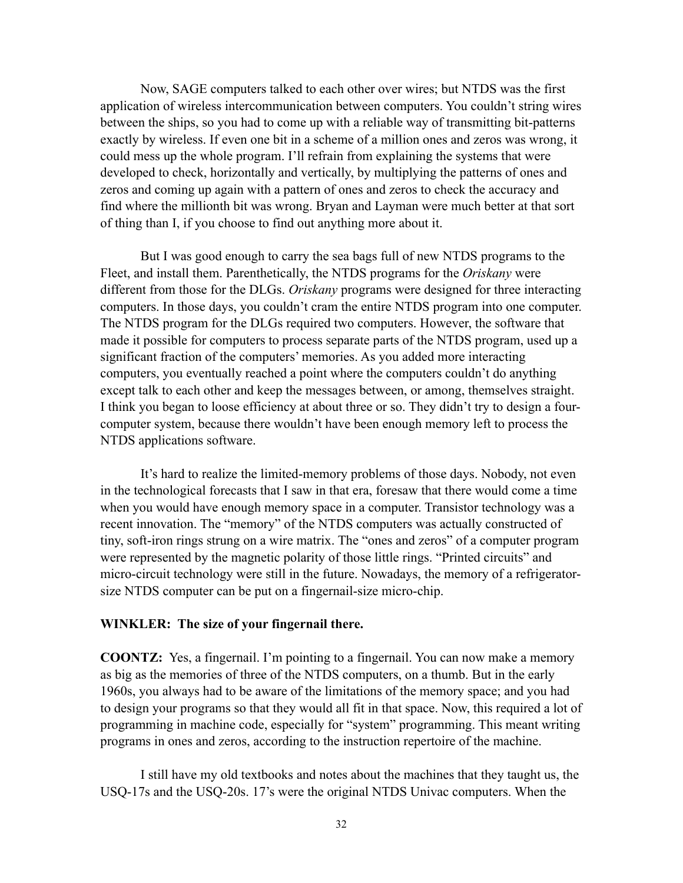Now, SAGE computers talked to each other over wires; but NTDS was the first application of wireless intercommunication between computers. You couldn't string wires between the ships, so you had to come up with a reliable way of transmitting bit-patterns exactly by wireless. If even one bit in a scheme of a million ones and zeros was wrong, it could mess up the whole program. I'll refrain from explaining the systems that were developed to check, horizontally and vertically, by multiplying the patterns of ones and zeros and coming up again with a pattern of ones and zeros to check the accuracy and find where the millionth bit was wrong. Bryan and Layman were much better at that sort of thing than I, if you choose to find out anything more about it.

But I was good enough to carry the sea bags full of new NTDS programs to the Fleet, and install them. Parenthetically, the NTDS programs for the *Oriskany* were different from those for the DLGs. *Oriskany* programs were designed for three interacting computers. In those days, you couldn't cram the entire NTDS program into one computer. The NTDS program for the DLGs required two computers. However, the software that made it possible for computers to process separate parts of the NTDS program, used up a significant fraction of the computers' memories. As you added more interacting computers, you eventually reached a point where the computers couldn't do anything except talk to each other and keep the messages between, or among, themselves straight. I think you began to loose efficiency at about three or so. They didn't try to design a fourcomputer system, because there wouldn't have been enough memory left to process the NTDS applications software.

It's hard to realize the limited-memory problems of those days. Nobody, not even in the technological forecasts that I saw in that era, foresaw that there would come a time when you would have enough memory space in a computer. Transistor technology was a recent innovation. The "memory" of the NTDS computers was actually constructed of tiny, soft-iron rings strung on a wire matrix. The "ones and zeros" of a computer program were represented by the magnetic polarity of those little rings. "Printed circuits" and micro-circuit technology were still in the future. Nowadays, the memory of a refrigeratorsize NTDS computer can be put on a fingernail-size micro-chip.

#### **WINKLER: The size of your fingernail there.**

**COONTZ:** Yes, a fingernail. I'm pointing to a fingernail. You can now make a memory as big as the memories of three of the NTDS computers, on a thumb. But in the early 1960s, you always had to be aware of the limitations of the memory space; and you had to design your programs so that they would all fit in that space. Now, this required a lot of programming in machine code, especially for "system" programming. This meant writing programs in ones and zeros, according to the instruction repertoire of the machine.

I still have my old textbooks and notes about the machines that they taught us, the USQ-17s and the USQ-20s. 17's were the original NTDS Univac computers. When the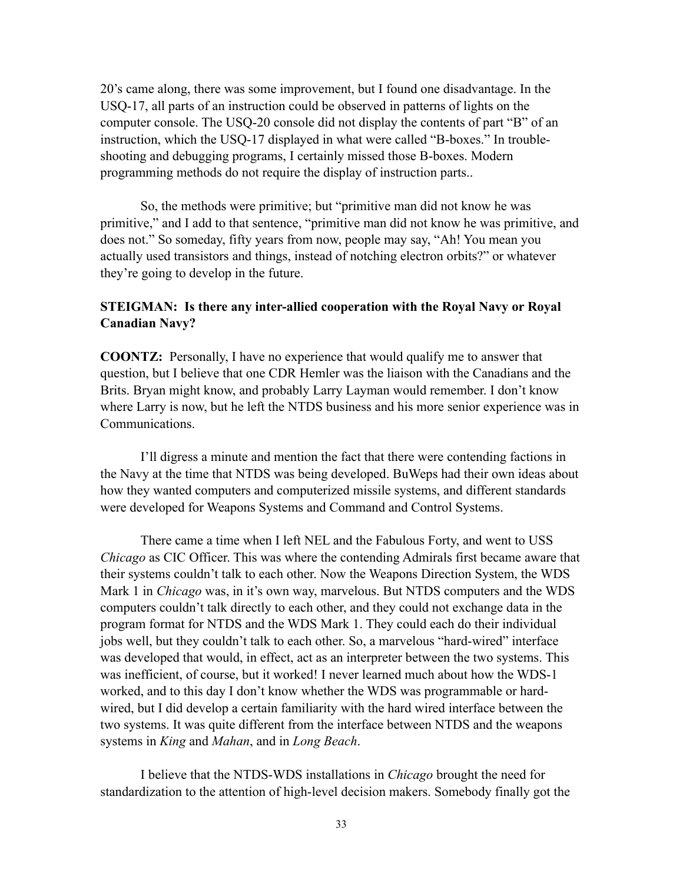20's came along, there was some improvement, but I found one disadvantage. In the USQ-17, all parts of an instruction could be observed in patterns of lights on the computer console. The USQ-20 console did not display the contents of part "B" of an instruction, which the USQ-17 displayed in what were called "B-boxes." In troubleshooting and debugging programs, I certainly missed those B-boxes. Modern programming methods do not require the display of instruction parts..

So, the methods were primitive; but "primitive man did not know he was primitive," and I add to that sentence, "primitive man did not know he was primitive, and does not." So someday, fifty years from now, people may say, "Ah! You mean you actually used transistors and things, instead of notching electron orbits?" or whatever they're going to develop in the future.

#### **STEIGMAN: Is there any inter-allied cooperation with the Royal Navy or Royal Canadian Navy?**

**COONTZ:** Personally, I have no experience that would qualify me to answer that question, but I believe that one CDR Hemler was the liaison with the Canadians and the Brits. Bryan might know, and probably Larry Layman would remember. I don't know where Larry is now, but he left the NTDS business and his more senior experience was in Communications.

I'll digress a minute and mention the fact that there were contending factions in the Navy at the time that NTDS was being developed. BuWeps had their own ideas about how they wanted computers and computerized missile systems, and different standards were developed for Weapons Systems and Command and Control Systems.

There came a time when I left NEL and the Fabulous Forty, and went to USS *Chicago* as CIC Officer. This was where the contending Admirals first became aware that their systems couldn't talk to each other. Now the Weapons Direction System, the WDS Mark 1 in *Chicago* was, in it's own way, marvelous. But NTDS computers and the WDS computers couldn't talk directly to each other, and they could not exchange data in the program format for NTDS and the WDS Mark 1. They could each do their individual jobs well, but they couldn't talk to each other. So, a marvelous "hard-wired" interface was developed that would, in effect, act as an interpreter between the two systems. This was inefficient, of course, but it worked! I never learned much about how the WDS-1 worked, and to this day I don't know whether the WDS was programmable or hardwired, but I did develop a certain familiarity with the hard wired interface between the two systems. It was quite different from the interface between NTDS and the weapons systems in *King* and *Mahan*, and in *Long Beach*.

I believe that the NTDS-WDS installations in *Chicago* brought the need for standardization to the attention of high-level decision makers. Somebody finally got the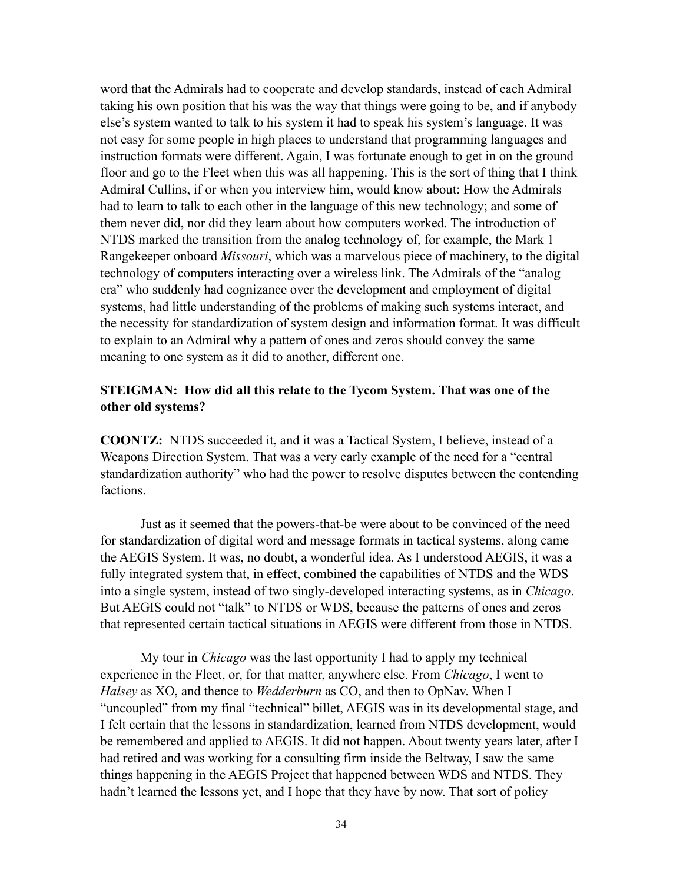word that the Admirals had to cooperate and develop standards, instead of each Admiral taking his own position that his was the way that things were going to be, and if anybody else's system wanted to talk to his system it had to speak his system's language. It was not easy for some people in high places to understand that programming languages and instruction formats were different. Again, I was fortunate enough to get in on the ground floor and go to the Fleet when this was all happening. This is the sort of thing that I think Admiral Cullins, if or when you interview him, would know about: How the Admirals had to learn to talk to each other in the language of this new technology; and some of them never did, nor did they learn about how computers worked. The introduction of NTDS marked the transition from the analog technology of, for example, the Mark 1 Rangekeeper onboard *Missouri*, which was a marvelous piece of machinery, to the digital technology of computers interacting over a wireless link. The Admirals of the "analog era" who suddenly had cognizance over the development and employment of digital systems, had little understanding of the problems of making such systems interact, and the necessity for standardization of system design and information format. It was difficult to explain to an Admiral why a pattern of ones and zeros should convey the same meaning to one system as it did to another, different one.

#### **STEIGMAN: How did all this relate to the Tycom System. That was one of the other old systems?**

**COONTZ:** NTDS succeeded it, and it was a Tactical System, I believe, instead of a Weapons Direction System. That was a very early example of the need for a "central standardization authority" who had the power to resolve disputes between the contending factions.

Just as it seemed that the powers-that-be were about to be convinced of the need for standardization of digital word and message formats in tactical systems, along came the AEGIS System. It was, no doubt, a wonderful idea. As I understood AEGIS, it was a fully integrated system that, in effect, combined the capabilities of NTDS and the WDS into a single system, instead of two singly-developed interacting systems, as in *Chicago*. But AEGIS could not "talk" to NTDS or WDS, because the patterns of ones and zeros that represented certain tactical situations in AEGIS were different from those in NTDS.

My tour in *Chicago* was the last opportunity I had to apply my technical experience in the Fleet, or, for that matter, anywhere else. From *Chicago*, I went to *Halsey* as XO, and thence to *Wedderburn* as CO, and then to OpNav. When I "uncoupled" from my final "technical" billet, AEGIS was in its developmental stage, and I felt certain that the lessons in standardization, learned from NTDS development, would be remembered and applied to AEGIS. It did not happen. About twenty years later, after I had retired and was working for a consulting firm inside the Beltway, I saw the same things happening in the AEGIS Project that happened between WDS and NTDS. They hadn't learned the lessons yet, and I hope that they have by now. That sort of policy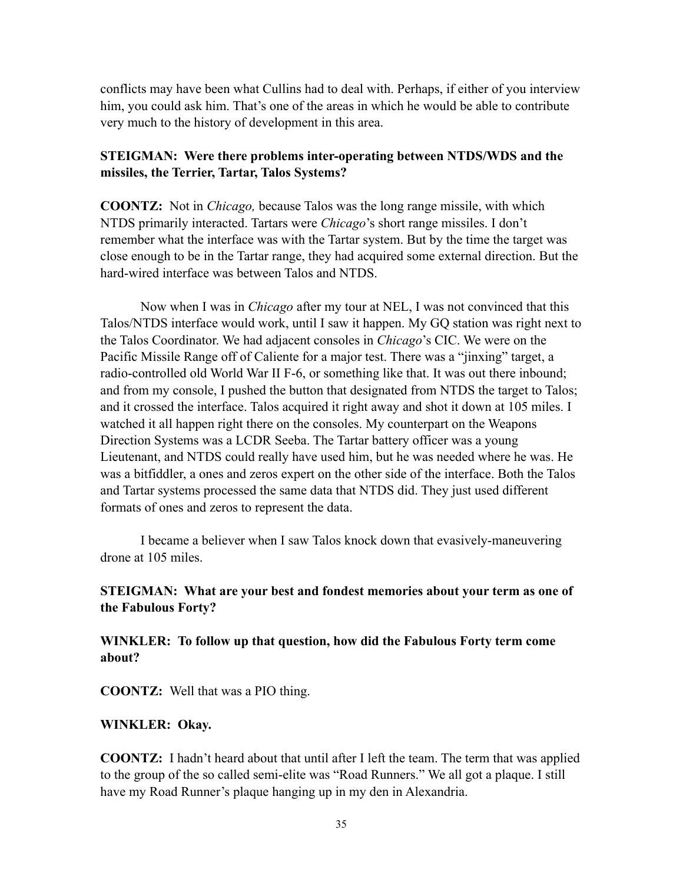conflicts may have been what Cullins had to deal with. Perhaps, if either of you interview him, you could ask him. That's one of the areas in which he would be able to contribute very much to the history of development in this area.

#### **STEIGMAN: Were there problems inter-operating between NTDS/WDS and the missiles, the Terrier, Tartar, Talos Systems?**

**COONTZ:** Not in *Chicago,* because Talos was the long range missile, with which NTDS primarily interacted. Tartars were *Chicago*'s short range missiles. I don't remember what the interface was with the Tartar system. But by the time the target was close enough to be in the Tartar range, they had acquired some external direction. But the hard-wired interface was between Talos and NTDS.

Now when I was in *Chicago* after my tour at NEL, I was not convinced that this Talos/NTDS interface would work, until I saw it happen. My GQ station was right next to the Talos Coordinator. We had adjacent consoles in *Chicago*'s CIC. We were on the Pacific Missile Range off of Caliente for a major test. There was a "jinxing" target, a radio-controlled old World War II F-6, or something like that. It was out there inbound; and from my console, I pushed the button that designated from NTDS the target to Talos; and it crossed the interface. Talos acquired it right away and shot it down at 105 miles. I watched it all happen right there on the consoles. My counterpart on the Weapons Direction Systems was a LCDR Seeba. The Tartar battery officer was a young Lieutenant, and NTDS could really have used him, but he was needed where he was. He was a bitfiddler, a ones and zeros expert on the other side of the interface. Both the Talos and Tartar systems processed the same data that NTDS did. They just used different formats of ones and zeros to represent the data.

I became a believer when I saw Talos knock down that evasively-maneuvering drone at 105 miles.

### **STEIGMAN: What are your best and fondest memories about your term as one of the Fabulous Forty?**

**WINKLER: To follow up that question, how did the Fabulous Forty term come about?**

**COONTZ:** Well that was a PIO thing.

#### **WINKLER: Okay.**

**COONTZ:** I hadn't heard about that until after I left the team. The term that was applied to the group of the so called semi-elite was "Road Runners." We all got a plaque. I still have my Road Runner's plaque hanging up in my den in Alexandria.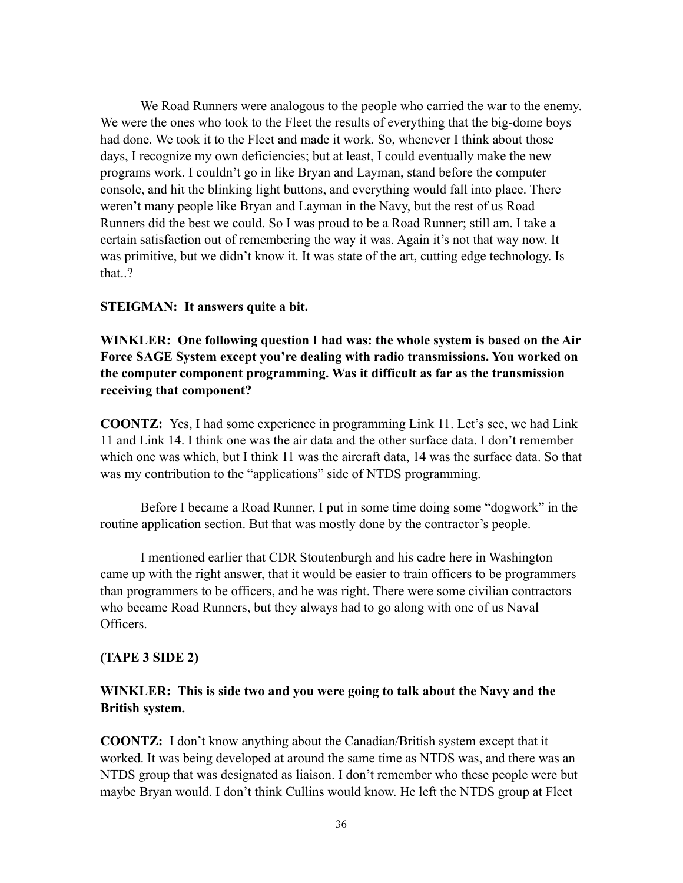We Road Runners were analogous to the people who carried the war to the enemy. We were the ones who took to the Fleet the results of everything that the big-dome boys had done. We took it to the Fleet and made it work. So, whenever I think about those days, I recognize my own deficiencies; but at least, I could eventually make the new programs work. I couldn't go in like Bryan and Layman, stand before the computer console, and hit the blinking light buttons, and everything would fall into place. There weren't many people like Bryan and Layman in the Navy, but the rest of us Road Runners did the best we could. So I was proud to be a Road Runner; still am. I take a certain satisfaction out of remembering the way it was. Again it's not that way now. It was primitive, but we didn't know it. It was state of the art, cutting edge technology. Is that.?

#### **STEIGMAN: It answers quite a bit.**

**WINKLER: One following question I had was: the whole system is based on the Air Force SAGE System except you're dealing with radio transmissions. You worked on the computer component programming. Was it difficult as far as the transmission receiving that component?**

**COONTZ:** Yes, I had some experience in programming Link 11. Let's see, we had Link 11 and Link 14. I think one was the air data and the other surface data. I don't remember which one was which, but I think 11 was the aircraft data, 14 was the surface data. So that was my contribution to the "applications" side of NTDS programming.

Before I became a Road Runner, I put in some time doing some "dogwork" in the routine application section. But that was mostly done by the contractor's people.

I mentioned earlier that CDR Stoutenburgh and his cadre here in Washington came up with the right answer, that it would be easier to train officers to be programmers than programmers to be officers, and he was right. There were some civilian contractors who became Road Runners, but they always had to go along with one of us Naval Officers.

#### **(TAPE 3 SIDE 2)**

#### **WINKLER: This is side two and you were going to talk about the Navy and the British system.**

**COONTZ:** I don't know anything about the Canadian/British system except that it worked. It was being developed at around the same time as NTDS was, and there was an NTDS group that was designated as liaison. I don't remember who these people were but maybe Bryan would. I don't think Cullins would know. He left the NTDS group at Fleet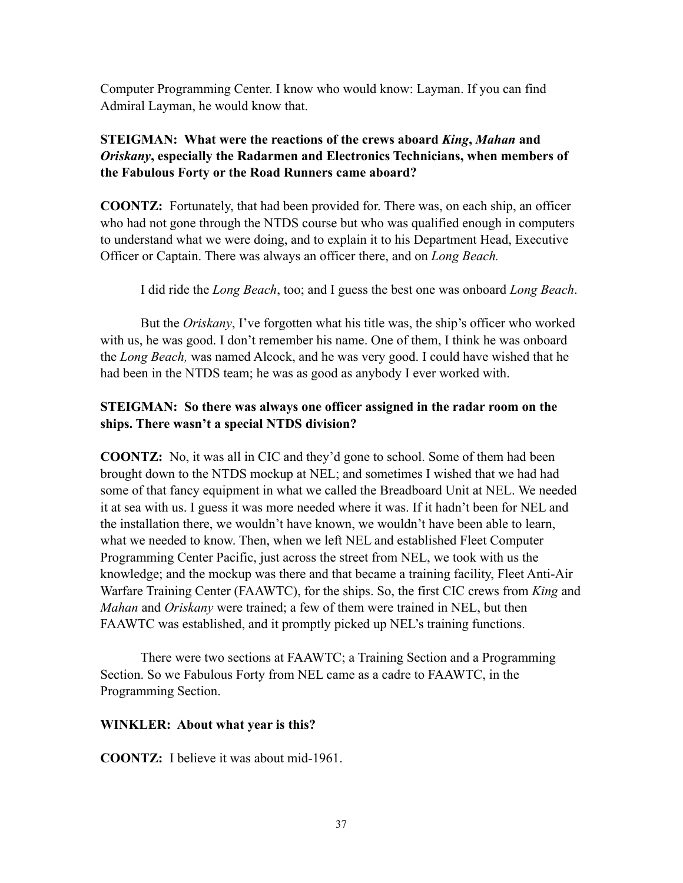Computer Programming Center. I know who would know: Layman. If you can find Admiral Layman, he would know that.

# **STEIGMAN: What were the reactions of the crews aboard** *King***,** *Mahan* **and**  *Oriskany***, especially the Radarmen and Electronics Technicians, when members of the Fabulous Forty or the Road Runners came aboard?**

**COONTZ:** Fortunately, that had been provided for. There was, on each ship, an officer who had not gone through the NTDS course but who was qualified enough in computers to understand what we were doing, and to explain it to his Department Head, Executive Officer or Captain. There was always an officer there, and on *Long Beach.*

I did ride the *Long Beach*, too; and I guess the best one was onboard *Long Beach*.

But the *Oriskany*, I've forgotten what his title was, the ship's officer who worked with us, he was good. I don't remember his name. One of them, I think he was onboard the *Long Beach,* was named Alcock, and he was very good. I could have wished that he had been in the NTDS team; he was as good as anybody I ever worked with.

# **STEIGMAN: So there was always one officer assigned in the radar room on the ships. There wasn't a special NTDS division?**

**COONTZ:** No, it was all in CIC and they'd gone to school. Some of them had been brought down to the NTDS mockup at NEL; and sometimes I wished that we had had some of that fancy equipment in what we called the Breadboard Unit at NEL. We needed it at sea with us. I guess it was more needed where it was. If it hadn't been for NEL and the installation there, we wouldn't have known, we wouldn't have been able to learn, what we needed to know. Then, when we left NEL and established Fleet Computer Programming Center Pacific, just across the street from NEL, we took with us the knowledge; and the mockup was there and that became a training facility, Fleet Anti-Air Warfare Training Center (FAAWTC), for the ships. So, the first CIC crews from *King* and *Mahan* and *Oriskany* were trained; a few of them were trained in NEL, but then FAAWTC was established, and it promptly picked up NEL's training functions.

There were two sections at FAAWTC; a Training Section and a Programming Section. So we Fabulous Forty from NEL came as a cadre to FAAWTC, in the Programming Section.

### **WINKLER: About what year is this?**

**COONTZ:** I believe it was about mid-1961.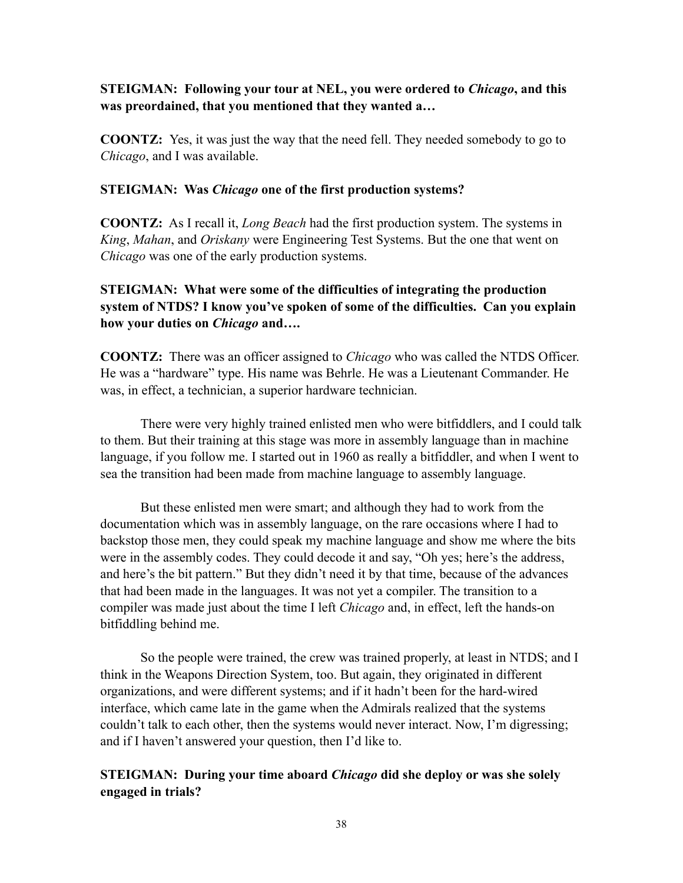### **STEIGMAN: Following your tour at NEL, you were ordered to** *Chicago***, and this was preordained, that you mentioned that they wanted a…**

**COONTZ:** Yes, it was just the way that the need fell. They needed somebody to go to *Chicago*, and I was available.

#### **STEIGMAN: Was** *Chicago* **one of the first production systems?**

**COONTZ:** As I recall it, *Long Beach* had the first production system. The systems in *King*, *Mahan*, and *Oriskany* were Engineering Test Systems. But the one that went on *Chicago* was one of the early production systems.

# **STEIGMAN: What were some of the difficulties of integrating the production system of NTDS? I know you've spoken of some of the difficulties. Can you explain how your duties on** *Chicago* **and….**

**COONTZ:** There was an officer assigned to *Chicago* who was called the NTDS Officer. He was a "hardware" type. His name was Behrle. He was a Lieutenant Commander. He was, in effect, a technician, a superior hardware technician.

There were very highly trained enlisted men who were bitfiddlers, and I could talk to them. But their training at this stage was more in assembly language than in machine language, if you follow me. I started out in 1960 as really a bitfiddler, and when I went to sea the transition had been made from machine language to assembly language.

But these enlisted men were smart; and although they had to work from the documentation which was in assembly language, on the rare occasions where I had to backstop those men, they could speak my machine language and show me where the bits were in the assembly codes. They could decode it and say, "Oh yes; here's the address, and here's the bit pattern." But they didn't need it by that time, because of the advances that had been made in the languages. It was not yet a compiler. The transition to a compiler was made just about the time I left *Chicago* and, in effect, left the hands-on bitfiddling behind me.

So the people were trained, the crew was trained properly, at least in NTDS; and I think in the Weapons Direction System, too. But again, they originated in different organizations, and were different systems; and if it hadn't been for the hard-wired interface, which came late in the game when the Admirals realized that the systems couldn't talk to each other, then the systems would never interact. Now, I'm digressing; and if I haven't answered your question, then I'd like to.

# **STEIGMAN: During your time aboard** *Chicago* **did she deploy or was she solely engaged in trials?**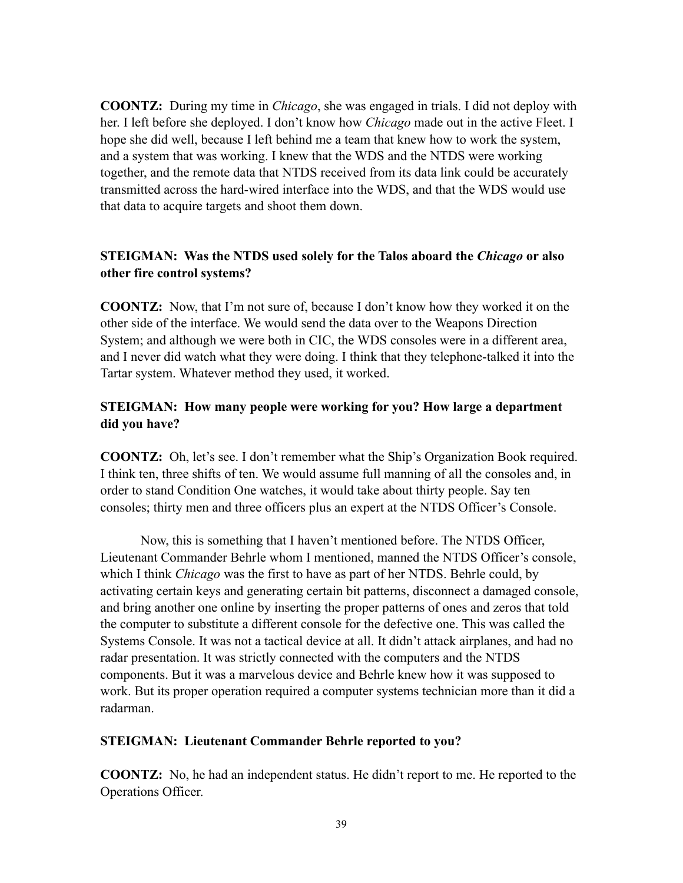**COONTZ:** During my time in *Chicago*, she was engaged in trials. I did not deploy with her. I left before she deployed. I don't know how *Chicago* made out in the active Fleet. I hope she did well, because I left behind me a team that knew how to work the system, and a system that was working. I knew that the WDS and the NTDS were working together, and the remote data that NTDS received from its data link could be accurately transmitted across the hard-wired interface into the WDS, and that the WDS would use that data to acquire targets and shoot them down.

# **STEIGMAN: Was the NTDS used solely for the Talos aboard the** *Chicago* **or also other fire control systems?**

**COONTZ:** Now, that I'm not sure of, because I don't know how they worked it on the other side of the interface. We would send the data over to the Weapons Direction System; and although we were both in CIC, the WDS consoles were in a different area, and I never did watch what they were doing. I think that they telephone-talked it into the Tartar system. Whatever method they used, it worked.

# **STEIGMAN: How many people were working for you? How large a department did you have?**

**COONTZ:** Oh, let's see. I don't remember what the Ship's Organization Book required. I think ten, three shifts of ten. We would assume full manning of all the consoles and, in order to stand Condition One watches, it would take about thirty people. Say ten consoles; thirty men and three officers plus an expert at the NTDS Officer's Console.

Now, this is something that I haven't mentioned before. The NTDS Officer, Lieutenant Commander Behrle whom I mentioned, manned the NTDS Officer's console, which I think *Chicago* was the first to have as part of her NTDS. Behrle could, by activating certain keys and generating certain bit patterns, disconnect a damaged console, and bring another one online by inserting the proper patterns of ones and zeros that told the computer to substitute a different console for the defective one. This was called the Systems Console. It was not a tactical device at all. It didn't attack airplanes, and had no radar presentation. It was strictly connected with the computers and the NTDS components. But it was a marvelous device and Behrle knew how it was supposed to work. But its proper operation required a computer systems technician more than it did a radarman.

### **STEIGMAN: Lieutenant Commander Behrle reported to you?**

**COONTZ:** No, he had an independent status. He didn't report to me. He reported to the Operations Officer.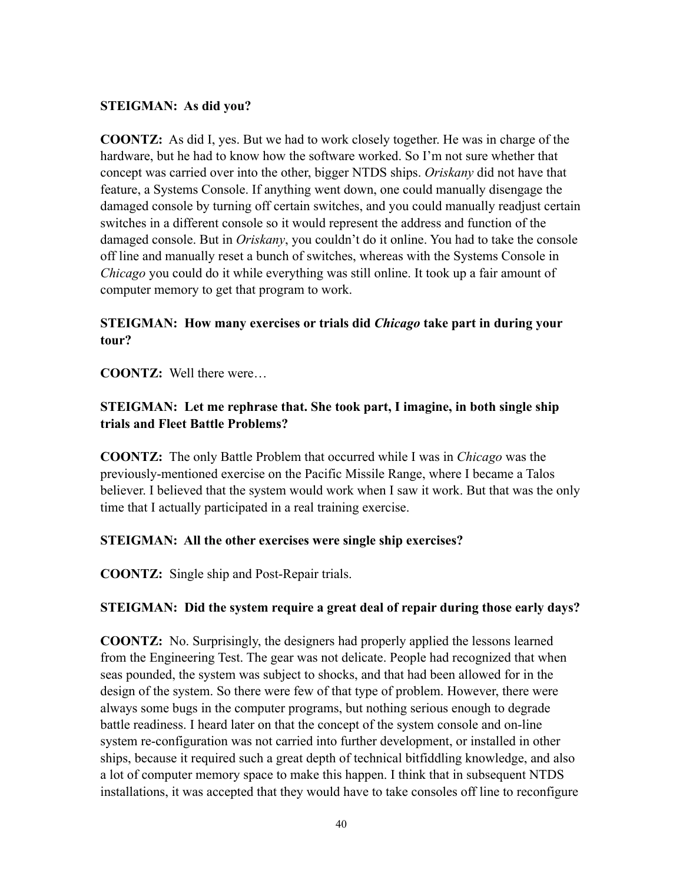### **STEIGMAN: As did you?**

**COONTZ:** As did I, yes. But we had to work closely together. He was in charge of the hardware, but he had to know how the software worked. So I'm not sure whether that concept was carried over into the other, bigger NTDS ships. *Oriskany* did not have that feature, a Systems Console. If anything went down, one could manually disengage the damaged console by turning off certain switches, and you could manually readjust certain switches in a different console so it would represent the address and function of the damaged console. But in *Oriskany*, you couldn't do it online. You had to take the console off line and manually reset a bunch of switches, whereas with the Systems Console in *Chicago* you could do it while everything was still online. It took up a fair amount of computer memory to get that program to work.

# **STEIGMAN: How many exercises or trials did** *Chicago* **take part in during your tour?**

**COONTZ:** Well there were…

# **STEIGMAN: Let me rephrase that. She took part, I imagine, in both single ship trials and Fleet Battle Problems?**

**COONTZ:** The only Battle Problem that occurred while I was in *Chicago* was the previously-mentioned exercise on the Pacific Missile Range, where I became a Talos believer. I believed that the system would work when I saw it work. But that was the only time that I actually participated in a real training exercise.

### **STEIGMAN: All the other exercises were single ship exercises?**

**COONTZ:** Single ship and Post-Repair trials.

# **STEIGMAN: Did the system require a great deal of repair during those early days?**

**COONTZ:** No. Surprisingly, the designers had properly applied the lessons learned from the Engineering Test. The gear was not delicate. People had recognized that when seas pounded, the system was subject to shocks, and that had been allowed for in the design of the system. So there were few of that type of problem. However, there were always some bugs in the computer programs, but nothing serious enough to degrade battle readiness. I heard later on that the concept of the system console and on-line system re-configuration was not carried into further development, or installed in other ships, because it required such a great depth of technical bitfiddling knowledge, and also a lot of computer memory space to make this happen. I think that in subsequent NTDS installations, it was accepted that they would have to take consoles off line to reconfigure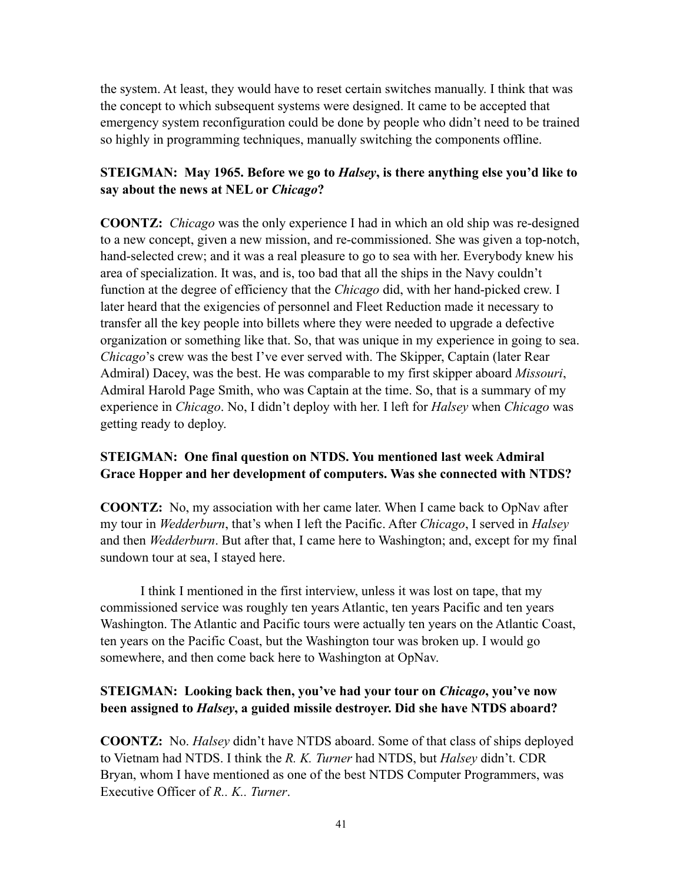the system. At least, they would have to reset certain switches manually. I think that was the concept to which subsequent systems were designed. It came to be accepted that emergency system reconfiguration could be done by people who didn't need to be trained so highly in programming techniques, manually switching the components offline.

### **STEIGMAN: May 1965. Before we go to** *Halsey***, is there anything else you'd like to say about the news at NEL or** *Chicago***?**

**COONTZ:** *Chicago* was the only experience I had in which an old ship was re-designed to a new concept, given a new mission, and re-commissioned. She was given a top-notch, hand-selected crew; and it was a real pleasure to go to sea with her. Everybody knew his area of specialization. It was, and is, too bad that all the ships in the Navy couldn't function at the degree of efficiency that the *Chicago* did, with her hand-picked crew. I later heard that the exigencies of personnel and Fleet Reduction made it necessary to transfer all the key people into billets where they were needed to upgrade a defective organization or something like that. So, that was unique in my experience in going to sea. *Chicago*'s crew was the best I've ever served with. The Skipper, Captain (later Rear Admiral) Dacey, was the best. He was comparable to my first skipper aboard *Missouri*, Admiral Harold Page Smith, who was Captain at the time. So, that is a summary of my experience in *Chicago*. No, I didn't deploy with her. I left for *Halsey* when *Chicago* was getting ready to deploy.

# **STEIGMAN: One final question on NTDS. You mentioned last week Admiral Grace Hopper and her development of computers. Was she connected with NTDS?**

**COONTZ:** No, my association with her came later. When I came back to OpNav after my tour in *Wedderburn*, that's when I left the Pacific. After *Chicago*, I served in *Halsey* and then *Wedderburn*. But after that, I came here to Washington; and, except for my final sundown tour at sea, I stayed here.

I think I mentioned in the first interview, unless it was lost on tape, that my commissioned service was roughly ten years Atlantic, ten years Pacific and ten years Washington. The Atlantic and Pacific tours were actually ten years on the Atlantic Coast, ten years on the Pacific Coast, but the Washington tour was broken up. I would go somewhere, and then come back here to Washington at OpNav.

# **STEIGMAN: Looking back then, you've had your tour on** *Chicago***, you've now been assigned to** *Halsey***, a guided missile destroyer. Did she have NTDS aboard?**

**COONTZ:** No. *Halsey* didn't have NTDS aboard. Some of that class of ships deployed to Vietnam had NTDS. I think the *R. K. Turner* had NTDS, but *Halsey* didn't. CDR Bryan, whom I have mentioned as one of the best NTDS Computer Programmers, was Executive Officer of *R.. K.. Turner*.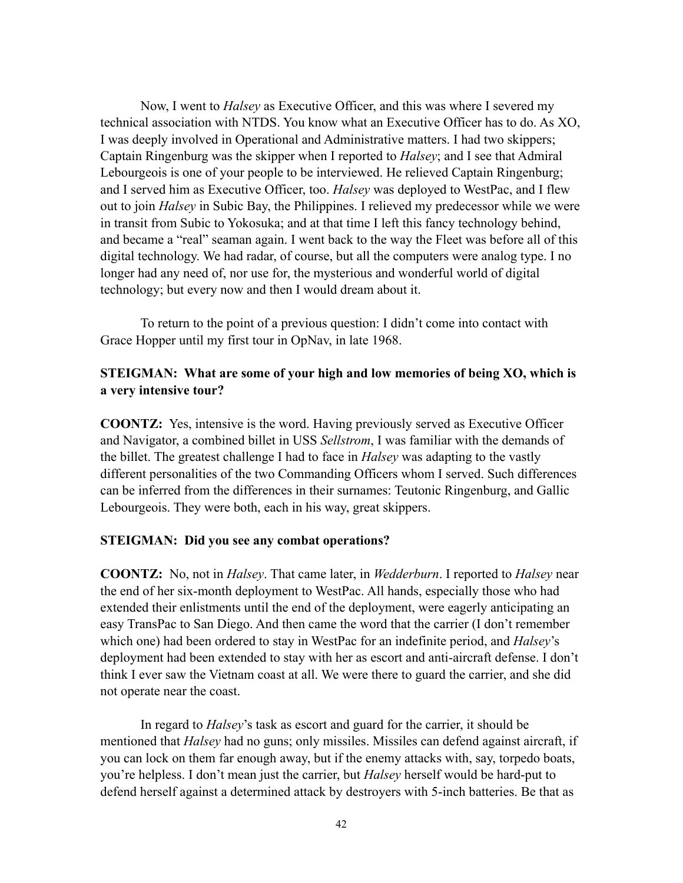Now, I went to *Halsey* as Executive Officer, and this was where I severed my technical association with NTDS. You know what an Executive Officer has to do. As XO, I was deeply involved in Operational and Administrative matters. I had two skippers; Captain Ringenburg was the skipper when I reported to *Halsey*; and I see that Admiral Lebourgeois is one of your people to be interviewed. He relieved Captain Ringenburg; and I served him as Executive Officer, too. *Halsey* was deployed to WestPac, and I flew out to join *Halsey* in Subic Bay, the Philippines. I relieved my predecessor while we were in transit from Subic to Yokosuka; and at that time I left this fancy technology behind, and became a "real" seaman again. I went back to the way the Fleet was before all of this digital technology. We had radar, of course, but all the computers were analog type. I no longer had any need of, nor use for, the mysterious and wonderful world of digital technology; but every now and then I would dream about it.

To return to the point of a previous question: I didn't come into contact with Grace Hopper until my first tour in OpNav, in late 1968.

#### **STEIGMAN: What are some of your high and low memories of being XO, which is a very intensive tour?**

**COONTZ:** Yes, intensive is the word. Having previously served as Executive Officer and Navigator, a combined billet in USS *Sellstrom*, I was familiar with the demands of the billet. The greatest challenge I had to face in *Halsey* was adapting to the vastly different personalities of the two Commanding Officers whom I served. Such differences can be inferred from the differences in their surnames: Teutonic Ringenburg, and Gallic Lebourgeois. They were both, each in his way, great skippers.

#### **STEIGMAN: Did you see any combat operations?**

**COONTZ:** No, not in *Halsey*. That came later, in *Wedderburn*. I reported to *Halsey* near the end of her six-month deployment to WestPac. All hands, especially those who had extended their enlistments until the end of the deployment, were eagerly anticipating an easy TransPac to San Diego. And then came the word that the carrier (I don't remember which one) had been ordered to stay in WestPac for an indefinite period, and *Halsey*'s deployment had been extended to stay with her as escort and anti-aircraft defense. I don't think I ever saw the Vietnam coast at all. We were there to guard the carrier, and she did not operate near the coast.

In regard to *Halsey*'s task as escort and guard for the carrier, it should be mentioned that *Halsey* had no guns; only missiles. Missiles can defend against aircraft, if you can lock on them far enough away, but if the enemy attacks with, say, torpedo boats, you're helpless. I don't mean just the carrier, but *Halsey* herself would be hard-put to defend herself against a determined attack by destroyers with 5-inch batteries. Be that as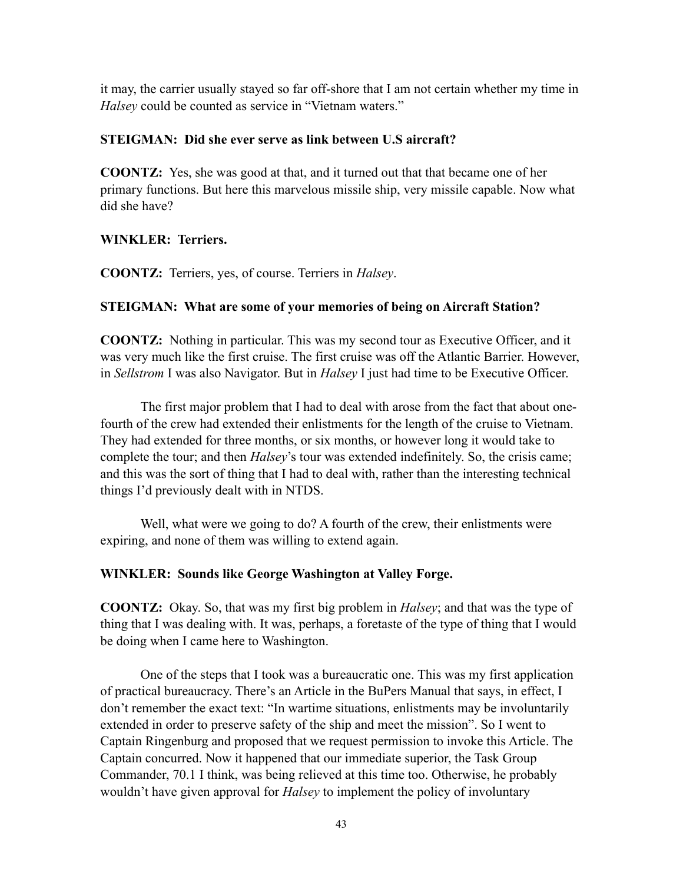it may, the carrier usually stayed so far off-shore that I am not certain whether my time in *Halsey* could be counted as service in "Vietnam waters."

#### **STEIGMAN: Did she ever serve as link between U.S aircraft?**

**COONTZ:** Yes, she was good at that, and it turned out that that became one of her primary functions. But here this marvelous missile ship, very missile capable. Now what did she have?

### **WINKLER: Terriers.**

**COONTZ:** Terriers, yes, of course. Terriers in *Halsey*.

#### **STEIGMAN: What are some of your memories of being on Aircraft Station?**

**COONTZ:** Nothing in particular. This was my second tour as Executive Officer, and it was very much like the first cruise. The first cruise was off the Atlantic Barrier. However, in *Sellstrom* I was also Navigator. But in *Halsey* I just had time to be Executive Officer.

The first major problem that I had to deal with arose from the fact that about onefourth of the crew had extended their enlistments for the length of the cruise to Vietnam. They had extended for three months, or six months, or however long it would take to complete the tour; and then *Halsey*'s tour was extended indefinitely. So, the crisis came; and this was the sort of thing that I had to deal with, rather than the interesting technical things I'd previously dealt with in NTDS.

Well, what were we going to do? A fourth of the crew, their enlistments were expiring, and none of them was willing to extend again.

#### **WINKLER: Sounds like George Washington at Valley Forge.**

**COONTZ:** Okay. So, that was my first big problem in *Halsey*; and that was the type of thing that I was dealing with. It was, perhaps, a foretaste of the type of thing that I would be doing when I came here to Washington.

One of the steps that I took was a bureaucratic one. This was my first application of practical bureaucracy. There's an Article in the BuPers Manual that says, in effect, I don't remember the exact text: "In wartime situations, enlistments may be involuntarily extended in order to preserve safety of the ship and meet the mission". So I went to Captain Ringenburg and proposed that we request permission to invoke this Article. The Captain concurred. Now it happened that our immediate superior, the Task Group Commander, 70.1 I think, was being relieved at this time too. Otherwise, he probably wouldn't have given approval for *Halsey* to implement the policy of involuntary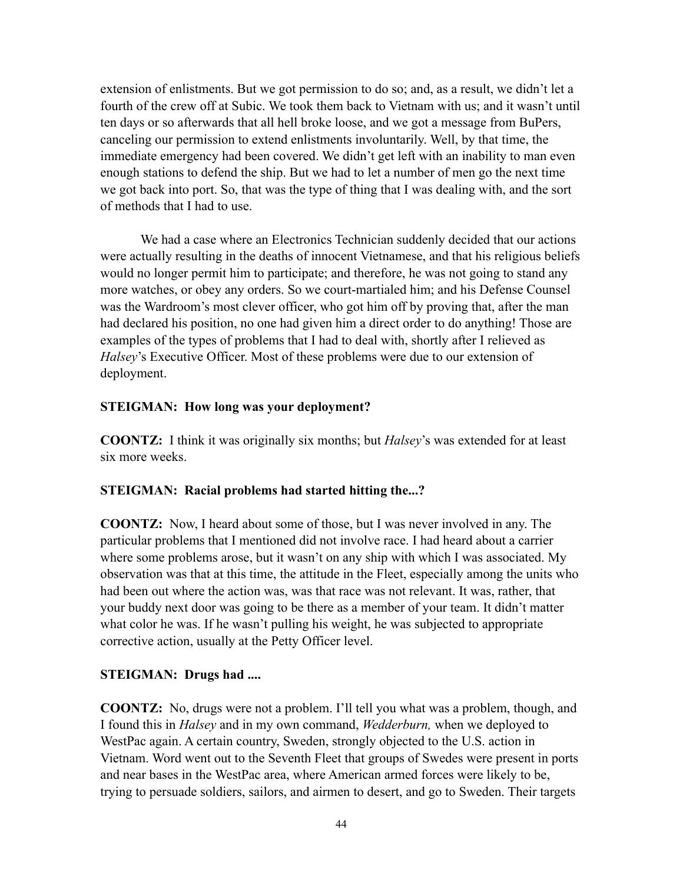extension of enlistments. But we got permission to do so; and, as a result, we didn't let a fourth of the crew off at Subic. We took them back to Vietnam with us; and it wasn't until ten days or so afterwards that all hell broke loose, and we got a message from BuPers, canceling our permission to extend enlistments involuntarily. Well, by that time, the immediate emergency had been covered. We didn't get left with an inability to man even enough stations to defend the ship. But we had to let a number of men go the next time we got back into port. So, that was the type of thing that I was dealing with, and the sort of methods that I had to use.

We had a case where an Electronics Technician suddenly decided that our actions were actually resulting in the deaths of innocent Vietnamese, and that his religious beliefs would no longer permit him to participate; and therefore, he was not going to stand any more watches, or obey any orders. So we court-martialed him; and his Defense Counsel was the Wardroom's most clever officer, who got him off by proving that, after the man had declared his position, no one had given him a direct order to do anything! Those are examples of the types of problems that I had to deal with, shortly after I relieved as *Halsey*'s Executive Officer. Most of these problems were due to our extension of deployment.

#### **STEIGMAN: How long was your deployment?**

**COONTZ:** I think it was originally six months; but *Halsey*'s was extended for at least six more weeks.

### **STEIGMAN: Racial problems had started hitting the...?**

**COONTZ:** Now, I heard about some of those, but I was never involved in any. The particular problems that I mentioned did not involve race. I had heard about a carrier where some problems arose, but it wasn't on any ship with which I was associated. My observation was that at this time, the attitude in the Fleet, especially among the units who had been out where the action was, was that race was not relevant. It was, rather, that your buddy next door was going to be there as a member of your team. It didn't matter what color he was. If he wasn't pulling his weight, he was subjected to appropriate corrective action, usually at the Petty Officer level.

### **STEIGMAN: Drugs had ....**

**COONTZ:** No, drugs were not a problem. I'll tell you what was a problem, though, and I found this in *Halsey* and in my own command, *Wedderburn,* when we deployed to WestPac again. A certain country, Sweden, strongly objected to the U.S. action in Vietnam. Word went out to the Seventh Fleet that groups of Swedes were present in ports and near bases in the WestPac area, where American armed forces were likely to be, trying to persuade soldiers, sailors, and airmen to desert, and go to Sweden. Their targets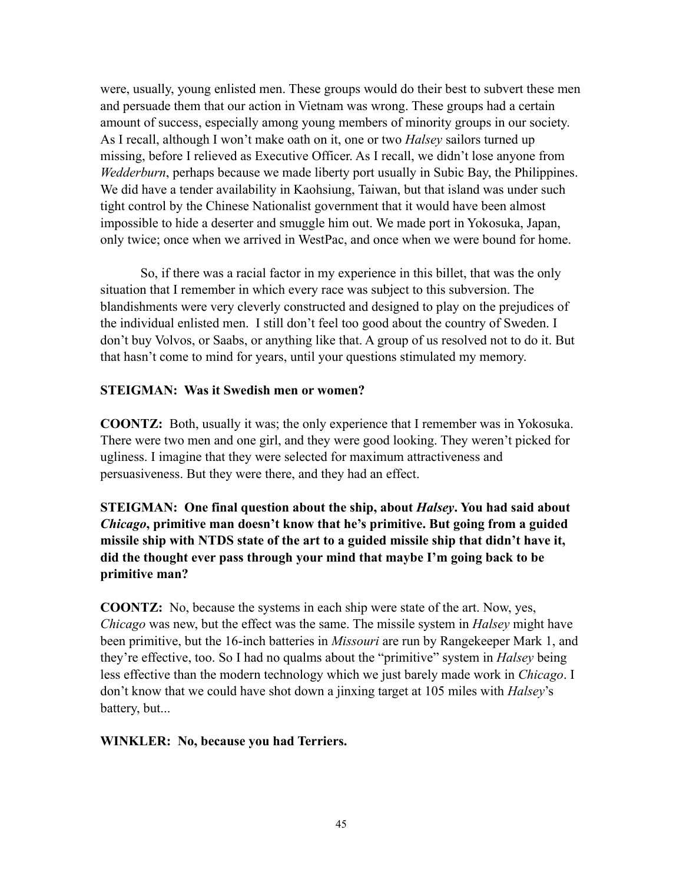were, usually, young enlisted men. These groups would do their best to subvert these men and persuade them that our action in Vietnam was wrong. These groups had a certain amount of success, especially among young members of minority groups in our society. As I recall, although I won't make oath on it, one or two *Halsey* sailors turned up missing, before I relieved as Executive Officer. As I recall, we didn't lose anyone from *Wedderburn*, perhaps because we made liberty port usually in Subic Bay, the Philippines. We did have a tender availability in Kaohsiung, Taiwan, but that island was under such tight control by the Chinese Nationalist government that it would have been almost impossible to hide a deserter and smuggle him out. We made port in Yokosuka, Japan, only twice; once when we arrived in WestPac, and once when we were bound for home.

So, if there was a racial factor in my experience in this billet, that was the only situation that I remember in which every race was subject to this subversion. The blandishments were very cleverly constructed and designed to play on the prejudices of the individual enlisted men. I still don't feel too good about the country of Sweden. I don't buy Volvos, or Saabs, or anything like that. A group of us resolved not to do it. But that hasn't come to mind for years, until your questions stimulated my memory.

#### **STEIGMAN: Was it Swedish men or women?**

**COONTZ:** Both, usually it was; the only experience that I remember was in Yokosuka. There were two men and one girl, and they were good looking. They weren't picked for ugliness. I imagine that they were selected for maximum attractiveness and persuasiveness. But they were there, and they had an effect.

**STEIGMAN: One final question about the ship, about** *Halsey***. You had said about**  *Chicago***, primitive man doesn't know that he's primitive. But going from a guided missile ship with NTDS state of the art to a guided missile ship that didn't have it, did the thought ever pass through your mind that maybe I'm going back to be primitive man?**

**COONTZ:** No, because the systems in each ship were state of the art. Now, yes, *Chicago* was new, but the effect was the same. The missile system in *Halsey* might have been primitive, but the 16-inch batteries in *Missouri* are run by Rangekeeper Mark 1, and they're effective, too. So I had no qualms about the "primitive" system in *Halsey* being less effective than the modern technology which we just barely made work in *Chicago*. I don't know that we could have shot down a jinxing target at 105 miles with *Halsey*'s battery, but...

#### **WINKLER: No, because you had Terriers.**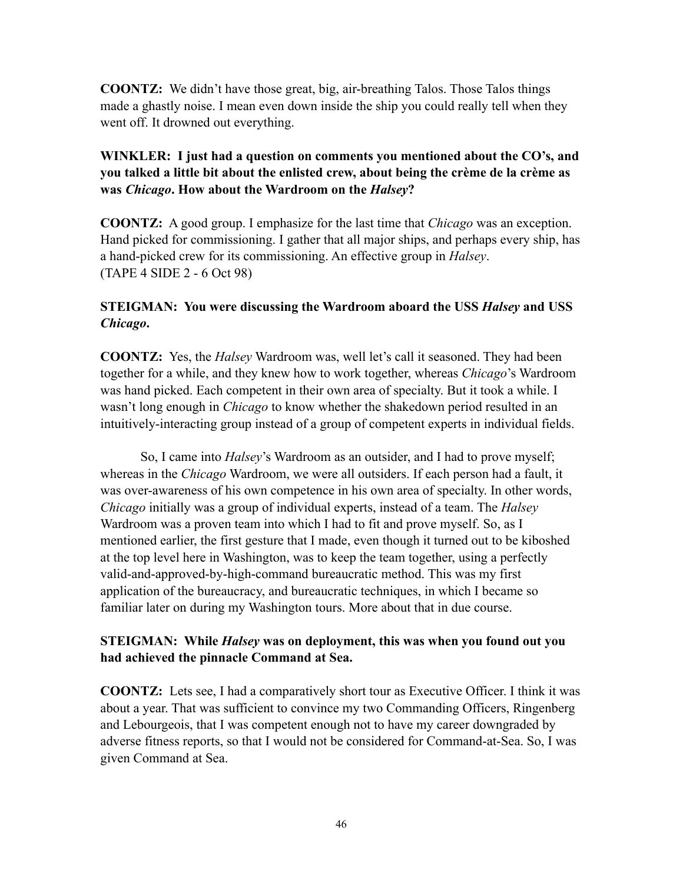**COONTZ:** We didn't have those great, big, air-breathing Talos. Those Talos things made a ghastly noise. I mean even down inside the ship you could really tell when they went off. It drowned out everything.

# **WINKLER: I just had a question on comments you mentioned about the CO's, and you talked a little bit about the enlisted crew, about being the crème de la crème as was** *Chicago***. How about the Wardroom on the** *Halsey***?**

**COONTZ:** A good group. I emphasize for the last time that *Chicago* was an exception. Hand picked for commissioning. I gather that all major ships, and perhaps every ship, has a hand-picked crew for its commissioning. An effective group in *Halsey*. (TAPE 4 SIDE 2 - 6 Oct 98)

# **STEIGMAN: You were discussing the Wardroom aboard the USS** *Halsey* **and USS**  *Chicago***.**

**COONTZ:** Yes, the *Halsey* Wardroom was, well let's call it seasoned. They had been together for a while, and they knew how to work together, whereas *Chicago*'s Wardroom was hand picked. Each competent in their own area of specialty. But it took a while. I wasn't long enough in *Chicago* to know whether the shakedown period resulted in an intuitively-interacting group instead of a group of competent experts in individual fields.

So, I came into *Halsey*'s Wardroom as an outsider, and I had to prove myself; whereas in the *Chicago* Wardroom, we were all outsiders. If each person had a fault, it was over-awareness of his own competence in his own area of specialty. In other words, *Chicago* initially was a group of individual experts, instead of a team. The *Halsey* Wardroom was a proven team into which I had to fit and prove myself. So, as I mentioned earlier, the first gesture that I made, even though it turned out to be kiboshed at the top level here in Washington, was to keep the team together, using a perfectly valid-and-approved-by-high-command bureaucratic method. This was my first application of the bureaucracy, and bureaucratic techniques, in which I became so familiar later on during my Washington tours. More about that in due course.

### **STEIGMAN: While** *Halsey* **was on deployment, this was when you found out you had achieved the pinnacle Command at Sea.**

**COONTZ:** Lets see, I had a comparatively short tour as Executive Officer. I think it was about a year. That was sufficient to convince my two Commanding Officers, Ringenberg and Lebourgeois, that I was competent enough not to have my career downgraded by adverse fitness reports, so that I would not be considered for Command-at-Sea. So, I was given Command at Sea.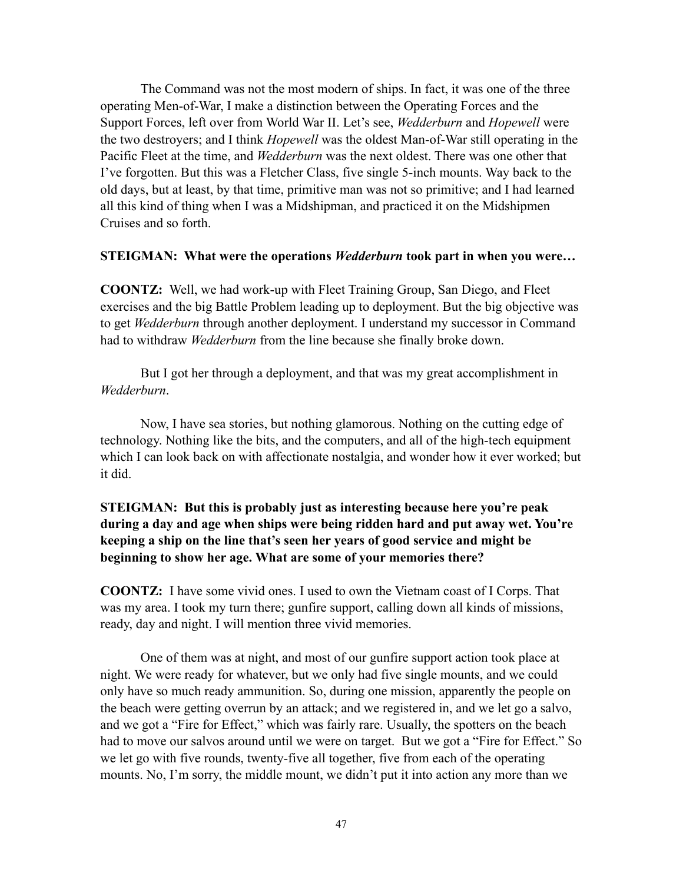The Command was not the most modern of ships. In fact, it was one of the three operating Men-of-War, I make a distinction between the Operating Forces and the Support Forces, left over from World War II. Let's see, *Wedderburn* and *Hopewell* were the two destroyers; and I think *Hopewell* was the oldest Man-of-War still operating in the Pacific Fleet at the time, and *Wedderburn* was the next oldest. There was one other that I've forgotten. But this was a Fletcher Class, five single 5-inch mounts. Way back to the old days, but at least, by that time, primitive man was not so primitive; and I had learned all this kind of thing when I was a Midshipman, and practiced it on the Midshipmen Cruises and so forth.

#### **STEIGMAN: What were the operations** *Wedderburn* **took part in when you were…**

**COONTZ:** Well, we had work-up with Fleet Training Group, San Diego, and Fleet exercises and the big Battle Problem leading up to deployment. But the big objective was to get *Wedderburn* through another deployment. I understand my successor in Command had to withdraw *Wedderburn* from the line because she finally broke down.

But I got her through a deployment, and that was my great accomplishment in *Wedderburn*.

Now, I have sea stories, but nothing glamorous. Nothing on the cutting edge of technology. Nothing like the bits, and the computers, and all of the high-tech equipment which I can look back on with affectionate nostalgia, and wonder how it ever worked; but it did.

### **STEIGMAN: But this is probably just as interesting because here you're peak during a day and age when ships were being ridden hard and put away wet. You're keeping a ship on the line that's seen her years of good service and might be beginning to show her age. What are some of your memories there?**

**COONTZ:** I have some vivid ones. I used to own the Vietnam coast of I Corps. That was my area. I took my turn there; gunfire support, calling down all kinds of missions, ready, day and night. I will mention three vivid memories.

One of them was at night, and most of our gunfire support action took place at night. We were ready for whatever, but we only had five single mounts, and we could only have so much ready ammunition. So, during one mission, apparently the people on the beach were getting overrun by an attack; and we registered in, and we let go a salvo, and we got a "Fire for Effect," which was fairly rare. Usually, the spotters on the beach had to move our salvos around until we were on target. But we got a "Fire for Effect." So we let go with five rounds, twenty-five all together, five from each of the operating mounts. No, I'm sorry, the middle mount, we didn't put it into action any more than we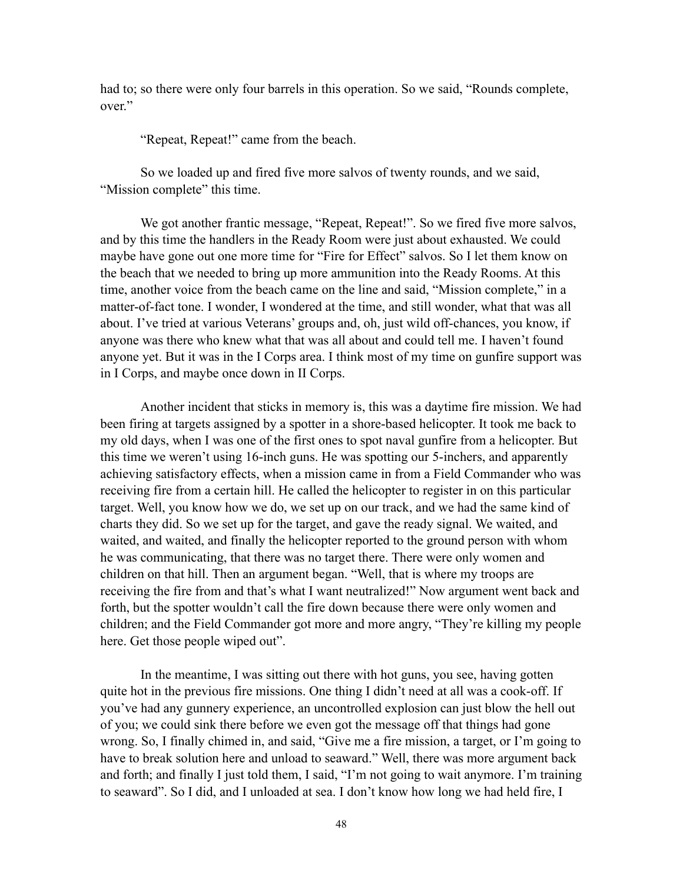had to; so there were only four barrels in this operation. So we said, "Rounds complete, over."

"Repeat, Repeat!" came from the beach.

So we loaded up and fired five more salvos of twenty rounds, and we said, "Mission complete" this time.

We got another frantic message, "Repeat, Repeat!". So we fired five more salvos, and by this time the handlers in the Ready Room were just about exhausted. We could maybe have gone out one more time for "Fire for Effect" salvos. So I let them know on the beach that we needed to bring up more ammunition into the Ready Rooms. At this time, another voice from the beach came on the line and said, "Mission complete," in a matter-of-fact tone. I wonder, I wondered at the time, and still wonder, what that was all about. I've tried at various Veterans' groups and, oh, just wild off-chances, you know, if anyone was there who knew what that was all about and could tell me. I haven't found anyone yet. But it was in the I Corps area. I think most of my time on gunfire support was in I Corps, and maybe once down in II Corps.

Another incident that sticks in memory is, this was a daytime fire mission. We had been firing at targets assigned by a spotter in a shore-based helicopter. It took me back to my old days, when I was one of the first ones to spot naval gunfire from a helicopter. But this time we weren't using 16-inch guns. He was spotting our 5-inchers, and apparently achieving satisfactory effects, when a mission came in from a Field Commander who was receiving fire from a certain hill. He called the helicopter to register in on this particular target. Well, you know how we do, we set up on our track, and we had the same kind of charts they did. So we set up for the target, and gave the ready signal. We waited, and waited, and waited, and finally the helicopter reported to the ground person with whom he was communicating, that there was no target there. There were only women and children on that hill. Then an argument began. "Well, that is where my troops are receiving the fire from and that's what I want neutralized!" Now argument went back and forth, but the spotter wouldn't call the fire down because there were only women and children; and the Field Commander got more and more angry, "They're killing my people here. Get those people wiped out".

In the meantime, I was sitting out there with hot guns, you see, having gotten quite hot in the previous fire missions. One thing I didn't need at all was a cook-off. If you've had any gunnery experience, an uncontrolled explosion can just blow the hell out of you; we could sink there before we even got the message off that things had gone wrong. So, I finally chimed in, and said, "Give me a fire mission, a target, or I'm going to have to break solution here and unload to seaward." Well, there was more argument back and forth; and finally I just told them, I said, "I'm not going to wait anymore. I'm training to seaward". So I did, and I unloaded at sea. I don't know how long we had held fire, I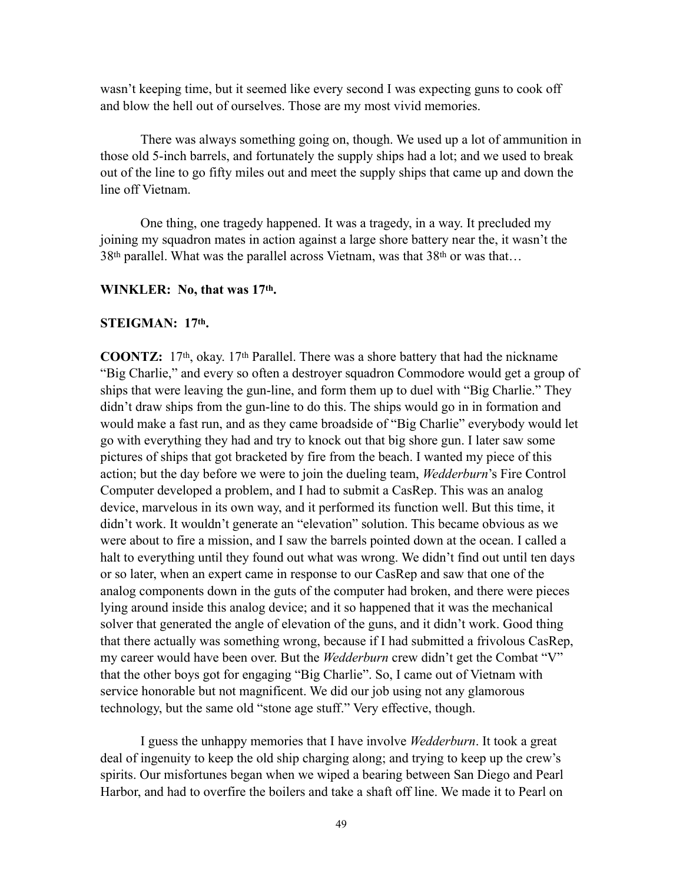wasn't keeping time, but it seemed like every second I was expecting guns to cook off and blow the hell out of ourselves. Those are my most vivid memories.

There was always something going on, though. We used up a lot of ammunition in those old 5-inch barrels, and fortunately the supply ships had a lot; and we used to break out of the line to go fifty miles out and meet the supply ships that came up and down the line off Vietnam.

One thing, one tragedy happened. It was a tragedy, in a way. It precluded my joining my squadron mates in action against a large shore battery near the, it wasn't the 38th parallel. What was the parallel across Vietnam, was that 38th or was that…

#### **WINKLER: No, that was 17th.**

#### **STEIGMAN: 17th.**

**COONTZ:** 17th, okay. 17th Parallel. There was a shore battery that had the nickname "Big Charlie," and every so often a destroyer squadron Commodore would get a group of ships that were leaving the gun-line, and form them up to duel with "Big Charlie." They didn't draw ships from the gun-line to do this. The ships would go in in formation and would make a fast run, and as they came broadside of "Big Charlie" everybody would let go with everything they had and try to knock out that big shore gun. I later saw some pictures of ships that got bracketed by fire from the beach. I wanted my piece of this action; but the day before we were to join the dueling team, *Wedderburn*'s Fire Control Computer developed a problem, and I had to submit a CasRep. This was an analog device, marvelous in its own way, and it performed its function well. But this time, it didn't work. It wouldn't generate an "elevation" solution. This became obvious as we were about to fire a mission, and I saw the barrels pointed down at the ocean. I called a halt to everything until they found out what was wrong. We didn't find out until ten days or so later, when an expert came in response to our CasRep and saw that one of the analog components down in the guts of the computer had broken, and there were pieces lying around inside this analog device; and it so happened that it was the mechanical solver that generated the angle of elevation of the guns, and it didn't work. Good thing that there actually was something wrong, because if I had submitted a frivolous CasRep, my career would have been over. But the *Wedderburn* crew didn't get the Combat "V" that the other boys got for engaging "Big Charlie". So, I came out of Vietnam with service honorable but not magnificent. We did our job using not any glamorous technology, but the same old "stone age stuff." Very effective, though.

I guess the unhappy memories that I have involve *Wedderburn*. It took a great deal of ingenuity to keep the old ship charging along; and trying to keep up the crew's spirits. Our misfortunes began when we wiped a bearing between San Diego and Pearl Harbor, and had to overfire the boilers and take a shaft off line. We made it to Pearl on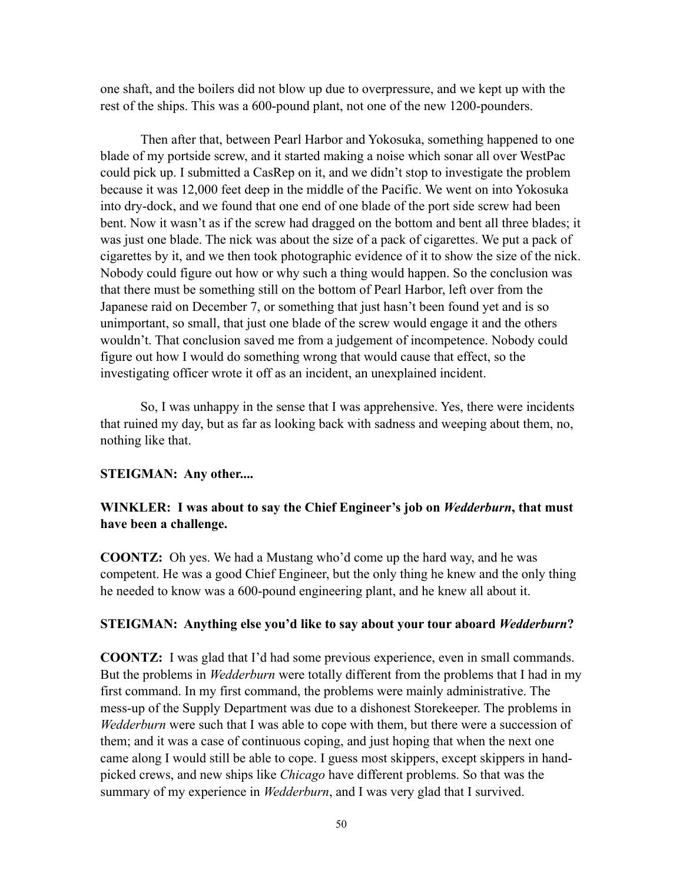one shaft, and the boilers did not blow up due to overpressure, and we kept up with the rest of the ships. This was a 600-pound plant, not one of the new 1200-pounders.

Then after that, between Pearl Harbor and Yokosuka, something happened to one blade of my portside screw, and it started making a noise which sonar all over WestPac could pick up. I submitted a CasRep on it, and we didn't stop to investigate the problem because it was 12,000 feet deep in the middle of the Pacific. We went on into Yokosuka into dry-dock, and we found that one end of one blade of the port side screw had been bent. Now it wasn't as if the screw had dragged on the bottom and bent all three blades; it was just one blade. The nick was about the size of a pack of cigarettes. We put a pack of cigarettes by it, and we then took photographic evidence of it to show the size of the nick. Nobody could figure out how or why such a thing would happen. So the conclusion was that there must be something still on the bottom of Pearl Harbor, left over from the Japanese raid on December 7, or something that just hasn't been found yet and is so unimportant, so small, that just one blade of the screw would engage it and the others wouldn't. That conclusion saved me from a judgement of incompetence. Nobody could figure out how I would do something wrong that would cause that effect, so the investigating officer wrote it off as an incident, an unexplained incident.

So, I was unhappy in the sense that I was apprehensive. Yes, there were incidents that ruined my day, but as far as looking back with sadness and weeping about them, no, nothing like that.

#### **STEIGMAN: Any other....**

### **WINKLER: I was about to say the Chief Engineer's job on** *Wedderburn***, that must have been a challenge.**

**COONTZ:** Oh yes. We had a Mustang who'd come up the hard way, and he was competent. He was a good Chief Engineer, but the only thing he knew and the only thing he needed to know was a 600-pound engineering plant, and he knew all about it.

#### **STEIGMAN: Anything else you'd like to say about your tour aboard** *Wedderburn***?**

**COONTZ:** I was glad that I'd had some previous experience, even in small commands. But the problems in *Wedderburn* were totally different from the problems that I had in my first command. In my first command, the problems were mainly administrative. The mess-up of the Supply Department was due to a dishonest Storekeeper. The problems in *Wedderburn* were such that I was able to cope with them, but there were a succession of them; and it was a case of continuous coping, and just hoping that when the next one came along I would still be able to cope. I guess most skippers, except skippers in handpicked crews, and new ships like *Chicago* have different problems. So that was the summary of my experience in *Wedderburn*, and I was very glad that I survived.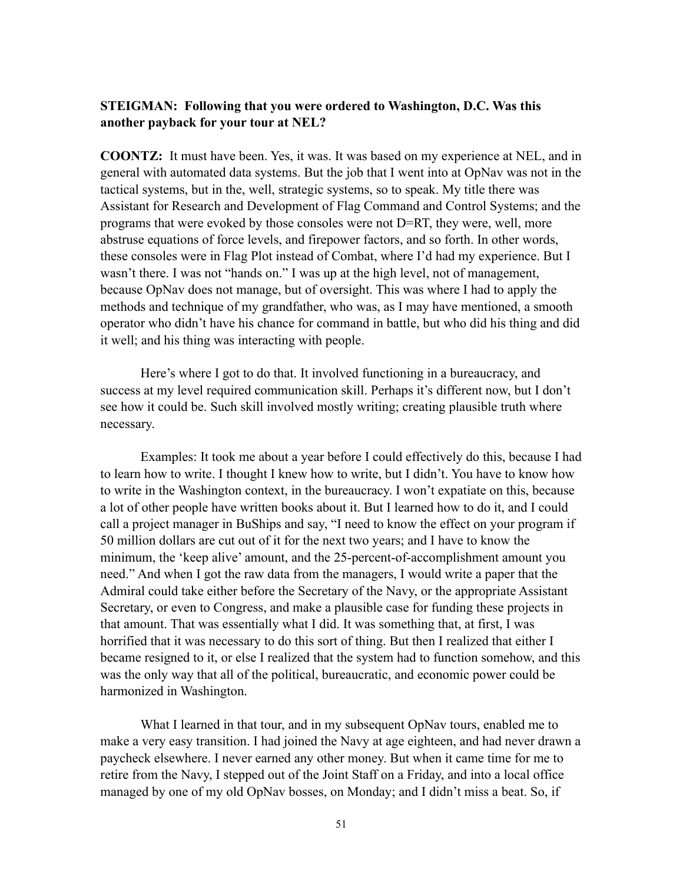#### **STEIGMAN: Following that you were ordered to Washington, D.C. Was this another payback for your tour at NEL?**

**COONTZ:** It must have been. Yes, it was. It was based on my experience at NEL, and in general with automated data systems. But the job that I went into at OpNav was not in the tactical systems, but in the, well, strategic systems, so to speak. My title there was Assistant for Research and Development of Flag Command and Control Systems; and the programs that were evoked by those consoles were not D=RT, they were, well, more abstruse equations of force levels, and firepower factors, and so forth. In other words, these consoles were in Flag Plot instead of Combat, where I'd had my experience. But I wasn't there. I was not "hands on." I was up at the high level, not of management, because OpNav does not manage, but of oversight. This was where I had to apply the methods and technique of my grandfather, who was, as I may have mentioned, a smooth operator who didn't have his chance for command in battle, but who did his thing and did it well; and his thing was interacting with people.

Here's where I got to do that. It involved functioning in a bureaucracy, and success at my level required communication skill. Perhaps it's different now, but I don't see how it could be. Such skill involved mostly writing; creating plausible truth where necessary.

Examples: It took me about a year before I could effectively do this, because I had to learn how to write. I thought I knew how to write, but I didn't. You have to know how to write in the Washington context, in the bureaucracy. I won't expatiate on this, because a lot of other people have written books about it. But I learned how to do it, and I could call a project manager in BuShips and say, "I need to know the effect on your program if 50 million dollars are cut out of it for the next two years; and I have to know the minimum, the 'keep alive' amount, and the 25-percent-of-accomplishment amount you need." And when I got the raw data from the managers, I would write a paper that the Admiral could take either before the Secretary of the Navy, or the appropriate Assistant Secretary, or even to Congress, and make a plausible case for funding these projects in that amount. That was essentially what I did. It was something that, at first, I was horrified that it was necessary to do this sort of thing. But then I realized that either I became resigned to it, or else I realized that the system had to function somehow, and this was the only way that all of the political, bureaucratic, and economic power could be harmonized in Washington.

What I learned in that tour, and in my subsequent OpNav tours, enabled me to make a very easy transition. I had joined the Navy at age eighteen, and had never drawn a paycheck elsewhere. I never earned any other money. But when it came time for me to retire from the Navy, I stepped out of the Joint Staff on a Friday, and into a local office managed by one of my old OpNav bosses, on Monday; and I didn't miss a beat. So, if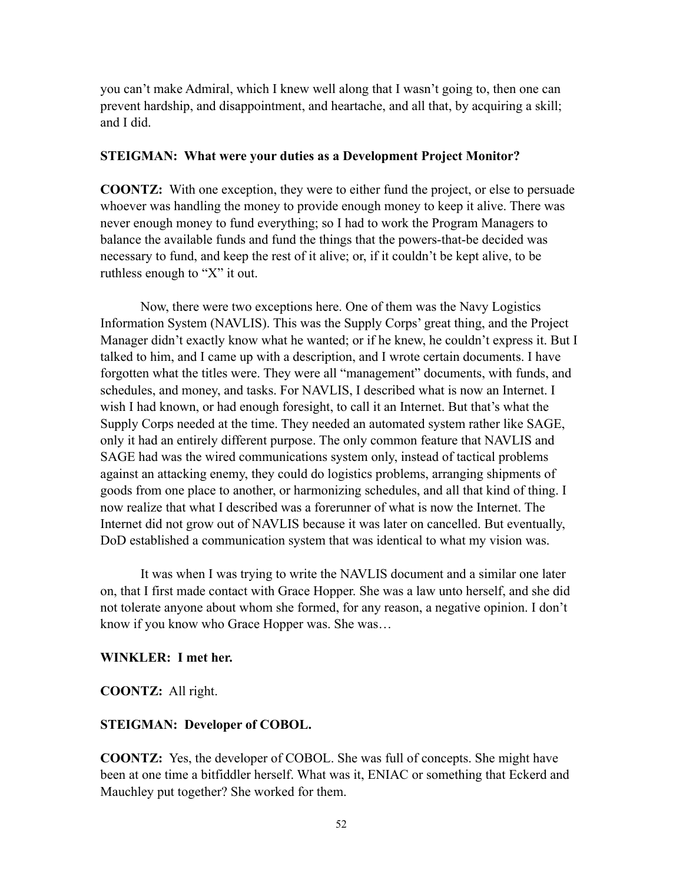you can't make Admiral, which I knew well along that I wasn't going to, then one can prevent hardship, and disappointment, and heartache, and all that, by acquiring a skill; and I did.

#### **STEIGMAN: What were your duties as a Development Project Monitor?**

**COONTZ:** With one exception, they were to either fund the project, or else to persuade whoever was handling the money to provide enough money to keep it alive. There was never enough money to fund everything; so I had to work the Program Managers to balance the available funds and fund the things that the powers-that-be decided was necessary to fund, and keep the rest of it alive; or, if it couldn't be kept alive, to be ruthless enough to "X" it out.

Now, there were two exceptions here. One of them was the Navy Logistics Information System (NAVLIS). This was the Supply Corps' great thing, and the Project Manager didn't exactly know what he wanted; or if he knew, he couldn't express it. But I talked to him, and I came up with a description, and I wrote certain documents. I have forgotten what the titles were. They were all "management" documents, with funds, and schedules, and money, and tasks. For NAVLIS, I described what is now an Internet. I wish I had known, or had enough foresight, to call it an Internet. But that's what the Supply Corps needed at the time. They needed an automated system rather like SAGE, only it had an entirely different purpose. The only common feature that NAVLIS and SAGE had was the wired communications system only, instead of tactical problems against an attacking enemy, they could do logistics problems, arranging shipments of goods from one place to another, or harmonizing schedules, and all that kind of thing. I now realize that what I described was a forerunner of what is now the Internet. The Internet did not grow out of NAVLIS because it was later on cancelled. But eventually, DoD established a communication system that was identical to what my vision was.

It was when I was trying to write the NAVLIS document and a similar one later on, that I first made contact with Grace Hopper. She was a law unto herself, and she did not tolerate anyone about whom she formed, for any reason, a negative opinion. I don't know if you know who Grace Hopper was. She was…

#### **WINKLER: I met her.**

**COONTZ:** All right.

#### **STEIGMAN: Developer of COBOL.**

**COONTZ:** Yes, the developer of COBOL. She was full of concepts. She might have been at one time a bitfiddler herself. What was it, ENIAC or something that Eckerd and Mauchley put together? She worked for them.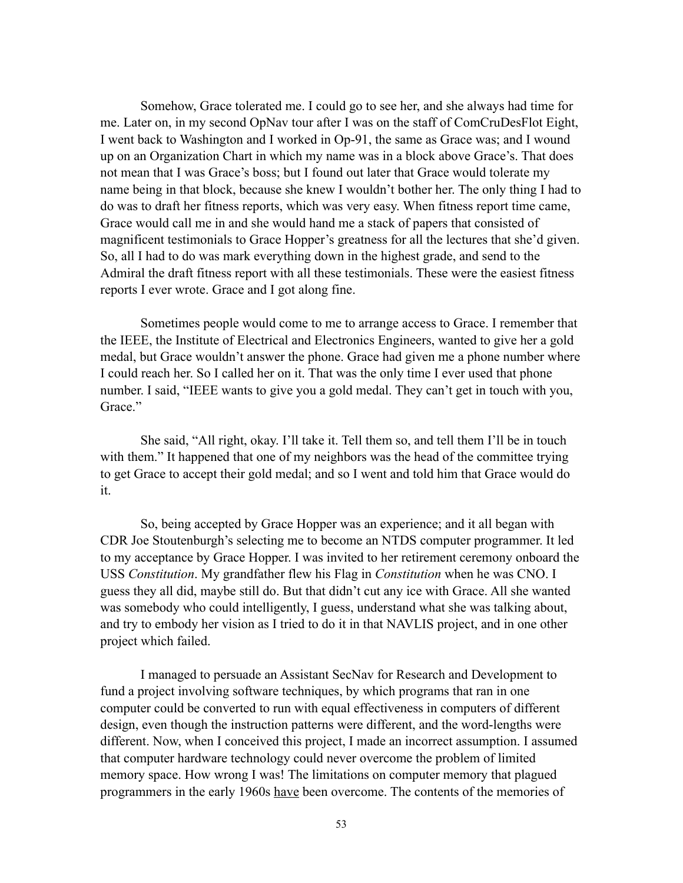Somehow, Grace tolerated me. I could go to see her, and she always had time for me. Later on, in my second OpNav tour after I was on the staff of ComCruDesFlot Eight, I went back to Washington and I worked in Op-91, the same as Grace was; and I wound up on an Organization Chart in which my name was in a block above Grace's. That does not mean that I was Grace's boss; but I found out later that Grace would tolerate my name being in that block, because she knew I wouldn't bother her. The only thing I had to do was to draft her fitness reports, which was very easy. When fitness report time came, Grace would call me in and she would hand me a stack of papers that consisted of magnificent testimonials to Grace Hopper's greatness for all the lectures that she'd given. So, all I had to do was mark everything down in the highest grade, and send to the Admiral the draft fitness report with all these testimonials. These were the easiest fitness reports I ever wrote. Grace and I got along fine.

Sometimes people would come to me to arrange access to Grace. I remember that the IEEE, the Institute of Electrical and Electronics Engineers, wanted to give her a gold medal, but Grace wouldn't answer the phone. Grace had given me a phone number where I could reach her. So I called her on it. That was the only time I ever used that phone number. I said, "IEEE wants to give you a gold medal. They can't get in touch with you, Grace<sup>"</sup>

She said, "All right, okay. I'll take it. Tell them so, and tell them I'll be in touch with them." It happened that one of my neighbors was the head of the committee trying to get Grace to accept their gold medal; and so I went and told him that Grace would do it.

So, being accepted by Grace Hopper was an experience; and it all began with CDR Joe Stoutenburgh's selecting me to become an NTDS computer programmer. It led to my acceptance by Grace Hopper. I was invited to her retirement ceremony onboard the USS *Constitution*. My grandfather flew his Flag in *Constitution* when he was CNO. I guess they all did, maybe still do. But that didn't cut any ice with Grace. All she wanted was somebody who could intelligently, I guess, understand what she was talking about, and try to embody her vision as I tried to do it in that NAVLIS project, and in one other project which failed.

I managed to persuade an Assistant SecNav for Research and Development to fund a project involving software techniques, by which programs that ran in one computer could be converted to run with equal effectiveness in computers of different design, even though the instruction patterns were different, and the word-lengths were different. Now, when I conceived this project, I made an incorrect assumption. I assumed that computer hardware technology could never overcome the problem of limited memory space. How wrong I was! The limitations on computer memory that plagued programmers in the early 1960s have been overcome. The contents of the memories of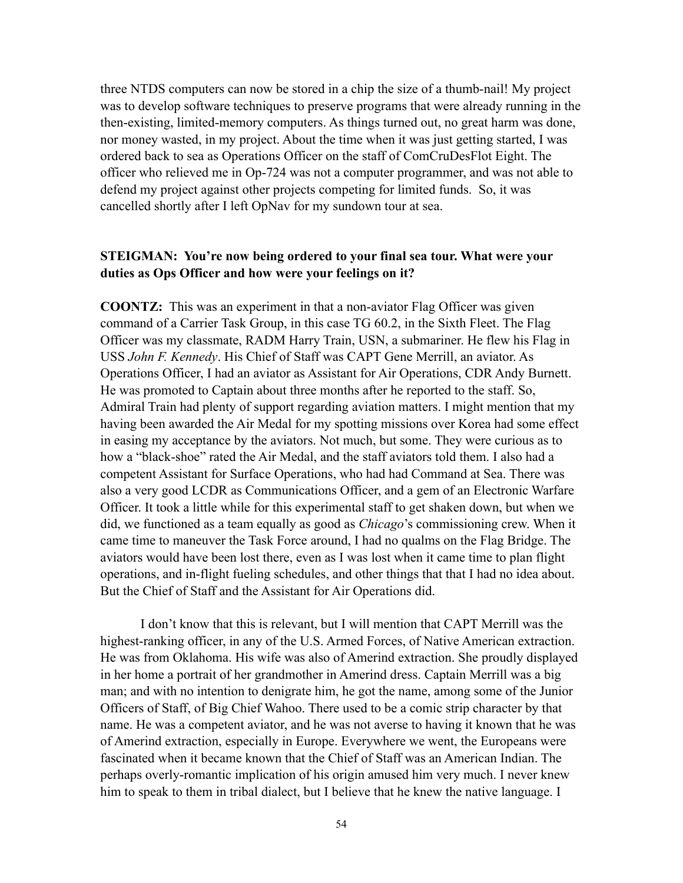three NTDS computers can now be stored in a chip the size of a thumb-nail! My project was to develop software techniques to preserve programs that were already running in the then-existing, limited-memory computers. As things turned out, no great harm was done, nor money wasted, in my project. About the time when it was just getting started, I was ordered back to sea as Operations Officer on the staff of ComCruDesFlot Eight. The officer who relieved me in Op-724 was not a computer programmer, and was not able to defend my project against other projects competing for limited funds. So, it was cancelled shortly after I left OpNav for my sundown tour at sea.

#### **STEIGMAN: You're now being ordered to your final sea tour. What were your duties as Ops Officer and how were your feelings on it?**

**COONTZ:** This was an experiment in that a non-aviator Flag Officer was given command of a Carrier Task Group, in this case TG 60.2, in the Sixth Fleet. The Flag Officer was my classmate, RADM Harry Train, USN, a submariner. He flew his Flag in USS *John F. Kennedy*. His Chief of Staff was CAPT Gene Merrill, an aviator. As Operations Officer, I had an aviator as Assistant for Air Operations, CDR Andy Burnett. He was promoted to Captain about three months after he reported to the staff. So, Admiral Train had plenty of support regarding aviation matters. I might mention that my having been awarded the Air Medal for my spotting missions over Korea had some effect in easing my acceptance by the aviators. Not much, but some. They were curious as to how a "black-shoe" rated the Air Medal, and the staff aviators told them. I also had a competent Assistant for Surface Operations, who had had Command at Sea. There was also a very good LCDR as Communications Officer, and a gem of an Electronic Warfare Officer. It took a little while for this experimental staff to get shaken down, but when we did, we functioned as a team equally as good as *Chicago*'s commissioning crew. When it came time to maneuver the Task Force around, I had no qualms on the Flag Bridge. The aviators would have been lost there, even as I was lost when it came time to plan flight operations, and in-flight fueling schedules, and other things that that I had no idea about. But the Chief of Staff and the Assistant for Air Operations did.

I don't know that this is relevant, but I will mention that CAPT Merrill was the highest-ranking officer, in any of the U.S. Armed Forces, of Native American extraction. He was from Oklahoma. His wife was also of Amerind extraction. She proudly displayed in her home a portrait of her grandmother in Amerind dress. Captain Merrill was a big man; and with no intention to denigrate him, he got the name, among some of the Junior Officers of Staff, of Big Chief Wahoo. There used to be a comic strip character by that name. He was a competent aviator, and he was not averse to having it known that he was of Amerind extraction, especially in Europe. Everywhere we went, the Europeans were fascinated when it became known that the Chief of Staff was an American Indian. The perhaps overly-romantic implication of his origin amused him very much. I never knew him to speak to them in tribal dialect, but I believe that he knew the native language. I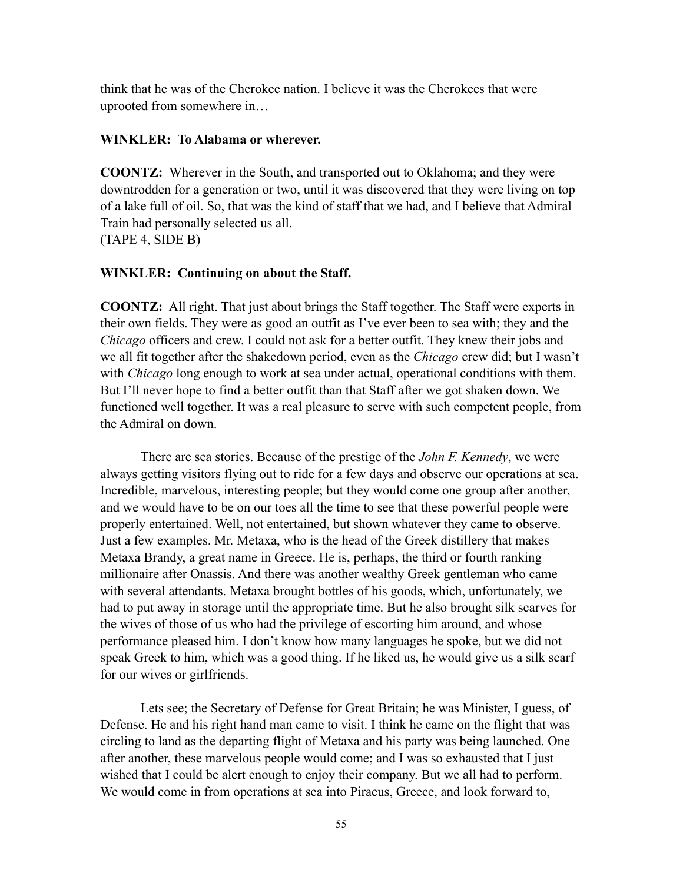think that he was of the Cherokee nation. I believe it was the Cherokees that were uprooted from somewhere in…

#### **WINKLER: To Alabama or wherever.**

**COONTZ:** Wherever in the South, and transported out to Oklahoma; and they were downtrodden for a generation or two, until it was discovered that they were living on top of a lake full of oil. So, that was the kind of staff that we had, and I believe that Admiral Train had personally selected us all. (TAPE 4, SIDE B)

#### **WINKLER: Continuing on about the Staff.**

**COONTZ:** All right. That just about brings the Staff together. The Staff were experts in their own fields. They were as good an outfit as I've ever been to sea with; they and the *Chicago* officers and crew. I could not ask for a better outfit. They knew their jobs and we all fit together after the shakedown period, even as the *Chicago* crew did; but I wasn't with *Chicago* long enough to work at sea under actual, operational conditions with them. But I'll never hope to find a better outfit than that Staff after we got shaken down. We functioned well together. It was a real pleasure to serve with such competent people, from the Admiral on down.

There are sea stories. Because of the prestige of the *John F. Kennedy*, we were always getting visitors flying out to ride for a few days and observe our operations at sea. Incredible, marvelous, interesting people; but they would come one group after another, and we would have to be on our toes all the time to see that these powerful people were properly entertained. Well, not entertained, but shown whatever they came to observe. Just a few examples. Mr. Metaxa, who is the head of the Greek distillery that makes Metaxa Brandy, a great name in Greece. He is, perhaps, the third or fourth ranking millionaire after Onassis. And there was another wealthy Greek gentleman who came with several attendants. Metaxa brought bottles of his goods, which, unfortunately, we had to put away in storage until the appropriate time. But he also brought silk scarves for the wives of those of us who had the privilege of escorting him around, and whose performance pleased him. I don't know how many languages he spoke, but we did not speak Greek to him, which was a good thing. If he liked us, he would give us a silk scarf for our wives or girlfriends.

Lets see; the Secretary of Defense for Great Britain; he was Minister, I guess, of Defense. He and his right hand man came to visit. I think he came on the flight that was circling to land as the departing flight of Metaxa and his party was being launched. One after another, these marvelous people would come; and I was so exhausted that I just wished that I could be alert enough to enjoy their company. But we all had to perform. We would come in from operations at sea into Piraeus, Greece, and look forward to,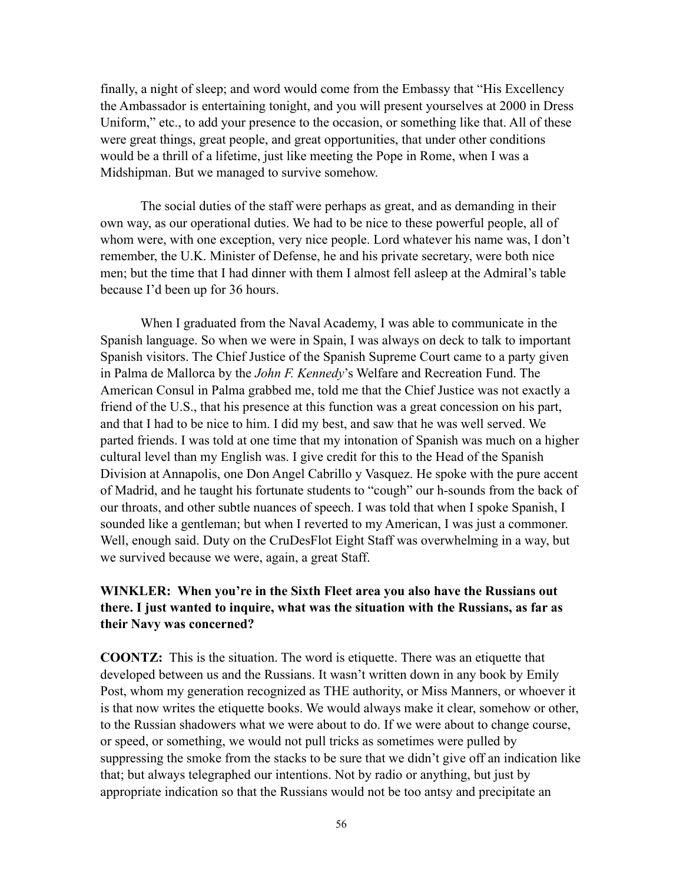finally, a night of sleep; and word would come from the Embassy that "His Excellency the Ambassador is entertaining tonight, and you will present yourselves at 2000 in Dress Uniform," etc., to add your presence to the occasion, or something like that. All of these were great things, great people, and great opportunities, that under other conditions would be a thrill of a lifetime, just like meeting the Pope in Rome, when I was a Midshipman. But we managed to survive somehow.

The social duties of the staff were perhaps as great, and as demanding in their own way, as our operational duties. We had to be nice to these powerful people, all of whom were, with one exception, very nice people. Lord whatever his name was, I don't remember, the U.K. Minister of Defense, he and his private secretary, were both nice men; but the time that I had dinner with them I almost fell asleep at the Admiral's table because I'd been up for 36 hours.

When I graduated from the Naval Academy, I was able to communicate in the Spanish language. So when we were in Spain, I was always on deck to talk to important Spanish visitors. The Chief Justice of the Spanish Supreme Court came to a party given in Palma de Mallorca by the *John F. Kennedy*'s Welfare and Recreation Fund. The American Consul in Palma grabbed me, told me that the Chief Justice was not exactly a friend of the U.S., that his presence at this function was a great concession on his part, and that I had to be nice to him. I did my best, and saw that he was well served. We parted friends. I was told at one time that my intonation of Spanish was much on a higher cultural level than my English was. I give credit for this to the Head of the Spanish Division at Annapolis, one Don Angel Cabrillo y Vasquez. He spoke with the pure accent of Madrid, and he taught his fortunate students to "cough" our h-sounds from the back of our throats, and other subtle nuances of speech. I was told that when I spoke Spanish, I sounded like a gentleman; but when I reverted to my American, I was just a commoner. Well, enough said. Duty on the CruDesFlot Eight Staff was overwhelming in a way, but we survived because we were, again, a great Staff.

### **WINKLER: When you're in the Sixth Fleet area you also have the Russians out there. I just wanted to inquire, what was the situation with the Russians, as far as their Navy was concerned?**

**COONTZ:** This is the situation. The word is etiquette. There was an etiquette that developed between us and the Russians. It wasn't written down in any book by Emily Post, whom my generation recognized as THE authority, or Miss Manners, or whoever it is that now writes the etiquette books. We would always make it clear, somehow or other, to the Russian shadowers what we were about to do. If we were about to change course, or speed, or something, we would not pull tricks as sometimes were pulled by suppressing the smoke from the stacks to be sure that we didn't give off an indication like that; but always telegraphed our intentions. Not by radio or anything, but just by appropriate indication so that the Russians would not be too antsy and precipitate an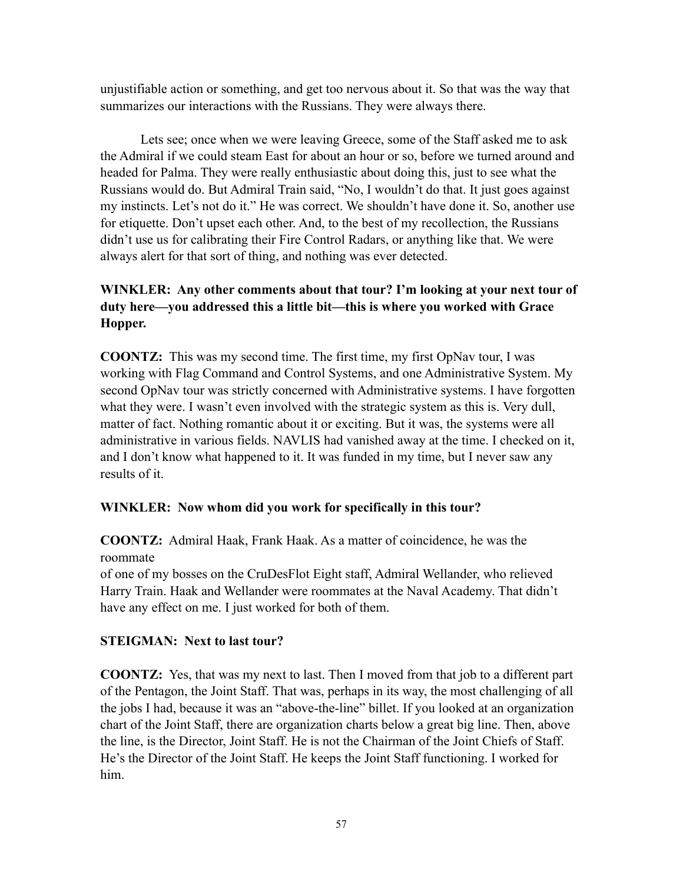unjustifiable action or something, and get too nervous about it. So that was the way that summarizes our interactions with the Russians. They were always there.

Lets see; once when we were leaving Greece, some of the Staff asked me to ask the Admiral if we could steam East for about an hour or so, before we turned around and headed for Palma. They were really enthusiastic about doing this, just to see what the Russians would do. But Admiral Train said, "No, I wouldn't do that. It just goes against my instincts. Let's not do it." He was correct. We shouldn't have done it. So, another use for etiquette. Don't upset each other. And, to the best of my recollection, the Russians didn't use us for calibrating their Fire Control Radars, or anything like that. We were always alert for that sort of thing, and nothing was ever detected.

# **WINKLER: Any other comments about that tour? I'm looking at your next tour of duty here—you addressed this a little bit—this is where you worked with Grace Hopper.**

**COONTZ:** This was my second time. The first time, my first OpNav tour, I was working with Flag Command and Control Systems, and one Administrative System. My second OpNav tour was strictly concerned with Administrative systems. I have forgotten what they were. I wasn't even involved with the strategic system as this is. Very dull, matter of fact. Nothing romantic about it or exciting. But it was, the systems were all administrative in various fields. NAVLIS had vanished away at the time. I checked on it, and I don't know what happened to it. It was funded in my time, but I never saw any results of it.

# **WINKLER: Now whom did you work for specifically in this tour?**

**COONTZ:** Admiral Haak, Frank Haak. As a matter of coincidence, he was the roommate

of one of my bosses on the CruDesFlot Eight staff, Admiral Wellander, who relieved Harry Train. Haak and Wellander were roommates at the Naval Academy. That didn't have any effect on me. I just worked for both of them.

### **STEIGMAN: Next to last tour?**

**COONTZ:** Yes, that was my next to last. Then I moved from that job to a different part of the Pentagon, the Joint Staff. That was, perhaps in its way, the most challenging of all the jobs I had, because it was an "above-the-line" billet. If you looked at an organization chart of the Joint Staff, there are organization charts below a great big line. Then, above the line, is the Director, Joint Staff. He is not the Chairman of the Joint Chiefs of Staff. He's the Director of the Joint Staff. He keeps the Joint Staff functioning. I worked for him.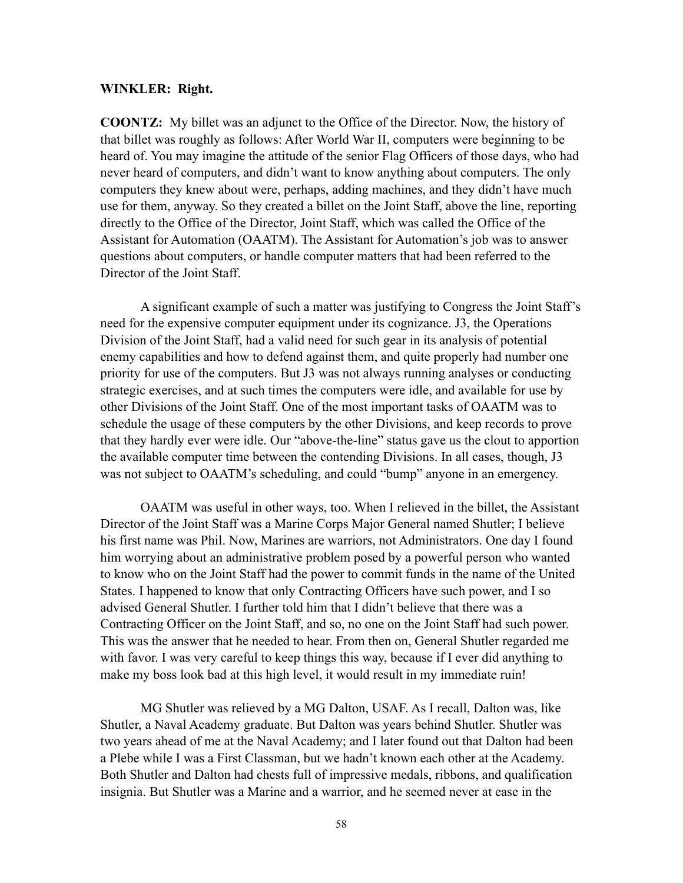#### **WINKLER: Right.**

**COONTZ:** My billet was an adjunct to the Office of the Director. Now, the history of that billet was roughly as follows: After World War II, computers were beginning to be heard of. You may imagine the attitude of the senior Flag Officers of those days, who had never heard of computers, and didn't want to know anything about computers. The only computers they knew about were, perhaps, adding machines, and they didn't have much use for them, anyway. So they created a billet on the Joint Staff, above the line, reporting directly to the Office of the Director, Joint Staff, which was called the Office of the Assistant for Automation (OAATM). The Assistant for Automation's job was to answer questions about computers, or handle computer matters that had been referred to the Director of the Joint Staff.

A significant example of such a matter was justifying to Congress the Joint Staff's need for the expensive computer equipment under its cognizance. J3, the Operations Division of the Joint Staff, had a valid need for such gear in its analysis of potential enemy capabilities and how to defend against them, and quite properly had number one priority for use of the computers. But J3 was not always running analyses or conducting strategic exercises, and at such times the computers were idle, and available for use by other Divisions of the Joint Staff. One of the most important tasks of OAATM was to schedule the usage of these computers by the other Divisions, and keep records to prove that they hardly ever were idle. Our "above-the-line" status gave us the clout to apportion the available computer time between the contending Divisions. In all cases, though, J3 was not subject to OAATM's scheduling, and could "bump" anyone in an emergency.

OAATM was useful in other ways, too. When I relieved in the billet, the Assistant Director of the Joint Staff was a Marine Corps Major General named Shutler; I believe his first name was Phil. Now, Marines are warriors, not Administrators. One day I found him worrying about an administrative problem posed by a powerful person who wanted to know who on the Joint Staff had the power to commit funds in the name of the United States. I happened to know that only Contracting Officers have such power, and I so advised General Shutler. I further told him that I didn't believe that there was a Contracting Officer on the Joint Staff, and so, no one on the Joint Staff had such power. This was the answer that he needed to hear. From then on, General Shutler regarded me with favor. I was very careful to keep things this way, because if I ever did anything to make my boss look bad at this high level, it would result in my immediate ruin!

MG Shutler was relieved by a MG Dalton, USAF. As I recall, Dalton was, like Shutler, a Naval Academy graduate. But Dalton was years behind Shutler. Shutler was two years ahead of me at the Naval Academy; and I later found out that Dalton had been a Plebe while I was a First Classman, but we hadn't known each other at the Academy. Both Shutler and Dalton had chests full of impressive medals, ribbons, and qualification insignia. But Shutler was a Marine and a warrior, and he seemed never at ease in the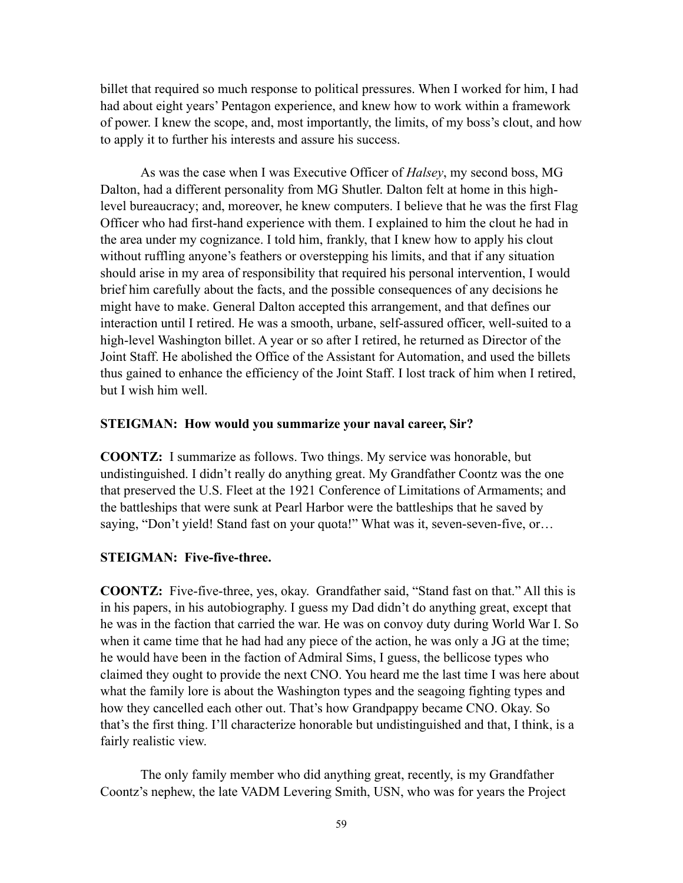billet that required so much response to political pressures. When I worked for him, I had had about eight years' Pentagon experience, and knew how to work within a framework of power. I knew the scope, and, most importantly, the limits, of my boss's clout, and how to apply it to further his interests and assure his success.

As was the case when I was Executive Officer of *Halsey*, my second boss, MG Dalton, had a different personality from MG Shutler. Dalton felt at home in this highlevel bureaucracy; and, moreover, he knew computers. I believe that he was the first Flag Officer who had first-hand experience with them. I explained to him the clout he had in the area under my cognizance. I told him, frankly, that I knew how to apply his clout without ruffling anyone's feathers or overstepping his limits, and that if any situation should arise in my area of responsibility that required his personal intervention, I would brief him carefully about the facts, and the possible consequences of any decisions he might have to make. General Dalton accepted this arrangement, and that defines our interaction until I retired. He was a smooth, urbane, self-assured officer, well-suited to a high-level Washington billet. A year or so after I retired, he returned as Director of the Joint Staff. He abolished the Office of the Assistant for Automation, and used the billets thus gained to enhance the efficiency of the Joint Staff. I lost track of him when I retired, but I wish him well.

#### **STEIGMAN: How would you summarize your naval career, Sir?**

**COONTZ:** I summarize as follows. Two things. My service was honorable, but undistinguished. I didn't really do anything great. My Grandfather Coontz was the one that preserved the U.S. Fleet at the 1921 Conference of Limitations of Armaments; and the battleships that were sunk at Pearl Harbor were the battleships that he saved by saying, "Don't yield! Stand fast on your quota!" What was it, seven-seven-five, or…

#### **STEIGMAN: Five-five-three.**

**COONTZ:** Five-five-three, yes, okay. Grandfather said, "Stand fast on that." All this is in his papers, in his autobiography. I guess my Dad didn't do anything great, except that he was in the faction that carried the war. He was on convoy duty during World War I. So when it came time that he had had any piece of the action, he was only a JG at the time; he would have been in the faction of Admiral Sims, I guess, the bellicose types who claimed they ought to provide the next CNO. You heard me the last time I was here about what the family lore is about the Washington types and the seagoing fighting types and how they cancelled each other out. That's how Grandpappy became CNO. Okay. So that's the first thing. I'll characterize honorable but undistinguished and that, I think, is a fairly realistic view.

The only family member who did anything great, recently, is my Grandfather Coontz's nephew, the late VADM Levering Smith, USN, who was for years the Project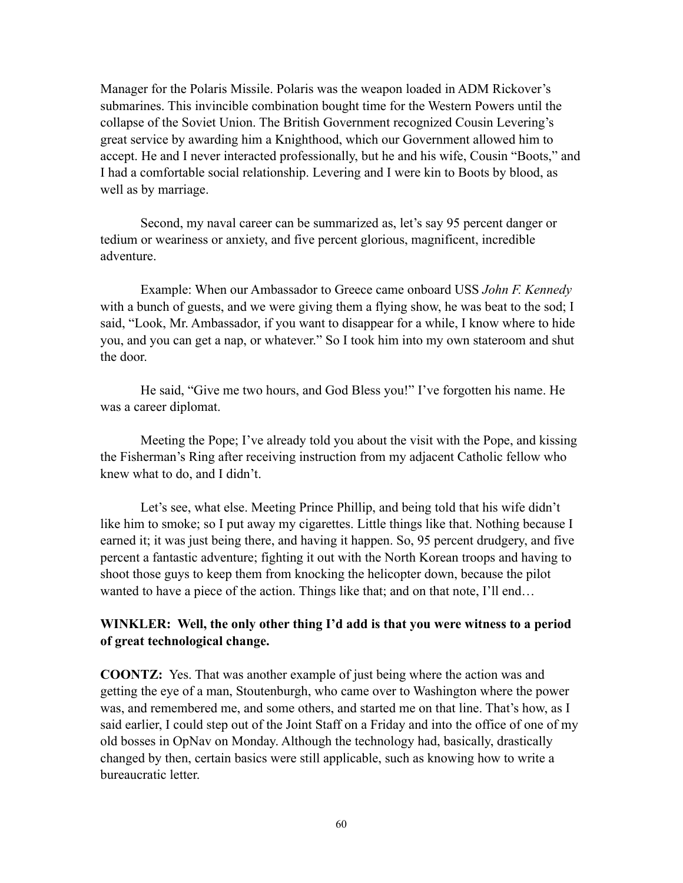Manager for the Polaris Missile. Polaris was the weapon loaded in ADM Rickover's submarines. This invincible combination bought time for the Western Powers until the collapse of the Soviet Union. The British Government recognized Cousin Levering's great service by awarding him a Knighthood, which our Government allowed him to accept. He and I never interacted professionally, but he and his wife, Cousin "Boots," and I had a comfortable social relationship. Levering and I were kin to Boots by blood, as well as by marriage.

Second, my naval career can be summarized as, let's say 95 percent danger or tedium or weariness or anxiety, and five percent glorious, magnificent, incredible adventure.

Example: When our Ambassador to Greece came onboard USS *John F. Kennedy* with a bunch of guests, and we were giving them a flying show, he was beat to the sod; I said, "Look, Mr. Ambassador, if you want to disappear for a while, I know where to hide you, and you can get a nap, or whatever." So I took him into my own stateroom and shut the door.

He said, "Give me two hours, and God Bless you!" I've forgotten his name. He was a career diplomat.

Meeting the Pope; I've already told you about the visit with the Pope, and kissing the Fisherman's Ring after receiving instruction from my adjacent Catholic fellow who knew what to do, and I didn't.

Let's see, what else. Meeting Prince Phillip, and being told that his wife didn't like him to smoke; so I put away my cigarettes. Little things like that. Nothing because I earned it; it was just being there, and having it happen. So, 95 percent drudgery, and five percent a fantastic adventure; fighting it out with the North Korean troops and having to shoot those guys to keep them from knocking the helicopter down, because the pilot wanted to have a piece of the action. Things like that; and on that note, I'll end...

### **WINKLER: Well, the only other thing I'd add is that you were witness to a period of great technological change.**

**COONTZ:** Yes. That was another example of just being where the action was and getting the eye of a man, Stoutenburgh, who came over to Washington where the power was, and remembered me, and some others, and started me on that line. That's how, as I said earlier, I could step out of the Joint Staff on a Friday and into the office of one of my old bosses in OpNav on Monday. Although the technology had, basically, drastically changed by then, certain basics were still applicable, such as knowing how to write a bureaucratic letter.